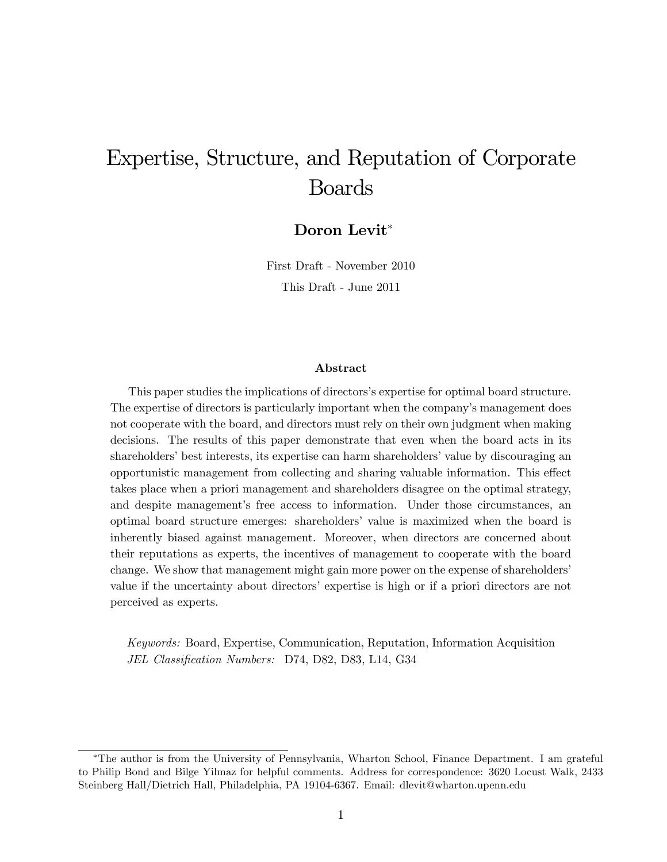# Expertise, Structure, and Reputation of Corporate Boards

Doron Levit<sup>\*</sup>

First Draft - November 2010 This Draft - June 2011

#### Abstract

This paper studies the implications of directors's expertise for optimal board structure. The expertise of directors is particularly important when the company's management does not cooperate with the board, and directors must rely on their own judgment when making decisions. The results of this paper demonstrate that even when the board acts in its shareholders' best interests, its expertise can harm shareholders' value by discouraging an opportunistic management from collecting and sharing valuable information. This effect takes place when a priori management and shareholders disagree on the optimal strategy, and despite management's free access to information. Under those circumstances, an optimal board structure emerges: shareholders' value is maximized when the board is inherently biased against management. Moreover, when directors are concerned about their reputations as experts, the incentives of management to cooperate with the board change. We show that management might gain more power on the expense of shareholders' value if the uncertainty about directors' expertise is high or if a priori directors are not perceived as experts.

Keywords: Board, Expertise, Communication, Reputation, Information Acquisition JEL Classification Numbers: D74, D82, D83, L14, G34

The author is from the University of Pennsylvania, Wharton School, Finance Department. I am grateful to Philip Bond and Bilge Yilmaz for helpful comments. Address for correspondence: 3620 Locust Walk, 2433 Steinberg Hall/Dietrich Hall, Philadelphia, PA 19104-6367. Email: dlevit@wharton.upenn.edu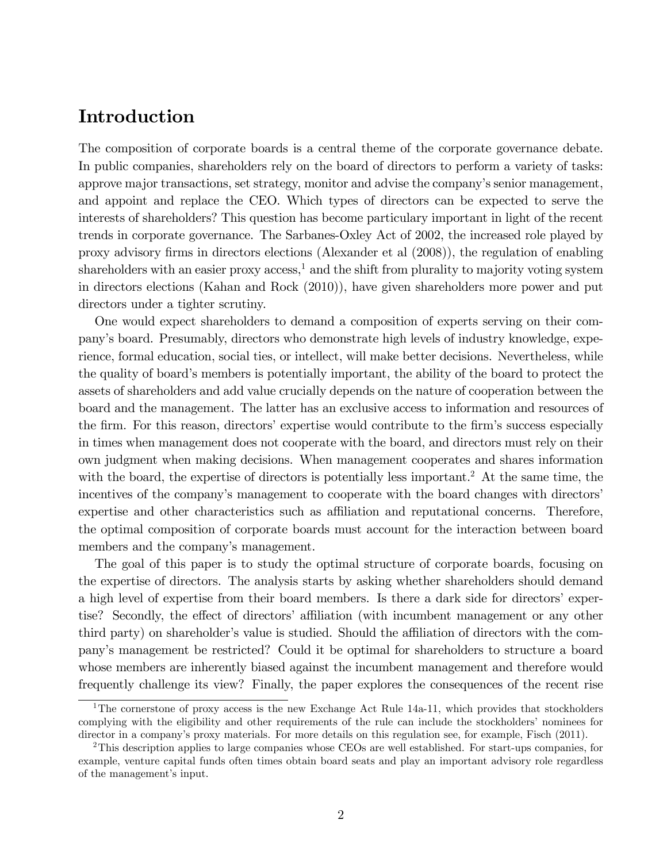# Introduction

The composition of corporate boards is a central theme of the corporate governance debate. In public companies, shareholders rely on the board of directors to perform a variety of tasks: approve major transactions, set strategy, monitor and advise the company's senior management, and appoint and replace the CEO. Which types of directors can be expected to serve the interests of shareholders? This question has become particulary important in light of the recent trends in corporate governance. The Sarbanes-Oxley Act of 2002, the increased role played by proxy advisory firms in directors elections (Alexander et al  $(2008)$ ), the regulation of enabling shareholders with an easier proxy  $\alpha$ cess,<sup>1</sup> and the shift from plurality to majority voting system in directors elections (Kahan and Rock (2010)), have given shareholders more power and put directors under a tighter scrutiny.

One would expect shareholders to demand a composition of experts serving on their companyís board. Presumably, directors who demonstrate high levels of industry knowledge, experience, formal education, social ties, or intellect, will make better decisions. Nevertheless, while the quality of board's members is potentially important, the ability of the board to protect the assets of shareholders and add value crucially depends on the nature of cooperation between the board and the management. The latter has an exclusive access to information and resources of the firm. For this reason, directors' expertise would contribute to the firm's success especially in times when management does not cooperate with the board, and directors must rely on their own judgment when making decisions. When management cooperates and shares information with the board, the expertise of directors is potentially less important.<sup>2</sup> At the same time, the incentives of the company's management to cooperate with the board changes with directors' expertise and other characteristics such as affiliation and reputational concerns. Therefore, the optimal composition of corporate boards must account for the interaction between board members and the company's management.

The goal of this paper is to study the optimal structure of corporate boards, focusing on the expertise of directors. The analysis starts by asking whether shareholders should demand a high level of expertise from their board members. Is there a dark side for directors' expertise? Secondly, the effect of directors' affiliation (with incumbent management or any other third party) on shareholder's value is studied. Should the affiliation of directors with the companyís management be restricted? Could it be optimal for shareholders to structure a board whose members are inherently biased against the incumbent management and therefore would frequently challenge its view? Finally, the paper explores the consequences of the recent rise

<sup>&</sup>lt;sup>1</sup>The cornerstone of proxy access is the new Exchange Act Rule 14a-11, which provides that stockholders complying with the eligibility and other requirements of the rule can include the stockholders' nominees for director in a company's proxy materials. For more details on this regulation see, for example, Fisch (2011).

<sup>2</sup>This description applies to large companies whose CEOs are well established. For start-ups companies, for example, venture capital funds often times obtain board seats and play an important advisory role regardless of the management's input.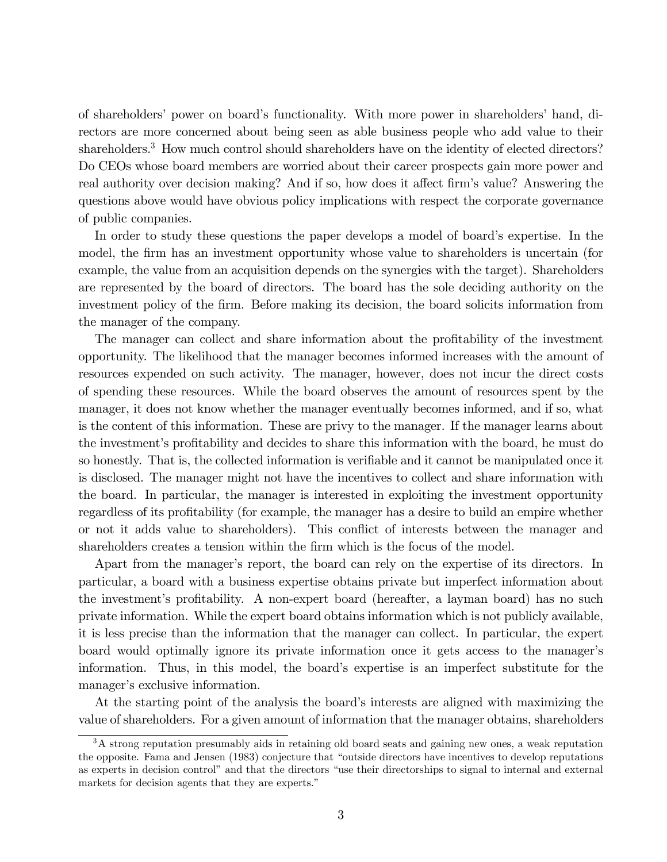of shareholders' power on board's functionality. With more power in shareholders' hand, directors are more concerned about being seen as able business people who add value to their shareholders.<sup>3</sup> How much control should shareholders have on the identity of elected directors? Do CEOs whose board members are worried about their career prospects gain more power and real authority over decision making? And if so, how does it affect firm's value? Answering the questions above would have obvious policy implications with respect the corporate governance of public companies.

In order to study these questions the paper develops a model of board's expertise. In the model, the firm has an investment opportunity whose value to shareholders is uncertain (for example, the value from an acquisition depends on the synergies with the target). Shareholders are represented by the board of directors. The board has the sole deciding authority on the investment policy of the Örm. Before making its decision, the board solicits information from the manager of the company.

The manager can collect and share information about the profitability of the investment opportunity. The likelihood that the manager becomes informed increases with the amount of resources expended on such activity. The manager, however, does not incur the direct costs of spending these resources. While the board observes the amount of resources spent by the manager, it does not know whether the manager eventually becomes informed, and if so, what is the content of this information. These are privy to the manager. If the manager learns about the investment's profitability and decides to share this information with the board, he must do so honestly. That is, the collected information is verifiable and it cannot be manipulated once it is disclosed. The manager might not have the incentives to collect and share information with the board. In particular, the manager is interested in exploiting the investment opportunity regardless of its profitability (for example, the manager has a desire to build an empire whether or not it adds value to shareholders). This conflict of interests between the manager and shareholders creates a tension within the firm which is the focus of the model.

Apart from the manager's report, the board can rely on the expertise of its directors. In particular, a board with a business expertise obtains private but imperfect information about the investment's profitability. A non-expert board (hereafter, a layman board) has no such private information. While the expert board obtains information which is not publicly available, it is less precise than the information that the manager can collect. In particular, the expert board would optimally ignore its private information once it gets access to the manager's information. Thus, in this model, the board's expertise is an imperfect substitute for the manager's exclusive information.

At the starting point of the analysis the board's interests are aligned with maximizing the value of shareholders. For a given amount of information that the manager obtains, shareholders

 $3A$  strong reputation presumably aids in retaining old board seats and gaining new ones, a weak reputation the opposite. Fama and Jensen (1983) conjecture that "outside directors have incentives to develop reputations as experts in decision control" and that the directors "use their directorships to signal to internal and external markets for decision agents that they are experts."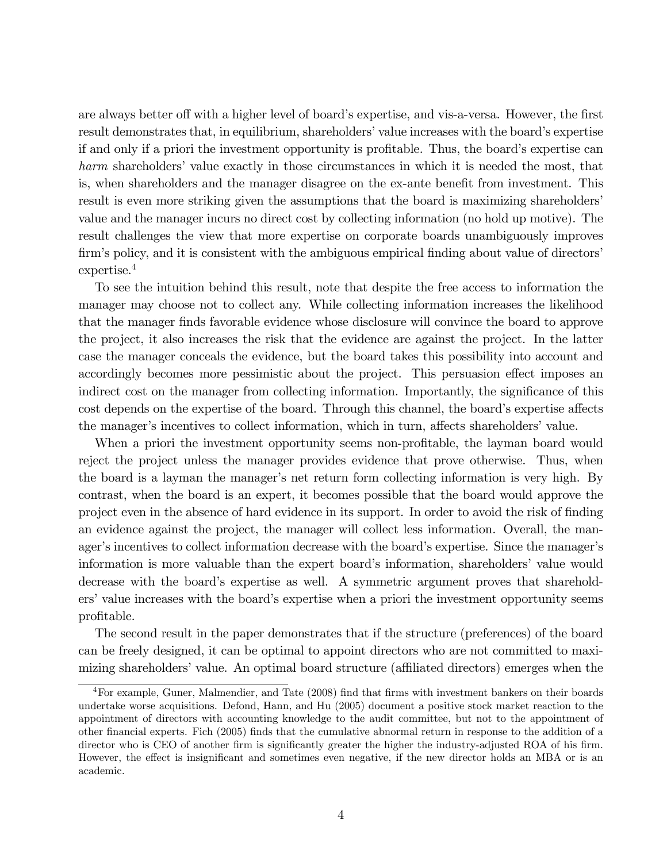are always better off with a higher level of board's expertise, and vis-a-versa. However, the first result demonstrates that, in equilibrium, shareholders' value increases with the board's expertise if and only if a priori the investment opportunity is profitable. Thus, the board's expertise can harm shareholders' value exactly in those circumstances in which it is needed the most, that is, when shareholders and the manager disagree on the ex-ante benefit from investment. This result is even more striking given the assumptions that the board is maximizing shareholders value and the manager incurs no direct cost by collecting information (no hold up motive). The result challenges the view that more expertise on corporate boards unambiguously improves firm's policy, and it is consistent with the ambiguous empirical finding about value of directors' expertise.<sup>4</sup>

To see the intuition behind this result, note that despite the free access to information the manager may choose not to collect any. While collecting information increases the likelihood that the manager finds favorable evidence whose disclosure will convince the board to approve the project, it also increases the risk that the evidence are against the project. In the latter case the manager conceals the evidence, but the board takes this possibility into account and accordingly becomes more pessimistic about the project. This persuasion effect imposes an indirect cost on the manager from collecting information. Importantly, the significance of this cost depends on the expertise of the board. Through this channel, the board's expertise affects the manager's incentives to collect information, which in turn, affects shareholders' value.

When a priori the investment opportunity seems non-profitable, the layman board would reject the project unless the manager provides evidence that prove otherwise. Thus, when the board is a layman the manager's net return form collecting information is very high. By contrast, when the board is an expert, it becomes possible that the board would approve the project even in the absence of hard evidence in its support. In order to avoid the risk of finding an evidence against the project, the manager will collect less information. Overall, the manager's incentives to collect information decrease with the board's expertise. Since the manager's information is more valuable than the expert board's information, shareholders' value would decrease with the board's expertise as well. A symmetric argument proves that shareholders' value increases with the board's expertise when a priori the investment opportunity seems profitable.

The second result in the paper demonstrates that if the structure (preferences) of the board can be freely designed, it can be optimal to appoint directors who are not committed to maximizing shareholders' value. An optimal board structure (affiliated directors) emerges when the

<sup>&</sup>lt;sup>4</sup>For example, Guner, Malmendier, and Tate (2008) find that firms with investment bankers on their boards undertake worse acquisitions. Defond, Hann, and Hu (2005) document a positive stock market reaction to the appointment of directors with accounting knowledge to the audit committee, but not to the appointment of other Önancial experts. Fich (2005) Önds that the cumulative abnormal return in response to the addition of a director who is CEO of another firm is significantly greater the higher the industry-adjusted ROA of his firm. However, the effect is insignificant and sometimes even negative, if the new director holds an MBA or is an academic.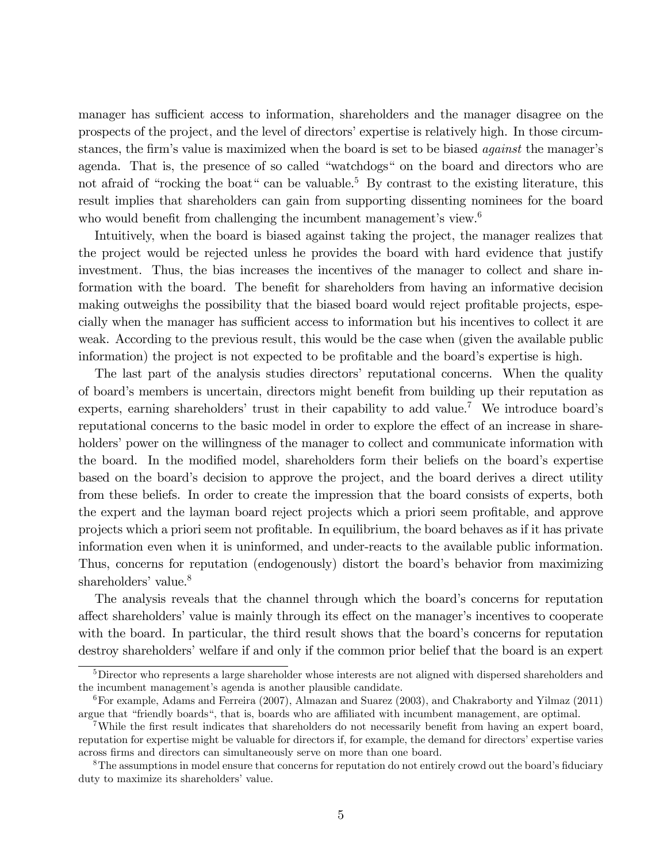manager has sufficient access to information, shareholders and the manager disagree on the prospects of the project, and the level of directors' expertise is relatively high. In those circumstances, the firm's value is maximized when the board is set to be biased *against* the manager's agenda. That is, the presence of so called "watchdogs" on the board and directors who are not afraid of "rocking the boat" can be valuable.<sup>5</sup> By contrast to the existing literature, this result implies that shareholders can gain from supporting dissenting nominees for the board who would benefit from challenging the incumbent management's view.<sup>6</sup>

Intuitively, when the board is biased against taking the project, the manager realizes that the project would be rejected unless he provides the board with hard evidence that justify investment. Thus, the bias increases the incentives of the manager to collect and share information with the board. The benefit for shareholders from having an informative decision making outweighs the possibility that the biased board would reject profitable projects, especially when the manager has sufficient access to information but his incentives to collect it are weak. According to the previous result, this would be the case when (given the available public information) the project is not expected to be profitable and the board's expertise is high.

The last part of the analysis studies directors' reputational concerns. When the quality of board's members is uncertain, directors might benefit from building up their reputation as experts, earning shareholders' trust in their capability to add value.<sup>7</sup> We introduce board's reputational concerns to the basic model in order to explore the effect of an increase in shareholders' power on the willingness of the manager to collect and communicate information with the board. In the modified model, shareholders form their beliefs on the board's expertise based on the board's decision to approve the project, and the board derives a direct utility from these beliefs. In order to create the impression that the board consists of experts, both the expert and the layman board reject projects which a priori seem profitable, and approve projects which a priori seem not profitable. In equilibrium, the board behaves as if it has private information even when it is uninformed, and under-reacts to the available public information. Thus, concerns for reputation (endogenously) distort the board's behavior from maximizing shareholders' value.<sup>8</sup>

The analysis reveals that the channel through which the board's concerns for reputation affect shareholders' value is mainly through its effect on the manager's incentives to cooperate with the board. In particular, the third result shows that the board's concerns for reputation destroy shareholders' welfare if and only if the common prior belief that the board is an expert

<sup>&</sup>lt;sup>5</sup>Director who represents a large shareholder whose interests are not aligned with dispersed shareholders and the incumbent management's agenda is another plausible candidate.

<sup>6</sup>For example, Adams and Ferreira (2007), Almazan and Suarez (2003), and Chakraborty and Yilmaz (2011) argue that "friendly boards", that is, boards who are affiliated with incumbent management, are optimal.

<sup>&</sup>lt;sup>7</sup>While the first result indicates that shareholders do not necessarily benefit from having an expert board, reputation for expertise might be valuable for directors if, for example, the demand for directors' expertise varies across Örms and directors can simultaneously serve on more than one board.

<sup>&</sup>lt;sup>8</sup>The assumptions in model ensure that concerns for reputation do not entirely crowd out the board's fiduciary duty to maximize its shareholders' value.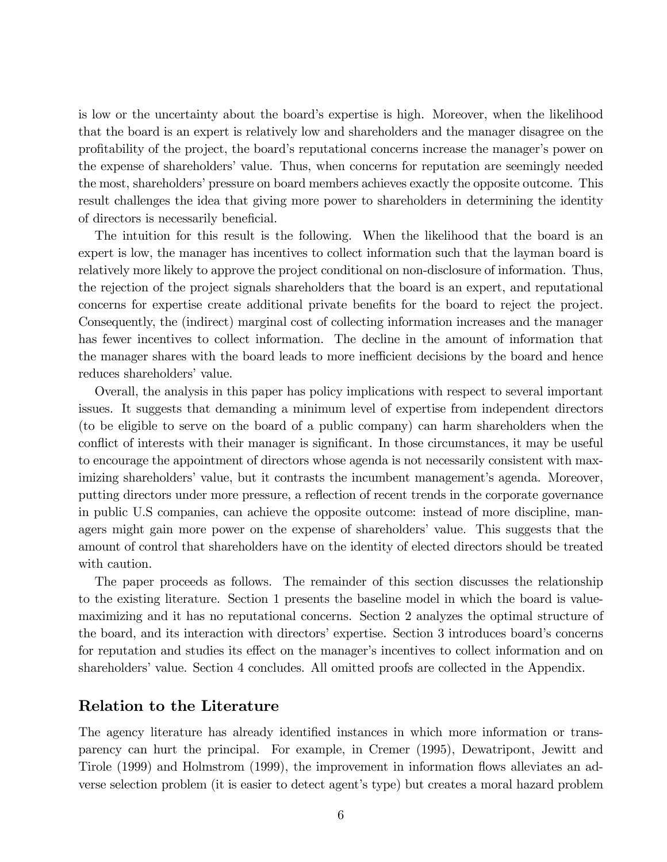is low or the uncertainty about the board's expertise is high. Moreover, when the likelihood that the board is an expert is relatively low and shareholders and the manager disagree on the profitability of the project, the board's reputational concerns increase the manager's power on the expense of shareholders' value. Thus, when concerns for reputation are seemingly needed the most, shareholders' pressure on board members achieves exactly the opposite outcome. This result challenges the idea that giving more power to shareholders in determining the identity of directors is necessarily beneficial.

The intuition for this result is the following. When the likelihood that the board is an expert is low, the manager has incentives to collect information such that the layman board is relatively more likely to approve the project conditional on non-disclosure of information. Thus, the rejection of the project signals shareholders that the board is an expert, and reputational concerns for expertise create additional private benefits for the board to reject the project. Consequently, the (indirect) marginal cost of collecting information increases and the manager has fewer incentives to collect information. The decline in the amount of information that the manager shares with the board leads to more inefficient decisions by the board and hence reduces shareholders' value.

Overall, the analysis in this paper has policy implications with respect to several important issues. It suggests that demanding a minimum level of expertise from independent directors (to be eligible to serve on the board of a public company) can harm shareholders when the conflict of interests with their manager is significant. In those circumstances, it may be useful to encourage the appointment of directors whose agenda is not necessarily consistent with maximizing shareholders' value, but it contrasts the incumbent management's agenda. Moreover, putting directors under more pressure, a reflection of recent trends in the corporate governance in public U.S companies, can achieve the opposite outcome: instead of more discipline, managers might gain more power on the expense of shareholders' value. This suggests that the amount of control that shareholders have on the identity of elected directors should be treated with caution.

The paper proceeds as follows. The remainder of this section discusses the relationship to the existing literature. Section 1 presents the baseline model in which the board is valuemaximizing and it has no reputational concerns. Section 2 analyzes the optimal structure of the board, and its interaction with directors' expertise. Section 3 introduces board's concerns for reputation and studies its effect on the manager's incentives to collect information and on shareholders' value. Section 4 concludes. All omitted proofs are collected in the Appendix.

### Relation to the Literature

The agency literature has already identified instances in which more information or transparency can hurt the principal. For example, in Cremer (1995), Dewatripont, Jewitt and Tirole (1999) and Holmstrom (1999), the improvement in information flows alleviates an adverse selection problem (it is easier to detect agent's type) but creates a moral hazard problem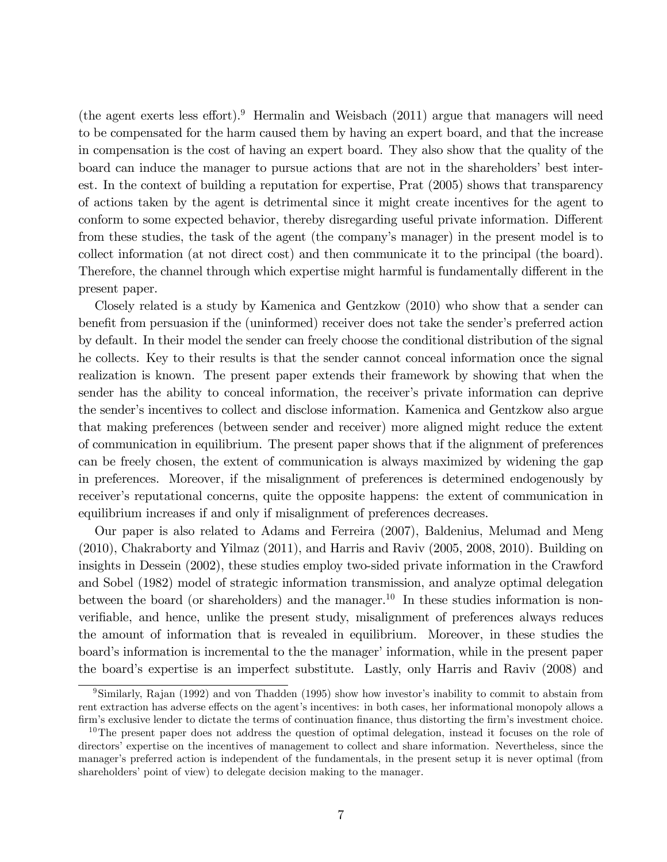(the agent exerts less effort).<sup>9</sup> Hermalin and Weisbach (2011) argue that managers will need to be compensated for the harm caused them by having an expert board, and that the increase in compensation is the cost of having an expert board. They also show that the quality of the board can induce the manager to pursue actions that are not in the shareholders' best interest. In the context of building a reputation for expertise, Prat (2005) shows that transparency of actions taken by the agent is detrimental since it might create incentives for the agent to conform to some expected behavior, thereby disregarding useful private information. Different from these studies, the task of the agent (the company's manager) in the present model is to collect information (at not direct cost) and then communicate it to the principal (the board). Therefore, the channel through which expertise might harmful is fundamentally different in the present paper.

Closely related is a study by Kamenica and Gentzkow (2010) who show that a sender can benefit from persuasion if the (uninformed) receiver does not take the sender's preferred action by default. In their model the sender can freely choose the conditional distribution of the signal he collects. Key to their results is that the sender cannot conceal information once the signal realization is known. The present paper extends their framework by showing that when the sender has the ability to conceal information, the receiver's private information can deprive the sender's incentives to collect and disclose information. Kamenica and Gentzkow also argue that making preferences (between sender and receiver) more aligned might reduce the extent of communication in equilibrium. The present paper shows that if the alignment of preferences can be freely chosen, the extent of communication is always maximized by widening the gap in preferences. Moreover, if the misalignment of preferences is determined endogenously by receiver's reputational concerns, quite the opposite happens: the extent of communication in equilibrium increases if and only if misalignment of preferences decreases.

Our paper is also related to Adams and Ferreira (2007), Baldenius, Melumad and Meng (2010), Chakraborty and Yilmaz (2011), and Harris and Raviv (2005, 2008, 2010). Building on insights in Dessein (2002), these studies employ two-sided private information in the Crawford and Sobel (1982) model of strategic information transmission, and analyze optimal delegation between the board (or shareholders) and the manager.<sup>10</sup> In these studies information is nonverifiable, and hence, unlike the present study, misalignment of preferences always reduces the amount of information that is revealed in equilibrium. Moreover, in these studies the board's information is incremental to the the manager' information, while in the present paper the boardís expertise is an imperfect substitute. Lastly, only Harris and Raviv (2008) and

 $9$ Similarly, Rajan (1992) and von Thadden (1995) show how investor's inability to commit to abstain from rent extraction has adverse effects on the agent's incentives: in both cases, her informational monopoly allows a firm's exclusive lender to dictate the terms of continuation finance, thus distorting the firm's investment choice.

<sup>&</sup>lt;sup>10</sup>The present paper does not address the question of optimal delegation, instead it focuses on the role of directors' expertise on the incentives of management to collect and share information. Nevertheless, since the manager's preferred action is independent of the fundamentals, in the present setup it is never optimal (from shareholders' point of view) to delegate decision making to the manager.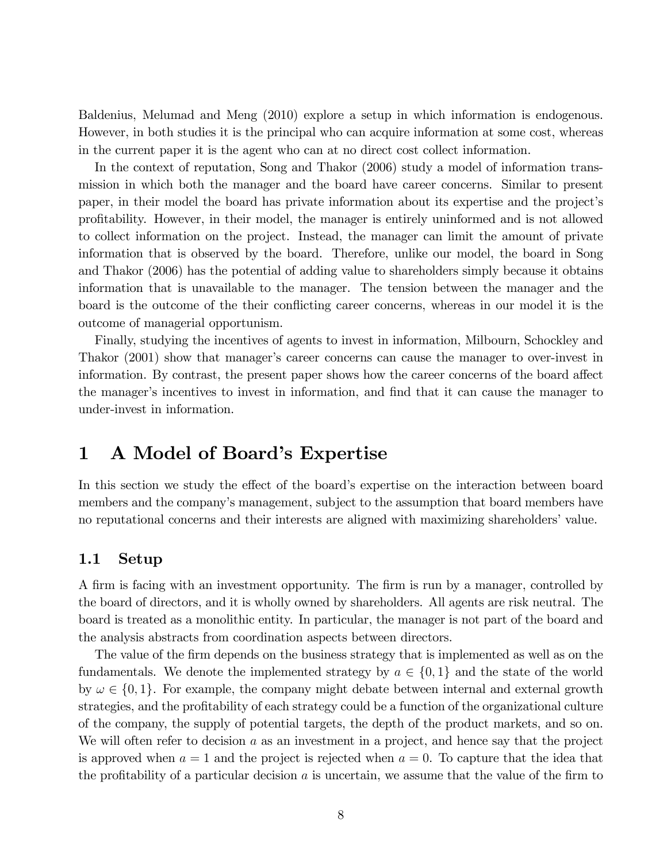Baldenius, Melumad and Meng (2010) explore a setup in which information is endogenous. However, in both studies it is the principal who can acquire information at some cost, whereas in the current paper it is the agent who can at no direct cost collect information.

In the context of reputation, Song and Thakor (2006) study a model of information transmission in which both the manager and the board have career concerns. Similar to present paper, in their model the board has private information about its expertise and the project's proÖtability. However, in their model, the manager is entirely uninformed and is not allowed to collect information on the project. Instead, the manager can limit the amount of private information that is observed by the board. Therefore, unlike our model, the board in Song and Thakor (2006) has the potential of adding value to shareholders simply because it obtains information that is unavailable to the manager. The tension between the manager and the board is the outcome of the their conflicting career concerns, whereas in our model it is the outcome of managerial opportunism.

Finally, studying the incentives of agents to invest in information, Milbourn, Schockley and Thakor (2001) show that manager's career concerns can cause the manager to over-invest in information. By contrast, the present paper shows how the career concerns of the board affect the manager's incentives to invest in information, and find that it can cause the manager to under-invest in information.

# 1 A Model of Board's Expertise

In this section we study the effect of the board's expertise on the interaction between board members and the company's management, subject to the assumption that board members have no reputational concerns and their interests are aligned with maximizing shareholders' value.

### 1.1 Setup

A firm is facing with an investment opportunity. The firm is run by a manager, controlled by the board of directors, and it is wholly owned by shareholders. All agents are risk neutral. The board is treated as a monolithic entity. In particular, the manager is not part of the board and the analysis abstracts from coordination aspects between directors.

The value of the firm depends on the business strategy that is implemented as well as on the fundamentals. We denote the implemented strategy by  $a \in \{0, 1\}$  and the state of the world by  $\omega \in \{0, 1\}$ . For example, the company might debate between internal and external growth strategies, and the profitability of each strategy could be a function of the organizational culture of the company, the supply of potential targets, the depth of the product markets, and so on. We will often refer to decision  $a$  as an investment in a project, and hence say that the project is approved when  $a = 1$  and the project is rejected when  $a = 0$ . To capture that the idea that the profitability of a particular decision  $a$  is uncertain, we assume that the value of the firm to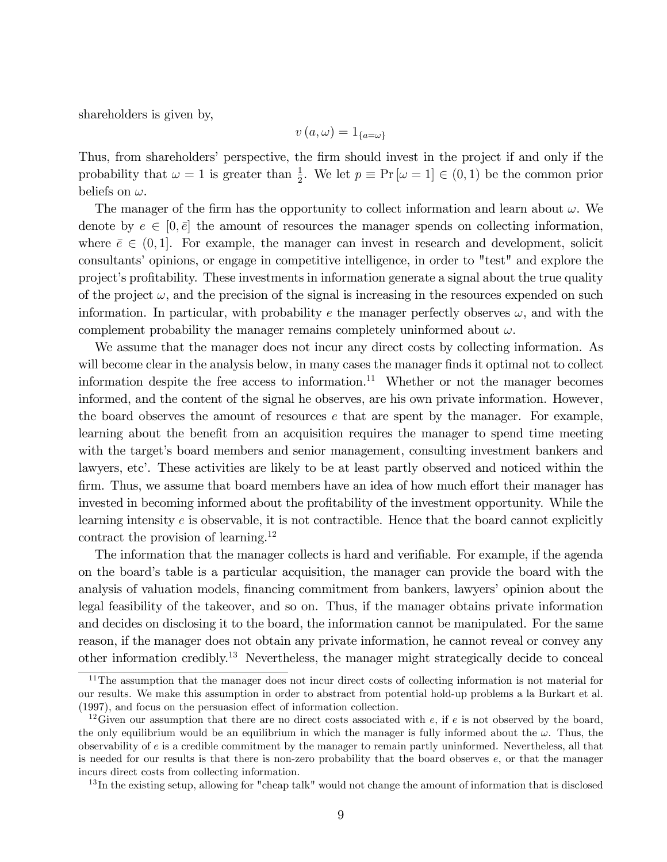shareholders is given by,

$$
v\left(a,\omega\right)=1_{\{a=\omega\}}
$$

Thus, from shareholders' perspective, the firm should invest in the project if and only if the probability that  $\omega = 1$  is greater than  $\frac{1}{2}$ . We let  $p \equiv Pr[\omega = 1] \in (0, 1)$  be the common prior beliefs on  $\omega$ .

The manager of the firm has the opportunity to collect information and learn about  $\omega$ . We denote by  $e \in [0, \bar{e}]$  the amount of resources the manager spends on collecting information, where  $\bar{e} \in (0, 1]$ . For example, the manager can invest in research and development, solicit consultants' opinions, or engage in competitive intelligence, in order to "test" and explore the project's profitability. These investments in information generate a signal about the true quality of the project  $\omega$ , and the precision of the signal is increasing in the resources expended on such information. In particular, with probability e the manager perfectly observes  $\omega$ , and with the complement probability the manager remains completely uninformed about  $\omega$ .

We assume that the manager does not incur any direct costs by collecting information. As will become clear in the analysis below, in many cases the manager finds it optimal not to collect information despite the free access to information.<sup>11</sup> Whether or not the manager becomes informed, and the content of the signal he observes, are his own private information. However, the board observes the amount of resources  $e$  that are spent by the manager. For example, learning about the benefit from an acquisition requires the manager to spend time meeting with the target's board members and senior management, consulting investment bankers and lawyers, etc'. These activities are likely to be at least partly observed and noticed within the firm. Thus, we assume that board members have an idea of how much effort their manager has invested in becoming informed about the profitability of the investment opportunity. While the learning intensity  $e$  is observable, it is not contractible. Hence that the board cannot explicitly contract the provision of learning.<sup>12</sup>

The information that the manager collects is hard and verifiable. For example, if the agenda on the boardís table is a particular acquisition, the manager can provide the board with the analysis of valuation models, financing commitment from bankers, lawyers' opinion about the legal feasibility of the takeover, and so on. Thus, if the manager obtains private information and decides on disclosing it to the board, the information cannot be manipulated. For the same reason, if the manager does not obtain any private information, he cannot reveal or convey any other information credibly.<sup>13</sup> Nevertheless, the manager might strategically decide to conceal

<sup>&</sup>lt;sup>11</sup>The assumption that the manager does not incur direct costs of collecting information is not material for our results. We make this assumption in order to abstract from potential hold-up problems a la Burkart et al.  $(1997)$ , and focus on the persuasion effect of information collection.

<sup>&</sup>lt;sup>12</sup>Given our assumption that there are no direct costs associated with e, if e is not observed by the board, the only equilibrium would be an equilibrium in which the manager is fully informed about the  $\omega$ . Thus, the observability of e is a credible commitment by the manager to remain partly uninformed. Nevertheless, all that is needed for our results is that there is non-zero probability that the board observes  $e$ , or that the manager incurs direct costs from collecting information.

<sup>&</sup>lt;sup>13</sup>In the existing setup, allowing for "cheap talk" would not change the amount of information that is disclosed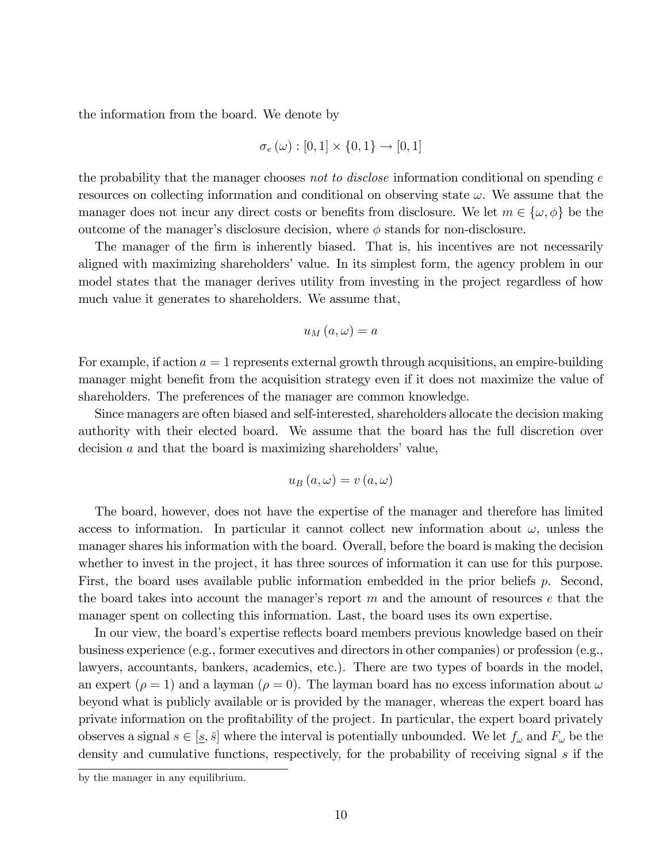the information from the board. We denote by

$$
\sigma_e(\omega):[0,1]\times\{0,1\}\to[0,1]
$$

the probability that the manager chooses not to disclose information conditional on spending  $e$ resources on collecting information and conditional on observing state  $\omega$ . We assume that the manager does not incur any direct costs or benefits from disclosure. We let  $m \in {\{\omega, \phi\}}$  be the outcome of the manager's disclosure decision, where  $\phi$  stands for non-disclosure.

The manager of the firm is inherently biased. That is, his incentives are not necessarily aligned with maximizing shareholders' value. In its simplest form, the agency problem in our model states that the manager derives utility from investing in the project regardless of how much value it generates to shareholders. We assume that,

$$
u_M(a,\omega)=a
$$

For example, if action  $a = 1$  represents external growth through acquisitions, an empire-building manager might benefit from the acquisition strategy even if it does not maximize the value of shareholders. The preferences of the manager are common knowledge.

Since managers are often biased and self-interested, shareholders allocate the decision making authority with their elected board. We assume that the board has the full discretion over decision  $a$  and that the board is maximizing shareholders' value,

$$
u_B(a,\omega) = v(a,\omega)
$$

The board, however, does not have the expertise of the manager and therefore has limited access to information. In particular it cannot collect new information about  $\omega$ , unless the manager shares his information with the board. Overall, before the board is making the decision whether to invest in the project, it has three sources of information it can use for this purpose. First, the board uses available public information embedded in the prior beliefs p. Second, the board takes into account the manager's report  $m$  and the amount of resources  $e$  that the manager spent on collecting this information. Last, the board uses its own expertise.

In our view, the board's expertise reflects board members previous knowledge based on their business experience (e.g., former executives and directors in other companies) or profession (e.g., lawyers, accountants, bankers, academics, etc.). There are two types of boards in the model, an expert ( $\rho = 1$ ) and a layman ( $\rho = 0$ ). The layman board has no excess information about  $\omega$ beyond what is publicly available or is provided by the manager, whereas the expert board has private information on the profitability of the project. In particular, the expert board privately observes a signal  $s \in [s, \bar{s}]$  where the interval is potentially unbounded. We let  $f_{\omega}$  and  $F_{\omega}$  be the density and cumulative functions, respectively, for the probability of receiving signal s if the

by the manager in any equilibrium.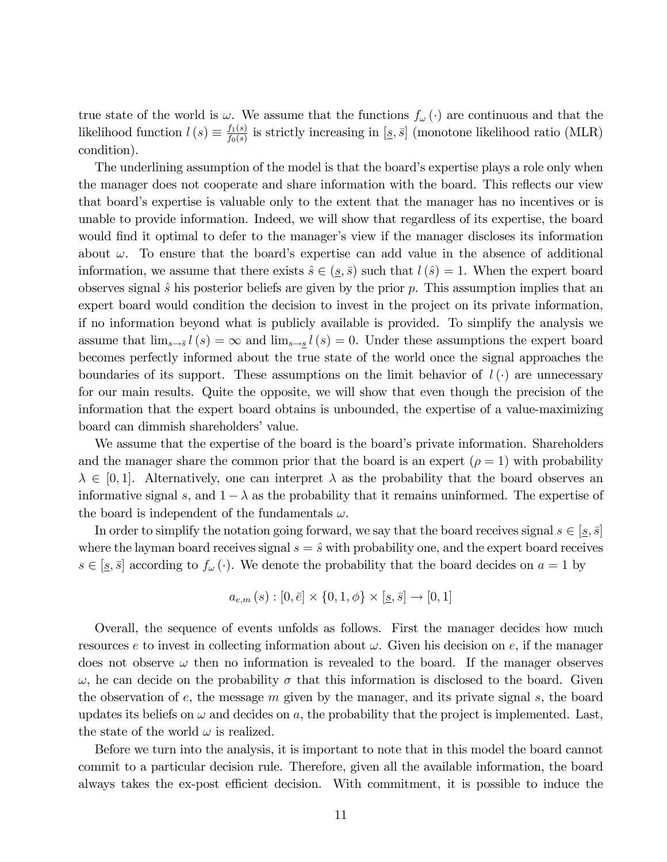true state of the world is  $\omega$ . We assume that the functions  $f_{\omega}(\cdot)$  are continuous and that the likelihood function  $l(s) \equiv \frac{f_1(s)}{f_0(s)}$  $\frac{f_1(s)}{f_0(s)}$  is strictly increasing in  $[s, \bar{s}]$  (monotone likelihood ratio (MLR) condition).

The underlining assumption of the model is that the board's expertise plays a role only when the manager does not cooperate and share information with the board. This reflects our view that board's expertise is valuable only to the extent that the manager has no incentives or is unable to provide information. Indeed, we will show that regardless of its expertise, the board would find it optimal to defer to the manager's view if the manager discloses its information about  $\omega$ . To ensure that the board's expertise can add value in the absence of additional information, we assume that there exists  $\hat{s} \in (s, \bar{s})$  such that  $l(\hat{s}) = 1$ . When the expert board observes signal  $\hat{s}$  his posterior beliefs are given by the prior p. This assumption implies that an expert board would condition the decision to invest in the project on its private information, if no information beyond what is publicly available is provided. To simplify the analysis we assume that  $\lim_{s\to s} l(s) = \infty$  and  $\lim_{s\to s} l(s) = 0$ . Under these assumptions the expert board becomes perfectly informed about the true state of the world once the signal approaches the boundaries of its support. These assumptions on the limit behavior of  $l(\cdot)$  are unnecessary for our main results. Quite the opposite, we will show that even though the precision of the information that the expert board obtains is unbounded, the expertise of a value-maximizing board can dimmish shareholders' value.

We assume that the expertise of the board is the board's private information. Shareholders and the manager share the common prior that the board is an expert ( $\rho = 1$ ) with probability  $\lambda \in [0, 1]$ . Alternatively, one can interpret  $\lambda$  as the probability that the board observes an informative signal s, and  $1 - \lambda$  as the probability that it remains uninformed. The expertise of the board is independent of the fundamentals  $\omega$ .

In order to simplify the notation going forward, we say that the board receives signal  $s \in [s, \bar{s}]$ where the layman board receives signal  $s = \hat{s}$  with probability one, and the expert board receives  $s \in [s, \bar{s}]$  according to  $f_{\omega}(\cdot)$ . We denote the probability that the board decides on  $a = 1$  by

$$
a_{e,m}(s): [0, \bar{e}] \times \{0, 1, \phi\} \times [\underline{s}, \bar{s}] \to [0, 1]
$$

Overall, the sequence of events unfolds as follows. First the manager decides how much resources e to invest in collecting information about  $\omega$ . Given his decision on e, if the manager does not observe  $\omega$  then no information is revealed to the board. If the manager observes  $\omega$ , he can decide on the probability  $\sigma$  that this information is disclosed to the board. Given the observation of  $e$ , the message  $m$  given by the manager, and its private signal  $s$ , the board updates its beliefs on  $\omega$  and decides on a, the probability that the project is implemented. Last, the state of the world  $\omega$  is realized.

Before we turn into the analysis, it is important to note that in this model the board cannot commit to a particular decision rule. Therefore, given all the available information, the board always takes the ex-post efficient decision. With commitment, it is possible to induce the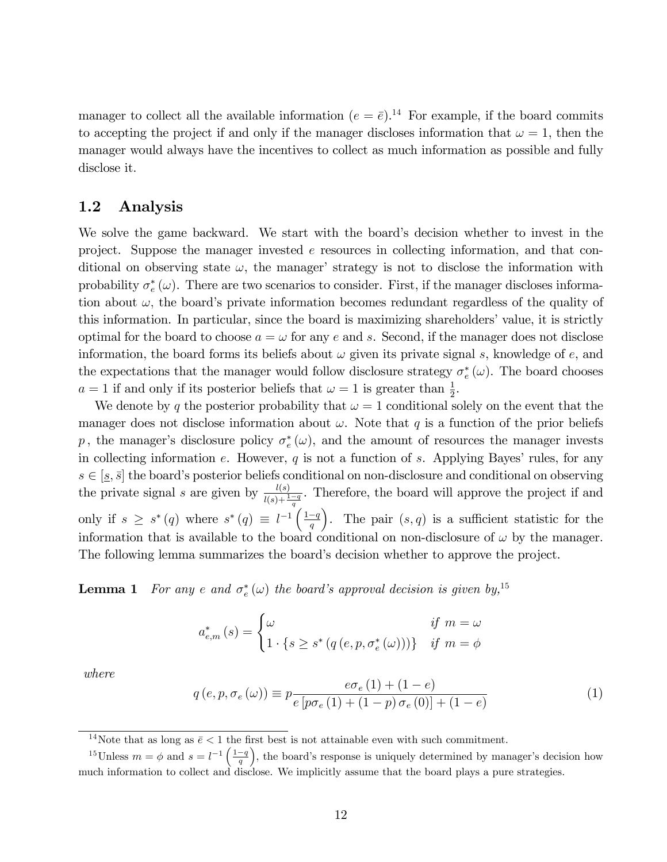manager to collect all the available information  $(e = \bar{e})^{14}$ . For example, if the board commits to accepting the project if and only if the manager discloses information that  $\omega = 1$ , then the manager would always have the incentives to collect as much information as possible and fully disclose it.

### 1.2 Analysis

We solve the game backward. We start with the board's decision whether to invest in the project. Suppose the manager invested  $e$  resources in collecting information, and that conditional on observing state  $\omega$ , the manager' strategy is not to disclose the information with probability  $\sigma_e^*(\omega)$ . There are two scenarios to consider. First, if the manager discloses information about  $\omega$ , the board's private information becomes redundant regardless of the quality of this information. In particular, since the board is maximizing shareholders' value, it is strictly optimal for the board to choose  $a = \omega$  for any e and s. Second, if the manager does not disclose information, the board forms its beliefs about  $\omega$  given its private signal s, knowledge of e, and the expectations that the manager would follow disclosure strategy  $\sigma_e^*(\omega)$ . The board chooses  $a = 1$  if and only if its posterior beliefs that  $\omega = 1$  is greater than  $\frac{1}{2}$ .

We denote by q the posterior probability that  $\omega = 1$  conditional solely on the event that the manager does not disclose information about  $\omega$ . Note that q is a function of the prior beliefs p, the manager's disclosure policy  $\sigma_e^*(\omega)$ , and the amount of resources the manager invests in collecting information e. However,  $q$  is not a function of s. Applying Bayes' rules, for any  $s \in [s, \bar{s}]$  the board's posterior beliefs conditional on non-disclosure and conditional on observing the private signal s are given by  $\frac{l(s)}{l(s)+\frac{1-q}{q}}$ . Therefore, the board will approve the project if and only if  $s \geq s^*(q)$  where  $s^*(q) \equiv l^{-1} \left( \frac{1-q}{q} \right)$ ). The pair  $(s, q)$  is a sufficient statistic for the information that is available to the board conditional on non-disclosure of  $\omega$  by the manager. The following lemma summarizes the board's decision whether to approve the project.

**Lemma 1** For any e and  $\sigma_e^*(\omega)$  the board's approval decision is given by,<sup>15</sup>

$$
a_{e,m}^{*}\left(s\right) = \begin{cases} \omega & \text{if } m = \omega\\ 1 \cdot \{s \ge s^{*}\left(q\left(e, p, \sigma_{e}^{*}\left(\omega\right)\right)\right)\} & \text{if } m = \phi \end{cases}
$$

where

$$
q(e, p, \sigma_e(\omega)) \equiv p \frac{e \sigma_e(1) + (1 - e)}{e [p \sigma_e(1) + (1 - p) \sigma_e(0)] + (1 - e)}
$$
(1)

<sup>14</sup>Note that as long as  $\bar{e}$  < 1 the first best is not attainable even with such commitment.

<sup>&</sup>lt;sup>15</sup>Unless  $m = \phi$  and  $s = l^{-1} \left( \frac{1-q}{q} \right)$ ), the board's response is uniquely determined by manager's decision how much information to collect and disclose. We implicitly assume that the board plays a pure strategies.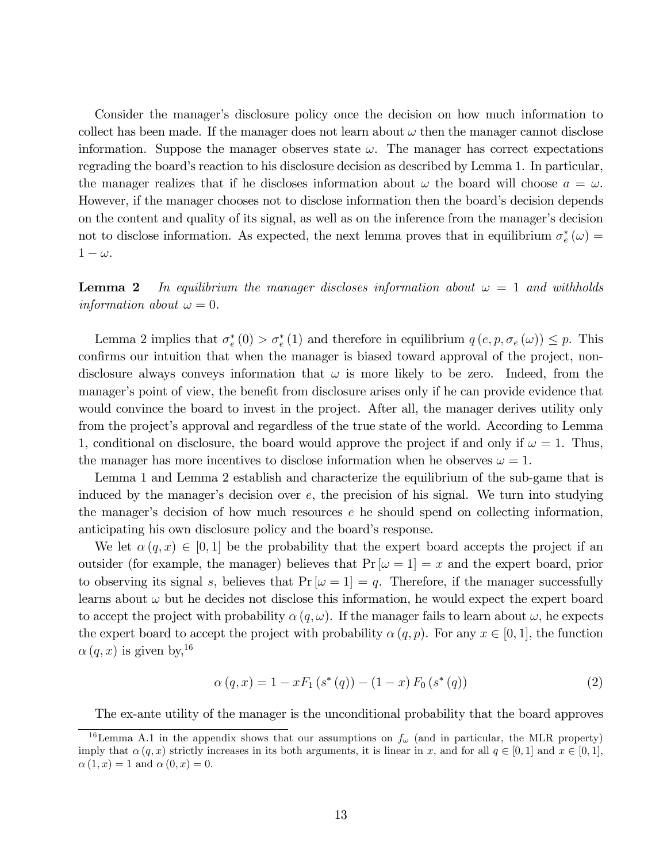Consider the manager's disclosure policy once the decision on how much information to collect has been made. If the manager does not learn about  $\omega$  then the manager cannot disclose information. Suppose the manager observes state  $\omega$ . The manager has correct expectations regrading the board's reaction to his disclosure decision as described by Lemma 1. In particular, the manager realizes that if he discloses information about  $\omega$  the board will choose  $a = \omega$ . However, if the manager chooses not to disclose information then the board's decision depends on the content and quality of its signal, as well as on the inference from the manager's decision not to disclose information. As expected, the next lemma proves that in equilibrium  $\sigma_e^*(\omega)$  =  $1 - \omega$ .

**Lemma 2** In equilibrium the manager discloses information about  $\omega = 1$  and withholds information about  $\omega = 0$ .

Lemma 2 implies that  $\sigma_e^*(0) > \sigma_e^*(1)$  and therefore in equilibrium  $q(e, p, \sigma_e(\omega)) \leq p$ . This confirms our intuition that when the manager is biased toward approval of the project, nondisclosure always conveys information that  $\omega$  is more likely to be zero. Indeed, from the manager's point of view, the benefit from disclosure arises only if he can provide evidence that would convince the board to invest in the project. After all, the manager derives utility only from the project's approval and regardless of the true state of the world. According to Lemma 1, conditional on disclosure, the board would approve the project if and only if  $\omega = 1$ . Thus, the manager has more incentives to disclose information when he observes  $\omega = 1$ .

Lemma 1 and Lemma 2 establish and characterize the equilibrium of the sub-game that is induced by the manager's decision over  $e$ , the precision of his signal. We turn into studying the manager's decision of how much resources  $e$  he should spend on collecting information, anticipating his own disclosure policy and the board's response.

We let  $\alpha(q, x) \in [0, 1]$  be the probability that the expert board accepts the project if an outsider (for example, the manager) believes that  $Pr[\omega = 1] = x$  and the expert board, prior to observing its signal s, believes that  $Pr[\omega = 1] = q$ . Therefore, if the manager successfully learns about  $\omega$  but he decides not disclose this information, he would expect the expert board to accept the project with probability  $\alpha(q,\omega)$ . If the manager fails to learn about  $\omega$ , he expects the expert board to accept the project with probability  $\alpha(q, p)$ . For any  $x \in [0, 1]$ , the function  $\alpha(q, x)$  is given by, <sup>16</sup>

$$
\alpha(q, x) = 1 - x F_1(s^*(q)) - (1 - x) F_0(s^*(q))
$$
\n(2)

The ex-ante utility of the manager is the unconditional probability that the board approves

<sup>&</sup>lt;sup>16</sup>Lemma A.1 in the appendix shows that our assumptions on  $f_{\omega}$  (and in particular, the MLR property) imply that  $\alpha(q, x)$  strictly increases in its both arguments, it is linear in x, and for all  $q \in [0, 1]$  and  $x \in [0, 1]$ ,  $\alpha(1, x) = 1$  and  $\alpha(0, x) = 0$ .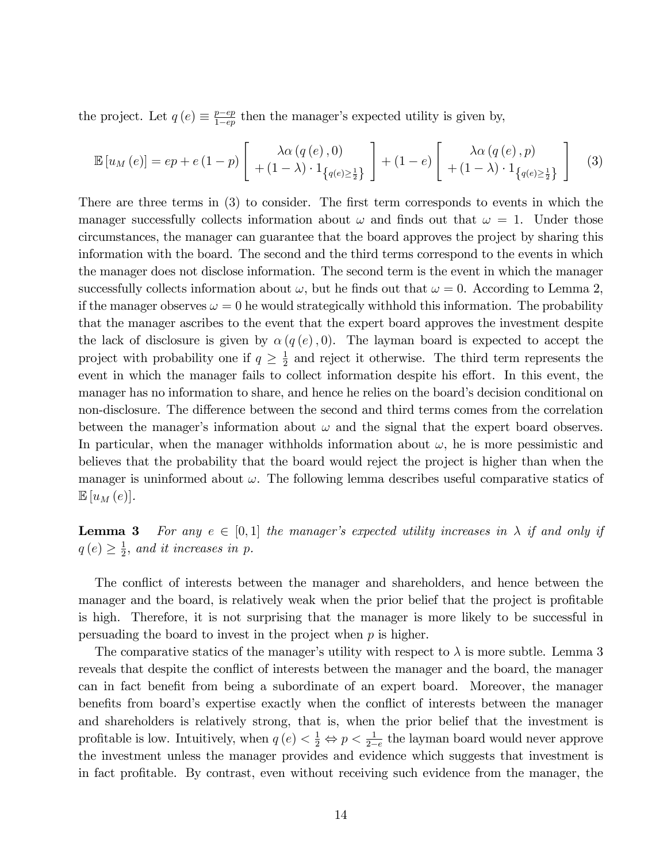the project. Let  $q(e) \equiv \frac{p-e p}{1-e p}$  $\frac{p-ep}{1-ep}$  then the manager's expected utility is given by,

$$
\mathbb{E}\left[u_M\left(e\right)\right] = ep + e\left(1-p\right) \left[ \begin{array}{c} \lambda \alpha\left(q\left(e\right), 0\right) \\ + \left(1-\lambda\right) \cdot 1_{\left\{q\left(e\right)\geq\frac{1}{2}\right\}} \end{array} \right] + \left(1-e\right) \left[ \begin{array}{c} \lambda \alpha\left(q\left(e\right), p\right) \\ + \left(1-\lambda\right) \cdot 1_{\left\{q\left(e\right)\geq\frac{1}{2}\right\}} \end{array} \right] \tag{3}
$$

There are three terms in (3) to consider. The first term corresponds to events in which the manager successfully collects information about  $\omega$  and finds out that  $\omega = 1$ . Under those circumstances, the manager can guarantee that the board approves the project by sharing this information with the board. The second and the third terms correspond to the events in which the manager does not disclose information. The second term is the event in which the manager successfully collects information about  $\omega$ , but he finds out that  $\omega = 0$ . According to Lemma 2, if the manager observes  $\omega = 0$  he would strategically withhold this information. The probability that the manager ascribes to the event that the expert board approves the investment despite the lack of disclosure is given by  $\alpha(q(e), 0)$ . The layman board is expected to accept the project with probability one if  $q \geq \frac{1}{2}$  $\frac{1}{2}$  and reject it otherwise. The third term represents the event in which the manager fails to collect information despite his effort. In this event, the manager has no information to share, and hence he relies on the board's decision conditional on non-disclosure. The difference between the second and third terms comes from the correlation between the manager's information about  $\omega$  and the signal that the expert board observes. In particular, when the manager withholds information about  $\omega$ , he is more pessimistic and believes that the probability that the board would reject the project is higher than when the manager is uninformed about  $\omega$ . The following lemma describes useful comparative statics of  $\mathbb{E}[u_M(e)].$ 

**Lemma 3** For any  $e \in [0, 1]$  the manager's expected utility increases in  $\lambda$  if and only if  $q(e) \geq \frac{1}{2}$  $\frac{1}{2}$ , and it increases in p.

The conflict of interests between the manager and shareholders, and hence between the manager and the board, is relatively weak when the prior belief that the project is profitable is high. Therefore, it is not surprising that the manager is more likely to be successful in persuading the board to invest in the project when  $p$  is higher.

The comparative statics of the manager's utility with respect to  $\lambda$  is more subtle. Lemma 3 reveals that despite the conflict of interests between the manager and the board, the manager can in fact benefit from being a subordinate of an expert board. Moreover, the manager benefits from board's expertise exactly when the conflict of interests between the manager and shareholders is relatively strong, that is, when the prior belief that the investment is profitable is low. Intuitively, when  $q(e) < \frac{1}{2} \Leftrightarrow p < \frac{1}{2-e}$  the layman board would never approve the investment unless the manager provides and evidence which suggests that investment is in fact profitable. By contrast, even without receiving such evidence from the manager, the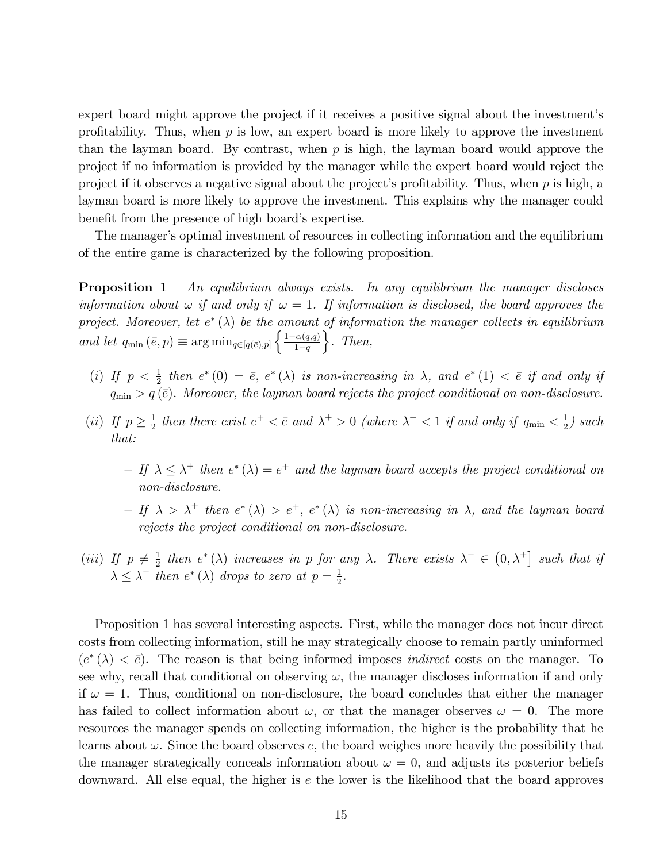expert board might approve the project if it receives a positive signal about the investment's profitability. Thus, when  $p$  is low, an expert board is more likely to approve the investment than the layman board. By contrast, when  $p$  is high, the layman board would approve the project if no information is provided by the manager while the expert board would reject the project if it observes a negative signal about the project's profitability. Thus, when  $p$  is high, a layman board is more likely to approve the investment. This explains why the manager could benefit from the presence of high board's expertise.

The manager's optimal investment of resources in collecting information and the equilibrium of the entire game is characterized by the following proposition.

**Proposition 1** An equilibrium always exists. In any equilibrium the manager discloses information about  $\omega$  if and only if  $\omega = 1$ . If information is disclosed, the board approves the project. Moreover, let  $e^*(\lambda)$  be the amount of information the manager collects in equilibrium and let  $q_{\min}(\bar{e}, p) \equiv \arg \min_{q \in [q(\bar{e}), p]} \left\{ \frac{1-\alpha(q,q)}{1-q} \right\}$  $1-q$  $\Big\}$ . Then,

- (i) If  $p < \frac{1}{2}$  then  $e^*(0) = \overline{e}$ ,  $e^*(\lambda)$  is non-increasing in  $\lambda$ , and  $e^*(1) < \overline{e}$  if and only if  $q_{\min} > q(\bar{e})$ . Moreover, the layman board rejects the project conditional on non-disclosure.
- (*ii*) If  $p \geq \frac{1}{2}$  $\frac{1}{2}$  then there exist  $e^+ < \bar{e}$  and  $\lambda^+ > 0$  (where  $\lambda^+ < 1$  if and only if  $q_{\min} < \frac{1}{2}$  $rac{1}{2}$ ) such that:
	- $-If \lambda \leq \lambda^+$  then  $e^* (\lambda) = e^+$  and the layman board accepts the project conditional on non-disclosure.
	- $-If \lambda > \lambda^+$  then  $e^*(\lambda) > e^+, e^*(\lambda)$  is non-increasing in  $\lambda$ , and the layman board rejects the project conditional on non-disclosure.
- (*iii*) If  $p \neq \frac{1}{2}$  $\frac{1}{2}$  then  $e^*(\lambda)$  increases in p for any  $\lambda$ . There exists  $\lambda^- \in (0, \lambda^+]$  such that if  $\lambda \leq \lambda^-$  then  $e^*(\lambda)$  drops to zero at  $p = \frac{1}{2}$  $\frac{1}{2}$ .

Proposition 1 has several interesting aspects. First, while the manager does not incur direct costs from collecting information, still he may strategically choose to remain partly uninformed  $(e^*(\lambda) < \bar{e})$ . The reason is that being informed imposes *indirect* costs on the manager. To see why, recall that conditional on observing  $\omega$ , the manager discloses information if and only if  $\omega = 1$ . Thus, conditional on non-disclosure, the board concludes that either the manager has failed to collect information about  $\omega$ , or that the manager observes  $\omega = 0$ . The more resources the manager spends on collecting information, the higher is the probability that he learns about  $\omega$ . Since the board observes e, the board weighes more heavily the possibility that the manager strategically conceals information about  $\omega = 0$ , and adjusts its posterior beliefs downward. All else equal, the higher is  $e$  the lower is the likelihood that the board approves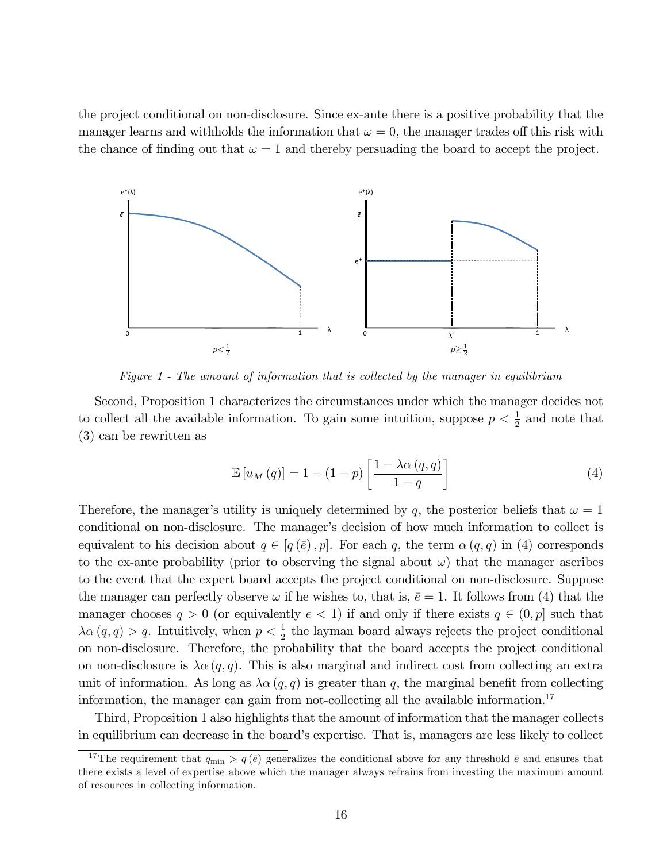the project conditional on non-disclosure. Since ex-ante there is a positive probability that the manager learns and withholds the information that  $\omega = 0$ , the manager trades off this risk with the chance of finding out that  $\omega = 1$  and thereby persuading the board to accept the project.



Figure 1 - The amount of information that is collected by the manager in equilibrium

Second, Proposition 1 characterizes the circumstances under which the manager decides not to collect all the available information. To gain some intuition, suppose  $p < \frac{1}{2}$  and note that (3) can be rewritten as

$$
\mathbb{E}\left[u_M\left(q\right)\right] = 1 - (1 - p) \left[\frac{1 - \lambda \alpha\left(q, q\right)}{1 - q}\right] \tag{4}
$$

Therefore, the manager's utility is uniquely determined by q, the posterior beliefs that  $\omega = 1$ conditional on non-disclosure. The manager's decision of how much information to collect is equivalent to his decision about  $q \in [q(\bar{e}), p]$ . For each q, the term  $\alpha(q, q)$  in (4) corresponds to the ex-ante probability (prior to observing the signal about  $\omega$ ) that the manager ascribes to the event that the expert board accepts the project conditional on non-disclosure. Suppose the manager can perfectly observe  $\omega$  if he wishes to, that is,  $\bar{e} = 1$ . It follows from (4) that the manager chooses  $q > 0$  (or equivalently  $e < 1$ ) if and only if there exists  $q \in (0, p]$  such that  $\lambda \alpha (q, q) > q$ . Intuitively, when  $p < \frac{1}{2}$  the layman board always rejects the project conditional on non-disclosure. Therefore, the probability that the board accepts the project conditional on non-disclosure is  $\lambda \alpha (q, q)$ . This is also marginal and indirect cost from collecting an extra unit of information. As long as  $\lambda \alpha (q, q)$  is greater than q, the marginal benefit from collecting information, the manager can gain from not-collecting all the available information.<sup>17</sup>

Third, Proposition 1 also highlights that the amount of information that the manager collects in equilibrium can decrease in the board's expertise. That is, managers are less likely to collect

<sup>&</sup>lt;sup>17</sup>The requirement that  $q_{\min} > q(\bar{e})$  generalizes the conditional above for any threshold  $\bar{e}$  and ensures that there exists a level of expertise above which the manager always refrains from investing the maximum amount of resources in collecting information.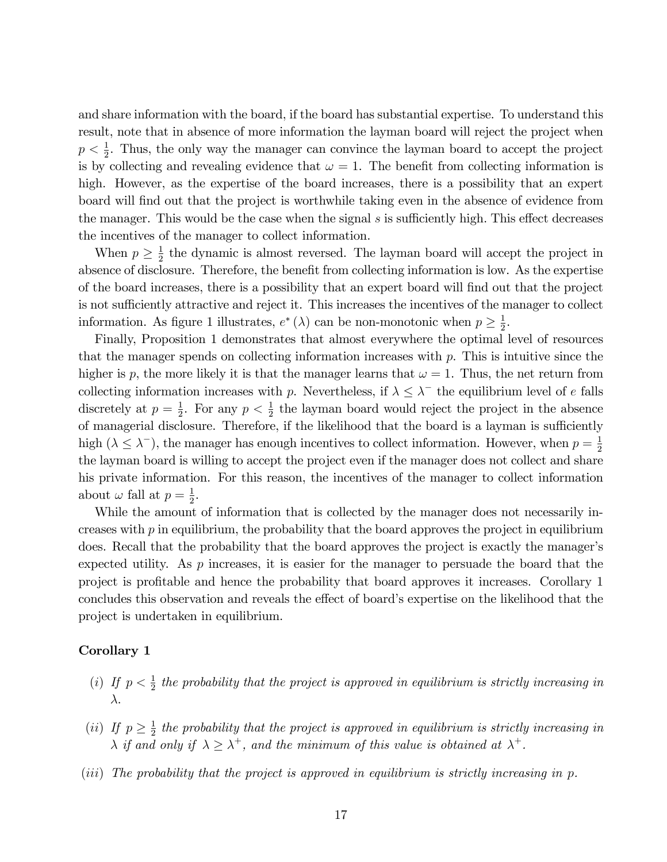and share information with the board, if the board has substantial expertise. To understand this result, note that in absence of more information the layman board will reject the project when  $p < \frac{1}{2}$ . Thus, the only way the manager can convince the layman board to accept the project is by collecting and revealing evidence that  $\omega = 1$ . The benefit from collecting information is high. However, as the expertise of the board increases, there is a possibility that an expert board will find out that the project is worthwhile taking even in the absence of evidence from the manager. This would be the case when the signal  $s$  is sufficiently high. This effect decreases the incentives of the manager to collect information.

When  $p \geq \frac{1}{2}$  $\frac{1}{2}$  the dynamic is almost reversed. The layman board will accept the project in absence of disclosure. Therefore, the benefit from collecting information is low. As the expertise of the board increases, there is a possibility that an expert board will Önd out that the project is not sufficiently attractive and reject it. This increases the incentives of the manager to collect information. As figure 1 illustrates,  $e^*(\lambda)$  can be non-monotonic when  $p \geq \frac{1}{2}$  $\frac{1}{2}$ .

Finally, Proposition 1 demonstrates that almost everywhere the optimal level of resources that the manager spends on collecting information increases with  $p$ . This is intuitive since the higher is p, the more likely it is that the manager learns that  $\omega = 1$ . Thus, the net return from collecting information increases with p. Nevertheless, if  $\lambda \leq \lambda^-$  the equilibrium level of e falls discretely at  $p=\frac{1}{2}$  $\frac{1}{2}$ . For any  $p < \frac{1}{2}$  the layman board would reject the project in the absence of managerial disclosure. Therefore, if the likelihood that the board is a layman is sufficiently high ( $\lambda \leq \lambda^{-}$ ), the manager has enough incentives to collect information. However, when  $p = \frac{1}{2}$ 2 the layman board is willing to accept the project even if the manager does not collect and share his private information. For this reason, the incentives of the manager to collect information about  $\omega$  fall at  $p=\frac{1}{2}$  $\frac{1}{2}$ .

While the amount of information that is collected by the manager does not necessarily increases with  $p$  in equilibrium, the probability that the board approves the project in equilibrium does. Recall that the probability that the board approves the project is exactly the manager's expected utility. As  $p$  increases, it is easier for the manager to persuade the board that the project is proÖtable and hence the probability that board approves it increases. Corollary 1 concludes this observation and reveals the effect of board's expertise on the likelihood that the project is undertaken in equilibrium.

#### Corollary 1

- (i) If  $p < \frac{1}{2}$  the probability that the project is approved in equilibrium is strictly increasing in  $\lambda$ .
- (*ii*) If  $p \geq \frac{1}{2}$  $\frac{1}{2}$  the probability that the project is approved in equilibrium is strictly increasing in  $\lambda$  if and only if  $\lambda \geq \lambda^+$ , and the minimum of this value is obtained at  $\lambda^+$ .
- (iii) The probability that the project is approved in equilibrium is strictly increasing in p.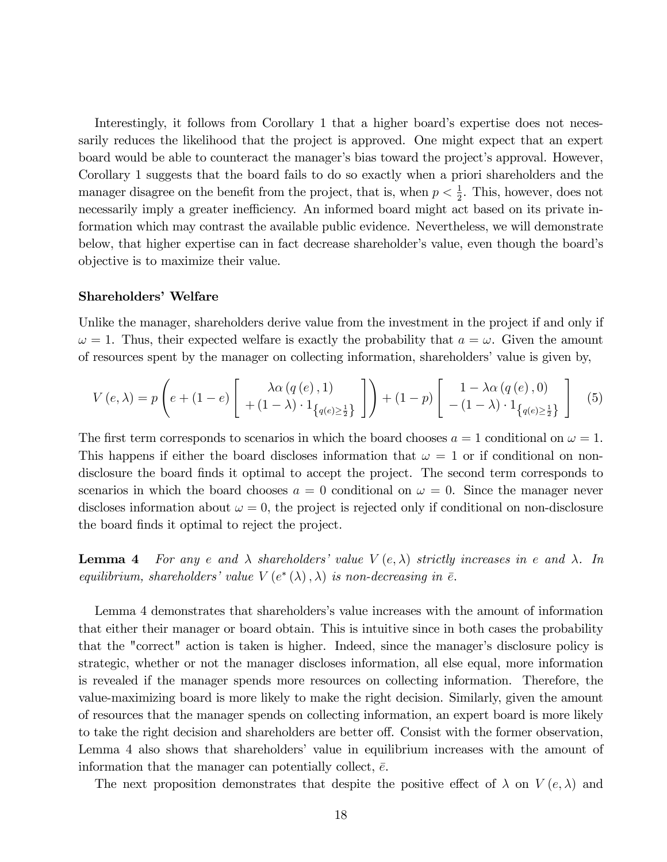Interestingly, it follows from Corollary 1 that a higher board's expertise does not necessarily reduces the likelihood that the project is approved. One might expect that an expert board would be able to counteract the manager's bias toward the project's approval. However, Corollary 1 suggests that the board fails to do so exactly when a priori shareholders and the manager disagree on the benefit from the project, that is, when  $p < \frac{1}{2}$ . This, however, does not necessarily imply a greater inefficiency. An informed board might act based on its private information which may contrast the available public evidence. Nevertheless, we will demonstrate below, that higher expertise can in fact decrease shareholder's value, even though the board's objective is to maximize their value.

#### Shareholders' Welfare

Unlike the manager, shareholders derive value from the investment in the project if and only if  $\omega = 1$ . Thus, their expected welfare is exactly the probability that  $a = \omega$ . Given the amount of resources spent by the manager on collecting information, shareholders' value is given by,

$$
V(e,\lambda) = p\left(e + (1-e)\begin{bmatrix} \lambda \alpha(q(e),1) \\ + (1-\lambda) \cdot 1_{\{q(e)\geq \frac{1}{2}\}} \end{bmatrix}\right) + (1-p)\begin{bmatrix} 1 - \lambda \alpha(q(e),0) \\ - (1-\lambda) \cdot 1_{\{q(e)\geq \frac{1}{2}\}} \end{bmatrix}
$$
(5)

The first term corresponds to scenarios in which the board chooses  $a = 1$  conditional on  $\omega = 1$ . This happens if either the board discloses information that  $\omega = 1$  or if conditional on nondisclosure the board finds it optimal to accept the project. The second term corresponds to scenarios in which the board chooses  $a = 0$  conditional on  $\omega = 0$ . Since the manager never discloses information about  $\omega = 0$ , the project is rejected only if conditional on non-disclosure the board finds it optimal to reject the project.

**Lemma 4** For any e and  $\lambda$  shareholders' value  $V(e, \lambda)$  strictly increases in e and  $\lambda$ . In equilibrium, shareholders' value  $V(e^*(\lambda), \lambda)$  is non-decreasing in  $\bar{e}$ .

Lemma 4 demonstrates that shareholders's value increases with the amount of information that either their manager or board obtain. This is intuitive since in both cases the probability that the "correct" action is taken is higher. Indeed, since the manager's disclosure policy is strategic, whether or not the manager discloses information, all else equal, more information is revealed if the manager spends more resources on collecting information. Therefore, the value-maximizing board is more likely to make the right decision. Similarly, given the amount of resources that the manager spends on collecting information, an expert board is more likely to take the right decision and shareholders are better off. Consist with the former observation, Lemma 4 also shows that shareholders' value in equilibrium increases with the amount of information that the manager can potentially collect,  $\bar{e}$ .

The next proposition demonstrates that despite the positive effect of  $\lambda$  on  $V(e,\lambda)$  and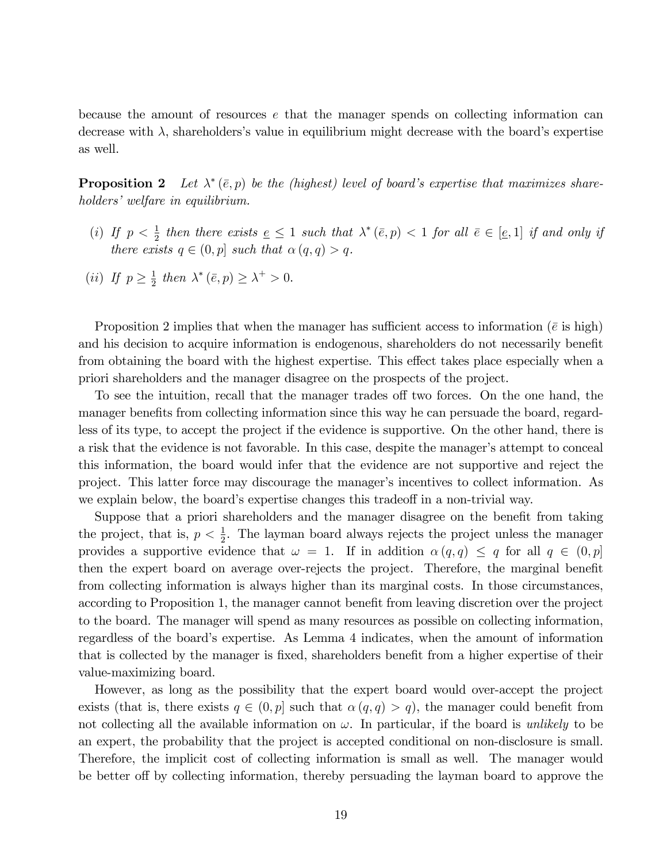because the amount of resources e that the manager spends on collecting information can decrease with  $\lambda$ , shareholders's value in equilibrium might decrease with the board's expertise as well.

**Proposition 2** Let  $\lambda^*(\bar{e}, p)$  be the (highest) level of board's expertise that maximizes shareholders' welfare in equilibrium.

- (i) If  $p < \frac{1}{2}$  then there exists  $\underline{e} \leq 1$  such that  $\lambda^*(\overline{e}, p) < 1$  for all  $\overline{e} \in [\underline{e}, 1]$  if and only if there exists  $q \in (0, p]$  such that  $\alpha (q, q) > q$ .
- (*ii*) If  $p \geq \frac{1}{2}$  $\frac{1}{2}$  then  $\lambda^*(\bar{e}, p) \geq \lambda^+ > 0$ .

Proposition 2 implies that when the manager has sufficient access to information ( $\bar{e}$  is high) and his decision to acquire information is endogenous, shareholders do not necessarily benefit from obtaining the board with the highest expertise. This effect takes place especially when a priori shareholders and the manager disagree on the prospects of the project.

To see the intuition, recall that the manager trades off two forces. On the one hand, the manager benefits from collecting information since this way he can persuade the board, regardless of its type, to accept the project if the evidence is supportive. On the other hand, there is a risk that the evidence is not favorable. In this case, despite the manager's attempt to conceal this information, the board would infer that the evidence are not supportive and reject the project. This latter force may discourage the manager's incentives to collect information. As we explain below, the board's expertise changes this tradeoff in a non-trivial way.

Suppose that a priori shareholders and the manager disagree on the benefit from taking the project, that is,  $p < \frac{1}{2}$ . The layman board always rejects the project unless the manager provides a supportive evidence that  $\omega = 1$ . If in addition  $\alpha(q, q) \leq q$  for all  $q \in (0, p]$ then the expert board on average over-rejects the project. Therefore, the marginal benefit from collecting information is always higher than its marginal costs. In those circumstances, according to Proposition 1, the manager cannot benefit from leaving discretion over the project to the board. The manager will spend as many resources as possible on collecting information, regardless of the board's expertise. As Lemma 4 indicates, when the amount of information that is collected by the manager is fixed, shareholders benefit from a higher expertise of their value-maximizing board.

However, as long as the possibility that the expert board would over-accept the project exists (that is, there exists  $q \in (0, p]$  such that  $\alpha (q, q) > q$ ), the manager could benefit from not collecting all the available information on  $\omega$ . In particular, if the board is unlikely to be an expert, the probability that the project is accepted conditional on non-disclosure is small. Therefore, the implicit cost of collecting information is small as well. The manager would be better off by collecting information, thereby persuading the layman board to approve the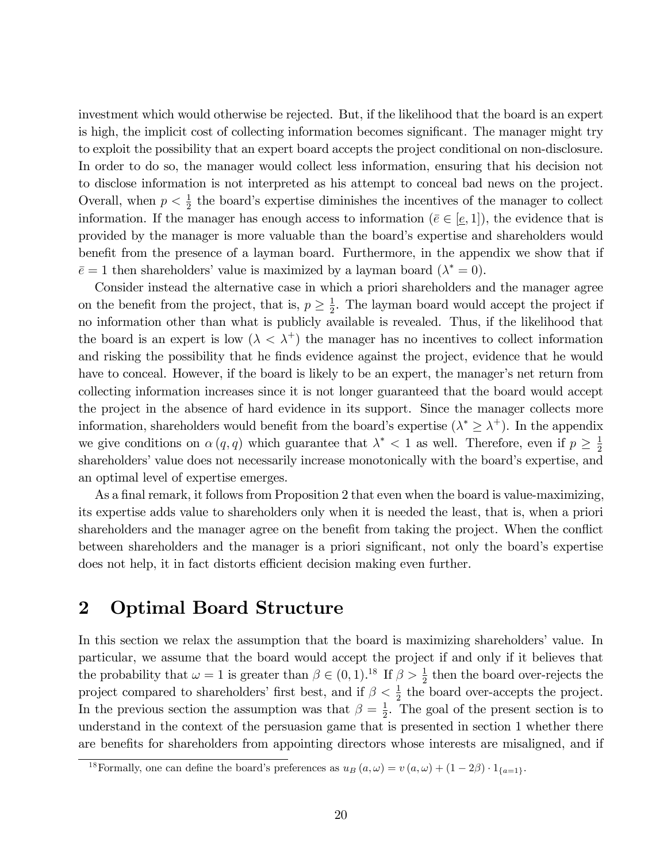investment which would otherwise be rejected. But, if the likelihood that the board is an expert is high, the implicit cost of collecting information becomes significant. The manager might try to exploit the possibility that an expert board accepts the project conditional on non-disclosure. In order to do so, the manager would collect less information, ensuring that his decision not to disclose information is not interpreted as his attempt to conceal bad news on the project. Overall, when  $p < \frac{1}{2}$  the board's expertise diminishes the incentives of the manager to collect information. If the manager has enough access to information  $(\bar{e} \in [\underline{e}, 1])$ , the evidence that is provided by the manager is more valuable than the boardís expertise and shareholders would benefit from the presence of a layman board. Furthermore, in the appendix we show that if  $\bar{e} = 1$  then shareholders' value is maximized by a layman board  $(\lambda^* = 0)$ .

Consider instead the alternative case in which a priori shareholders and the manager agree on the benefit from the project, that is,  $p \geq \frac{1}{2}$  $\frac{1}{2}$ . The layman board would accept the project if no information other than what is publicly available is revealed. Thus, if the likelihood that the board is an expert is low  $(\lambda < \lambda^+)$  the manager has no incentives to collect information and risking the possibility that he finds evidence against the project, evidence that he would have to conceal. However, if the board is likely to be an expert, the manager's net return from collecting information increases since it is not longer guaranteed that the board would accept the project in the absence of hard evidence in its support. Since the manager collects more information, shareholders would benefit from the board's expertise  $(\lambda^* \geq \lambda^+)$ . In the appendix we give conditions on  $\alpha(q,q)$  which guarantee that  $\lambda^*$  < 1 as well. Therefore, even if  $p \geq \frac{1}{2}$ 2 shareholders' value does not necessarily increase monotonically with the board's expertise, and an optimal level of expertise emerges.

As a final remark, it follows from Proposition 2 that even when the board is value-maximizing, its expertise adds value to shareholders only when it is needed the least, that is, when a priori shareholders and the manager agree on the benefit from taking the project. When the conflict between shareholders and the manager is a priori significant, not only the board's expertise does not help, it in fact distorts efficient decision making even further.

# 2 Optimal Board Structure

In this section we relax the assumption that the board is maximizing shareholders' value. In particular, we assume that the board would accept the project if and only if it believes that the probability that  $\omega = 1$  is greater than  $\beta \in (0, 1)$ .<sup>18</sup> If  $\beta > \frac{1}{2}$  then the board over-rejects the project compared to shareholders' first best, and if  $\beta < \frac{1}{2}$  the board over-accepts the project. In the previous section the assumption was that  $\beta = \frac{1}{2}$  $\frac{1}{2}$ . The goal of the present section is to understand in the context of the persuasion game that is presented in section 1 whether there are benefits for shareholders from appointing directors whose interests are misaligned, and if

<sup>&</sup>lt;sup>18</sup>Formally, one can define the board's preferences as  $u_B(a,\omega) = v(a,\omega) + (1-2\beta) \cdot 1_{\{a=1\}}$ .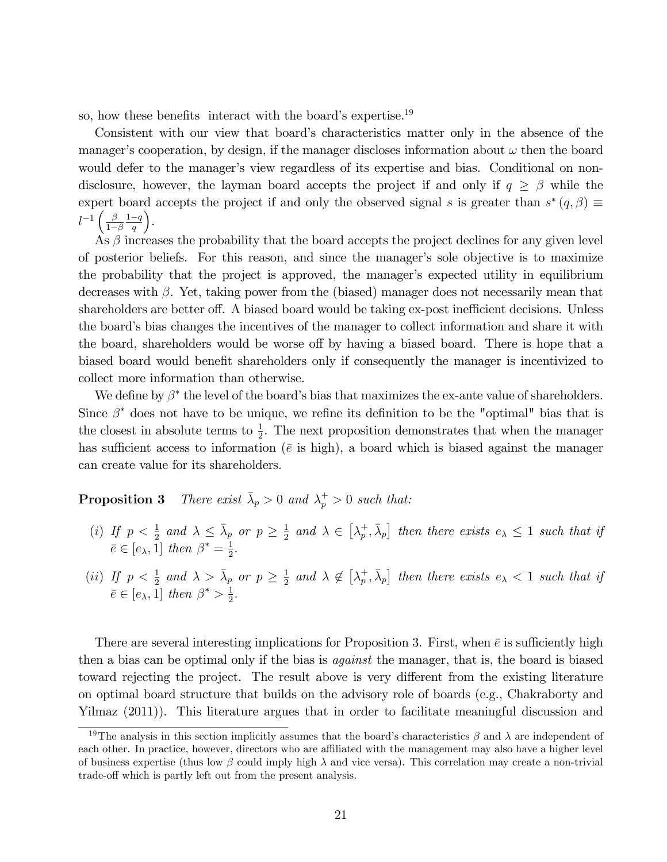so, how these benefits interact with the board's expertise.<sup>19</sup>

Consistent with our view that board's characteristics matter only in the absence of the manager's cooperation, by design, if the manager discloses information about  $\omega$  then the board would defer to the manager's view regardless of its expertise and bias. Conditional on nondisclosure, however, the layman board accepts the project if and only if  $q \geq \beta$  while the expert board accepts the project if and only the observed signal s is greater than  $s^*(q, \beta) \equiv$  $l^{-1}\left(\frac{\beta}{1-\beta}\right)$  $1-\beta$  $rac{1-q}{q}$ .

 $\hat{A}$ s  $\beta$  increases the probability that the board accepts the project declines for any given level of posterior beliefs. For this reason, and since the managerís sole objective is to maximize the probability that the project is approved, the manager's expected utility in equilibrium decreases with  $\beta$ . Yet, taking power from the (biased) manager does not necessarily mean that shareholders are better of f. A biased board would be taking ex-post inefficient decisions. Unless the board's bias changes the incentives of the manager to collect information and share it with the board, shareholders would be worse off by having a biased board. There is hope that a biased board would benefit shareholders only if consequently the manager is incentivized to collect more information than otherwise.

We define by  $\beta^*$  the level of the board's bias that maximizes the ex-ante value of shareholders. Since  $\beta^*$  does not have to be unique, we refine its definition to be the "optimal" bias that is the closest in absolute terms to  $\frac{1}{2}$ . The next proposition demonstrates that when the manager has sufficient access to information ( $\bar{e}$  is high), a board which is biased against the manager can create value for its shareholders.

**Proposition 3** There exist  $\bar{\lambda}_p > 0$  and  $\lambda_p^+ > 0$  such that:

- (i) If  $p < \frac{1}{2}$  and  $\lambda \leq \overline{\lambda}_p$  or  $p \geq \frac{1}{2}$  $\frac{1}{2}$  and  $\lambda \in [\lambda_p^+]$  $\left[ \frac{1}{p}, \bar{\lambda}_p \right]$  then there exists  $e_{\lambda} \leq 1$  such that if  $\bar{e} \in [e_{\lambda}, 1]$  then  $\beta^* = \frac{1}{2}$  $\frac{1}{2}$ .
- (*ii*) If  $p < \frac{1}{2}$  and  $\lambda > \overline{\lambda}_p$  or  $p \geq \frac{1}{2}$  $\frac{1}{2}$  and  $\lambda \notin [\lambda_p^+]$  $\left[ \frac{1}{p}, \bar{\lambda}_p \right]$  then there exists  $e_{\lambda} < 1$  such that if  $\bar{e} \in [e_{\lambda}, 1]$  then  $\beta^* > \frac{1}{2}$  $\frac{1}{2}$ .

There are several interesting implications for Proposition 3. First, when  $\bar{e}$  is sufficiently high then a bias can be optimal only if the bias is against the manager, that is, the board is biased toward rejecting the project. The result above is very different from the existing literature on optimal board structure that builds on the advisory role of boards (e.g., Chakraborty and Yilmaz (2011)). This literature argues that in order to facilitate meaningful discussion and

<sup>&</sup>lt;sup>19</sup>The analysis in this section implicitly assumes that the board's characteristics  $\beta$  and  $\lambda$  are independent of each other. In practice, however, directors who are affiliated with the management may also have a higher level of business expertise (thus low  $\beta$  could imply high  $\lambda$  and vice versa). This correlation may create a non-trivial trade-off which is partly left out from the present analysis.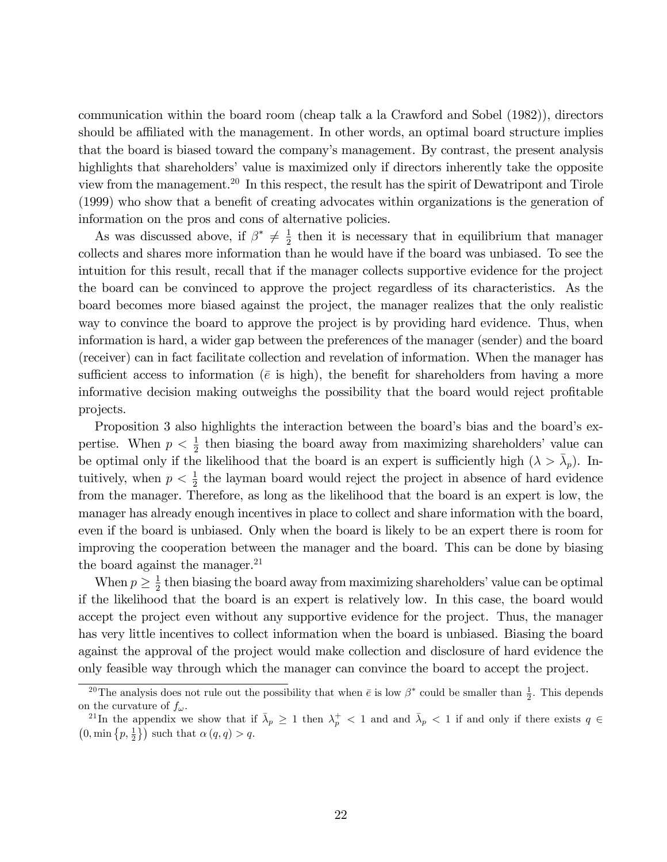communication within the board room (cheap talk a la Crawford and Sobel (1982)), directors should be affiliated with the management. In other words, an optimal board structure implies that the board is biased toward the companyís management. By contrast, the present analysis highlights that shareholders' value is maximized only if directors inherently take the opposite view from the management.<sup>20</sup> In this respect, the result has the spirit of Dewatripont and Tirole (1999) who show that a benefit of creating advocates within organizations is the generation of information on the pros and cons of alternative policies.

As was discussed above, if  $\beta^* \neq \frac{1}{2}$  $\frac{1}{2}$  then it is necessary that in equilibrium that manager collects and shares more information than he would have if the board was unbiased. To see the intuition for this result, recall that if the manager collects supportive evidence for the project the board can be convinced to approve the project regardless of its characteristics. As the board becomes more biased against the project, the manager realizes that the only realistic way to convince the board to approve the project is by providing hard evidence. Thus, when information is hard, a wider gap between the preferences of the manager (sender) and the board (receiver) can in fact facilitate collection and revelation of information. When the manager has sufficient access to information ( $\bar{e}$  is high), the benefit for shareholders from having a more informative decision making outweighs the possibility that the board would reject profitable projects.

Proposition 3 also highlights the interaction between the board's bias and the board's expertise. When  $p < \frac{1}{2}$  then biasing the board away from maximizing shareholders' value can be optimal only if the likelihood that the board is an expert is sufficiently high  $(\lambda > \bar{\lambda}_p)$ . Intuitively, when  $p < \frac{1}{2}$  the layman board would reject the project in absence of hard evidence from the manager. Therefore, as long as the likelihood that the board is an expert is low, the manager has already enough incentives in place to collect and share information with the board, even if the board is unbiased. Only when the board is likely to be an expert there is room for improving the cooperation between the manager and the board. This can be done by biasing the board against the manager. $^{21}$ 

When  $p \geq \frac{1}{2}$  $\frac{1}{2}$  then biasing the board away from maximizing shareholders' value can be optimal if the likelihood that the board is an expert is relatively low. In this case, the board would accept the project even without any supportive evidence for the project. Thus, the manager has very little incentives to collect information when the board is unbiased. Biasing the board against the approval of the project would make collection and disclosure of hard evidence the only feasible way through which the manager can convince the board to accept the project.

<sup>&</sup>lt;sup>20</sup>The analysis does not rule out the possibility that when  $\bar{e}$  is low  $\beta^*$  could be smaller than  $\frac{1}{2}$ . This depends on the curvature of  $f_{\omega}$ .

<sup>&</sup>lt;sup>21</sup>In the appendix we show that if  $\bar{\lambda}_p \geq 1$  then  $\lambda_p^+ < 1$  and and  $\bar{\lambda}_p < 1$  if and only if there exists  $q \in$  $(0, \min\{p, \frac{1}{2}\})$  such that  $\alpha(q, q) > q$ .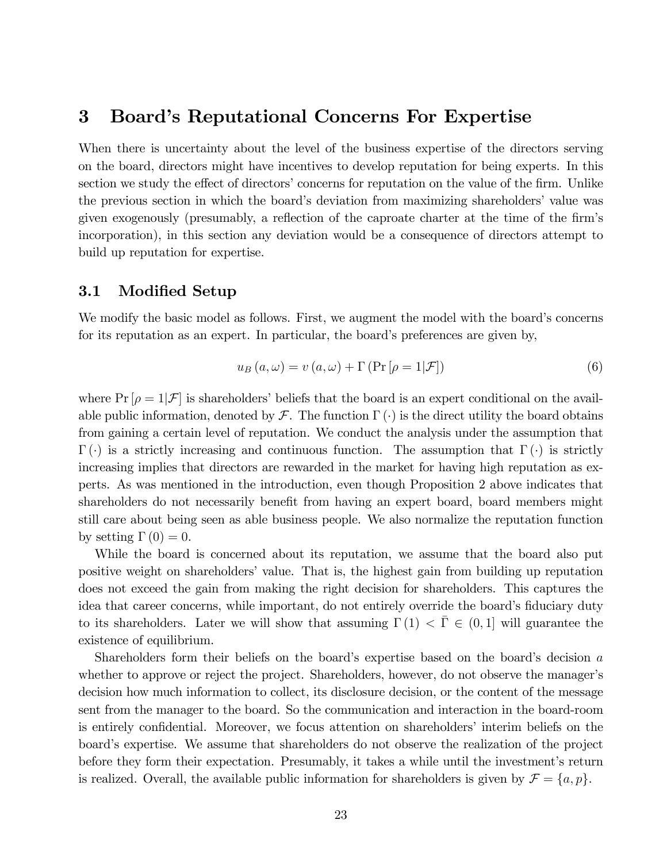### 3 Board's Reputational Concerns For Expertise

When there is uncertainty about the level of the business expertise of the directors serving on the board, directors might have incentives to develop reputation for being experts. In this section we study the effect of directors' concerns for reputation on the value of the firm. Unlike the previous section in which the board's deviation from maximizing shareholders' value was given exogenously (presumably, a reflection of the caproate charter at the time of the firm's incorporation), in this section any deviation would be a consequence of directors attempt to build up reputation for expertise.

#### 3.1 Modified Setup

We modify the basic model as follows. First, we augment the model with the board's concerns for its reputation as an expert. In particular, the board's preferences are given by,

$$
u_B(a,\omega) = v(a,\omega) + \Gamma(\Pr[\rho = 1|\mathcal{F}])
$$
\n(6)

where  $Pr[\rho = 1|\mathcal{F}]$  is shareholders' beliefs that the board is an expert conditional on the available public information, denoted by  $\mathcal F$ . The function  $\Gamma(\cdot)$  is the direct utility the board obtains from gaining a certain level of reputation. We conduct the analysis under the assumption that  $\Gamma(\cdot)$  is a strictly increasing and continuous function. The assumption that  $\Gamma(\cdot)$  is strictly increasing implies that directors are rewarded in the market for having high reputation as experts. As was mentioned in the introduction, even though Proposition 2 above indicates that shareholders do not necessarily benefit from having an expert board, board members might still care about being seen as able business people. We also normalize the reputation function by setting  $\Gamma(0) = 0$ .

While the board is concerned about its reputation, we assume that the board also put positive weight on shareholders' value. That is, the highest gain from building up reputation does not exceed the gain from making the right decision for shareholders. This captures the idea that career concerns, while important, do not entirely override the board's fiduciary duty to its shareholders. Later we will show that assuming  $\Gamma(1) < \overline{\Gamma} \in (0,1]$  will guarantee the existence of equilibrium.

Shareholders form their beliefs on the board's expertise based on the board's decision  $a$ whether to approve or reject the project. Shareholders, however, do not observe the manager's decision how much information to collect, its disclosure decision, or the content of the message sent from the manager to the board. So the communication and interaction in the board-room is entirely confidential. Moreover, we focus attention on shareholders' interim beliefs on the board's expertise. We assume that shareholders do not observe the realization of the project before they form their expectation. Presumably, it takes a while until the investment's return is realized. Overall, the available public information for shareholders is given by  $\mathcal{F} = \{a, p\}.$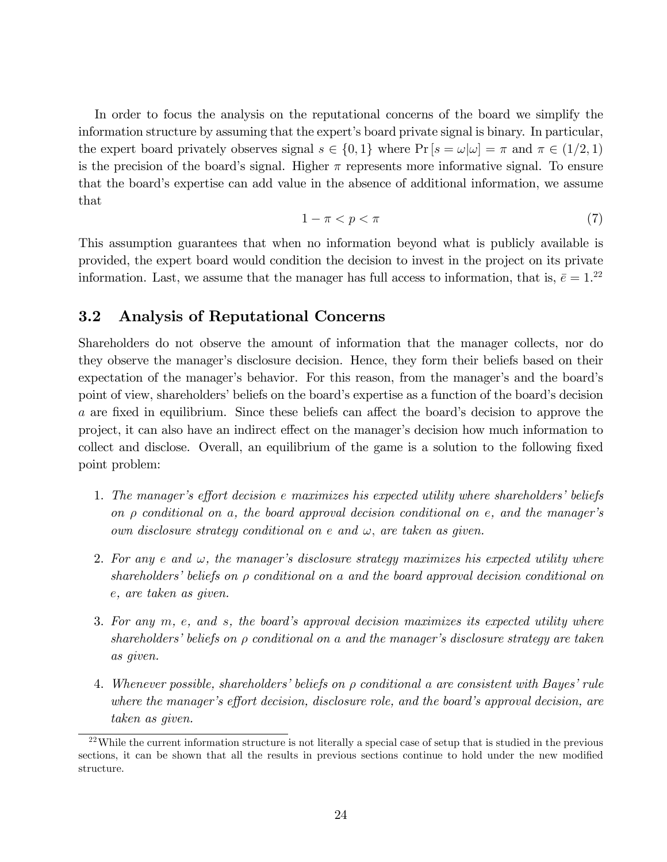In order to focus the analysis on the reputational concerns of the board we simplify the information structure by assuming that the expert's board private signal is binary. In particular, the expert board privately observes signal  $s \in \{0, 1\}$  where  $\Pr[s = \omega | \omega] = \pi$  and  $\pi \in (1/2, 1)$ is the precision of the board's signal. Higher  $\pi$  represents more informative signal. To ensure that the boardís expertise can add value in the absence of additional information, we assume that

$$
1 - \pi < p < \pi \tag{7}
$$

This assumption guarantees that when no information beyond what is publicly available is provided, the expert board would condition the decision to invest in the project on its private information. Last, we assume that the manager has full access to information, that is,  $\bar{e} = 1.^{22}$ 

### 3.2 Analysis of Reputational Concerns

Shareholders do not observe the amount of information that the manager collects, nor do they observe the manager's disclosure decision. Hence, they form their beliefs based on their expectation of the manager's behavior. For this reason, from the manager's and the board's point of view, shareholders' beliefs on the board's expertise as a function of the board's decision a are fixed in equilibrium. Since these beliefs can affect the board's decision to approve the project, it can also have an indirect effect on the manager's decision how much information to collect and disclose. Overall, an equilibrium of the game is a solution to the following fixed point problem:

- 1. The manager's effort decision e maximizes his expected utility where shareholders' beliefs on  $\rho$  conditional on a, the board approval decision conditional on e, and the manager's own disclosure strategy conditional on e and  $\omega$ , are taken as given.
- 2. For any e and  $\omega$ , the manager's disclosure strategy maximizes his expected utility where shareholders' beliefs on  $\rho$  conditional on a and the board approval decision conditional on e, are taken as given.
- 3. For any  $m$ , e, and s, the board's approval decision maximizes its expected utility where shareholders' beliefs on  $\rho$  conditional on a and the manager's disclosure strategy are taken as given.
- 4. Whenever possible, shareholders' beliefs on  $\rho$  conditional a are consistent with Bayes' rule where the manager's effort decision, disclosure role, and the board's approval decision, are taken as given.

 $22$ While the current information structure is not literally a special case of setup that is studied in the previous sections, it can be shown that all the results in previous sections continue to hold under the new modified structure.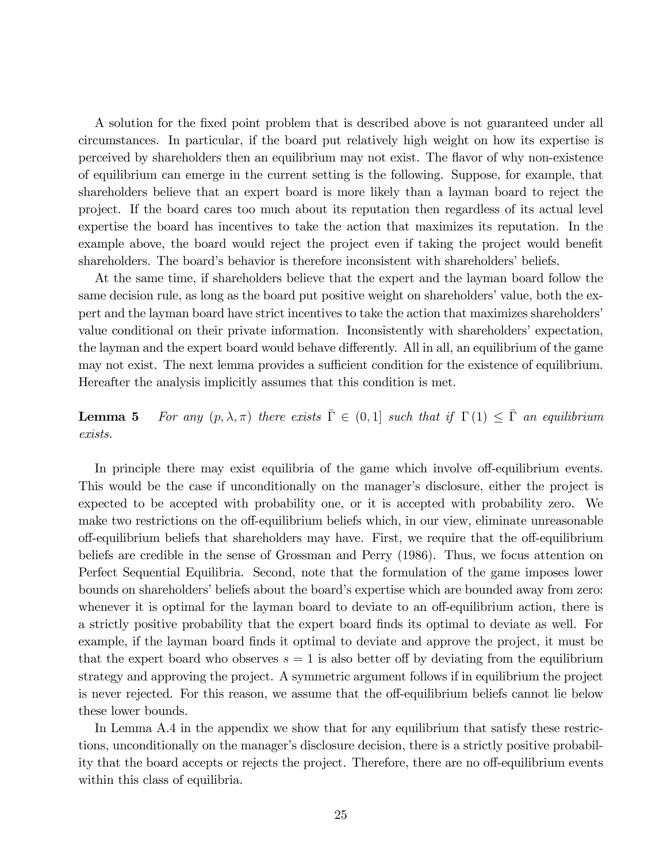A solution for the Öxed point problem that is described above is not guaranteed under all circumstances. In particular, if the board put relatively high weight on how its expertise is perceived by shareholders then an equilibrium may not exist. The áavor of why non-existence of equilibrium can emerge in the current setting is the following. Suppose, for example, that shareholders believe that an expert board is more likely than a layman board to reject the project. If the board cares too much about its reputation then regardless of its actual level expertise the board has incentives to take the action that maximizes its reputation. In the example above, the board would reject the project even if taking the project would benefit shareholders. The board's behavior is therefore inconsistent with shareholders' beliefs.

At the same time, if shareholders believe that the expert and the layman board follow the same decision rule, as long as the board put positive weight on shareholders' value, both the expert and the layman board have strict incentives to take the action that maximizes shareholders' value conditional on their private information. Inconsistently with shareholders' expectation, the layman and the expert board would behave differently. All in all, an equilibrium of the game may not exist. The next lemma provides a sufficient condition for the existence of equilibrium. Hereafter the analysis implicitly assumes that this condition is met.

**Lemma 5** For any  $(p, \lambda, \pi)$  there exists  $\overline{\Gamma} \in (0, 1]$  such that if  $\Gamma(1) \leq \overline{\Gamma}$  an equilibrium exists.

In principle there may exist equilibria of the game which involve off-equilibrium events. This would be the case if unconditionally on the manager's disclosure, either the project is expected to be accepted with probability one, or it is accepted with probability zero. We make two restrictions on the off-equilibrium beliefs which, in our view, eliminate unreasonable off-equilibrium beliefs that shareholders may have. First, we require that the off-equilibrium beliefs are credible in the sense of Grossman and Perry (1986). Thus, we focus attention on Perfect Sequential Equilibria. Second, note that the formulation of the game imposes lower bounds on shareholders' beliefs about the board's expertise which are bounded away from zero: whenever it is optimal for the layman board to deviate to an off-equilibrium action, there is a strictly positive probability that the expert board finds its optimal to deviate as well. For example, if the layman board finds it optimal to deviate and approve the project, it must be that the expert board who observes  $s = 1$  is also better of by deviating from the equilibrium strategy and approving the project. A symmetric argument follows if in equilibrium the project is never rejected. For this reason, we assume that the off-equilibrium beliefs cannot lie below these lower bounds.

In Lemma A.4 in the appendix we show that for any equilibrium that satisfy these restrictions, unconditionally on the manager's disclosure decision, there is a strictly positive probability that the board accepts or rejects the project. Therefore, there are no off-equilibrium events within this class of equilibria.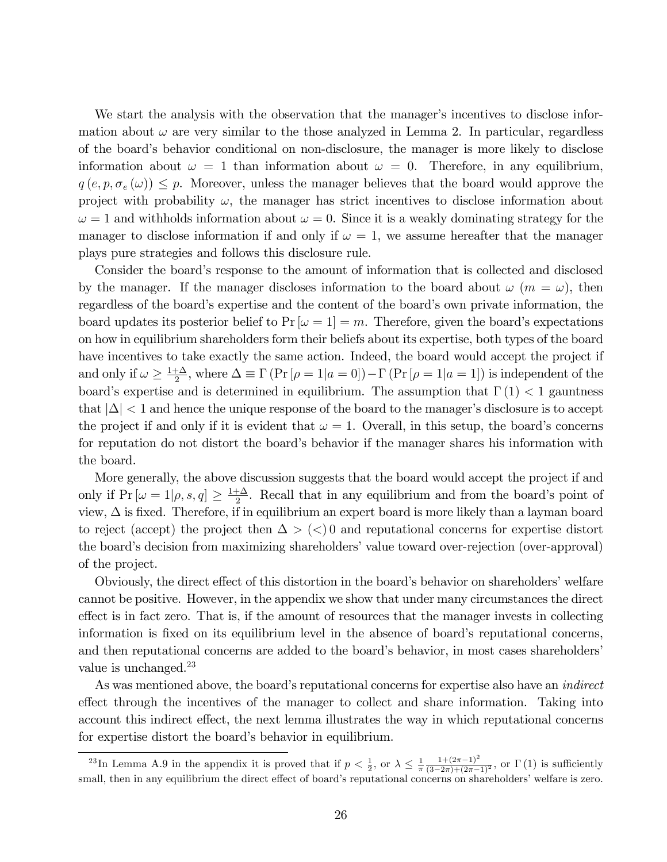We start the analysis with the observation that the manager's incentives to disclose information about  $\omega$  are very similar to the those analyzed in Lemma 2. In particular, regardless of the boardís behavior conditional on non-disclosure, the manager is more likely to disclose information about  $\omega = 1$  than information about  $\omega = 0$ . Therefore, in any equilibrium,  $q(e, p, \sigma_e(\omega)) \leq p$ . Moreover, unless the manager believes that the board would approve the project with probability  $\omega$ , the manager has strict incentives to disclose information about  $\omega = 1$  and withholds information about  $\omega = 0$ . Since it is a weakly dominating strategy for the manager to disclose information if and only if  $\omega = 1$ , we assume hereafter that the manager plays pure strategies and follows this disclosure rule.

Consider the board's response to the amount of information that is collected and disclosed by the manager. If the manager discloses information to the board about  $\omega$  ( $m = \omega$ ), then regardless of the board's expertise and the content of the board's own private information, the board updates its posterior belief to  $Pr[\omega = 1] = m$ . Therefore, given the board's expectations on how in equilibrium shareholders form their beliefs about its expertise, both types of the board have incentives to take exactly the same action. Indeed, the board would accept the project if and only if  $\omega \geq \frac{1+\Delta}{2}$  $\frac{\pm \Delta}{2}$ , where  $\Delta \equiv \Gamma(\Pr[\rho = 1|a = 0]) - \Gamma(\Pr[\rho = 1|a = 1])$  is independent of the board's expertise and is determined in equilibrium. The assumption that  $\Gamma(1) < 1$  gauntness that  $|\Delta| < 1$  and hence the unique response of the board to the manager's disclosure is to accept the project if and only if it is evident that  $\omega = 1$ . Overall, in this setup, the board's concerns for reputation do not distort the board's behavior if the manager shares his information with the board.

More generally, the above discussion suggests that the board would accept the project if and only if  $Pr[\omega = 1 | \rho, s, q] \ge \frac{1 + \Delta}{2}$  $\frac{1}{2}$ . Recall that in any equilibrium and from the board's point of view,  $\Delta$  is fixed. Therefore, if in equilibrium an expert board is more likely than a layman board to reject (accept) the project then  $\Delta > \langle \langle \rangle$  and reputational concerns for expertise distort the board's decision from maximizing shareholders' value toward over-rejection (over-approval) of the project.

Obviously, the direct effect of this distortion in the board's behavior on shareholders' welfare cannot be positive. However, in the appendix we show that under many circumstances the direct effect is in fact zero. That is, if the amount of resources that the manager invests in collecting information is fixed on its equilibrium level in the absence of board's reputational concerns, and then reputational concerns are added to the board's behavior, in most cases shareholders' value is unchanged.<sup>23</sup>

As was mentioned above, the board's reputational concerns for expertise also have an *indirect* effect through the incentives of the manager to collect and share information. Taking into account this indirect effect, the next lemma illustrates the way in which reputational concerns for expertise distort the board's behavior in equilibrium.

<sup>&</sup>lt;sup>23</sup>In Lemma A.9 in the appendix it is proved that if  $p < \frac{1}{2}$ , or  $\lambda \leq \frac{1}{\pi} \frac{1 + (2\pi - 1)^2}{(3 - 2\pi) + (2\pi - 1)^2}$ , or  $\Gamma(1)$  is sufficiently small, then in any equilibrium the direct effect of board's reputational concerns on shareholders' welfare is zero.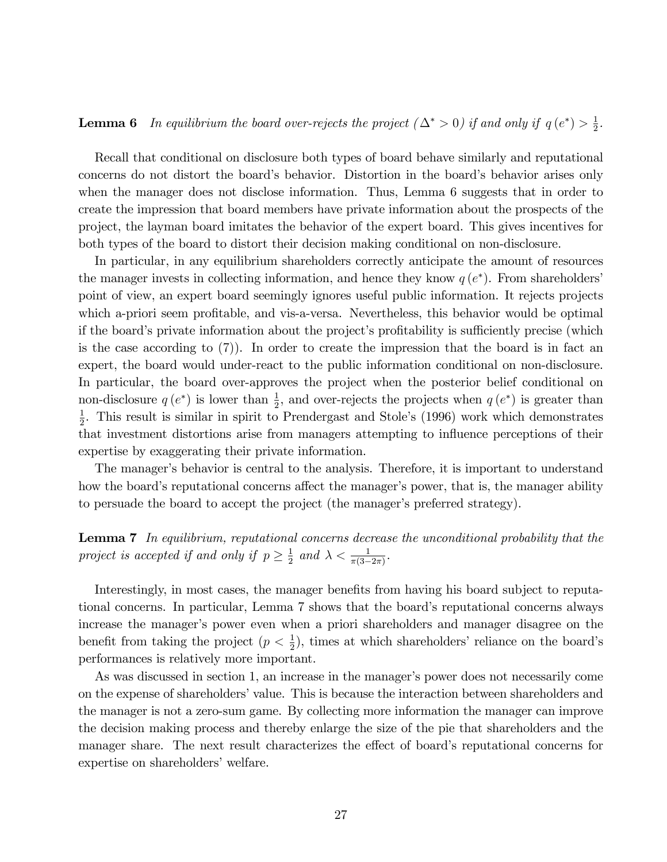#### **Lemma 6** In equilibrium the board over-rejects the project  $(\Delta^* > 0)$  if and only if  $q(e^*) > \frac{1}{2}$  $\frac{1}{2}$ .

Recall that conditional on disclosure both types of board behave similarly and reputational concerns do not distort the board's behavior. Distortion in the board's behavior arises only when the manager does not disclose information. Thus, Lemma 6 suggests that in order to create the impression that board members have private information about the prospects of the project, the layman board imitates the behavior of the expert board. This gives incentives for both types of the board to distort their decision making conditional on non-disclosure.

In particular, in any equilibrium shareholders correctly anticipate the amount of resources the manager invests in collecting information, and hence they know  $q(e^*)$ . From shareholders' point of view, an expert board seemingly ignores useful public information. It rejects projects which a-priori seem profitable, and vis-a-versa. Nevertheless, this behavior would be optimal if the board's private information about the project's profitability is sufficiently precise (which is the case according to (7)). In order to create the impression that the board is in fact an expert, the board would under-react to the public information conditional on non-disclosure. In particular, the board over-approves the project when the posterior belief conditional on non-disclosure  $q(e^*)$  is lower than  $\frac{1}{2}$ , and over-rejects the projects when  $q(e^*)$  is greater than 1  $\frac{1}{2}$ . This result is similar in spirit to Prendergast and Stole's (1996) work which demonstrates that investment distortions arise from managers attempting to ináuence perceptions of their expertise by exaggerating their private information.

The manager's behavior is central to the analysis. Therefore, it is important to understand how the board's reputational concerns affect the manager's power, that is, the manager ability to persuade the board to accept the project (the manager's preferred strategy).

**Lemma 7** In equilibrium, reputational concerns decrease the unconditional probability that the project is accepted if and only if  $p \geq \frac{1}{2}$  $\frac{1}{2}$  and  $\lambda < \frac{1}{\pi(3-2\pi)}$ .

Interestingly, in most cases, the manager benefits from having his board subject to reputational concerns. In particular, Lemma 7 shows that the board's reputational concerns always increase the manager's power even when a priori shareholders and manager disagree on the benefit from taking the project  $(p < \frac{1}{2})$ , times at which shareholders' reliance on the board's performances is relatively more important.

As was discussed in section 1, an increase in the manager's power does not necessarily come on the expense of shareholders' value. This is because the interaction between shareholders and the manager is not a zero-sum game. By collecting more information the manager can improve the decision making process and thereby enlarge the size of the pie that shareholders and the manager share. The next result characterizes the effect of board's reputational concerns for expertise on shareholders' welfare.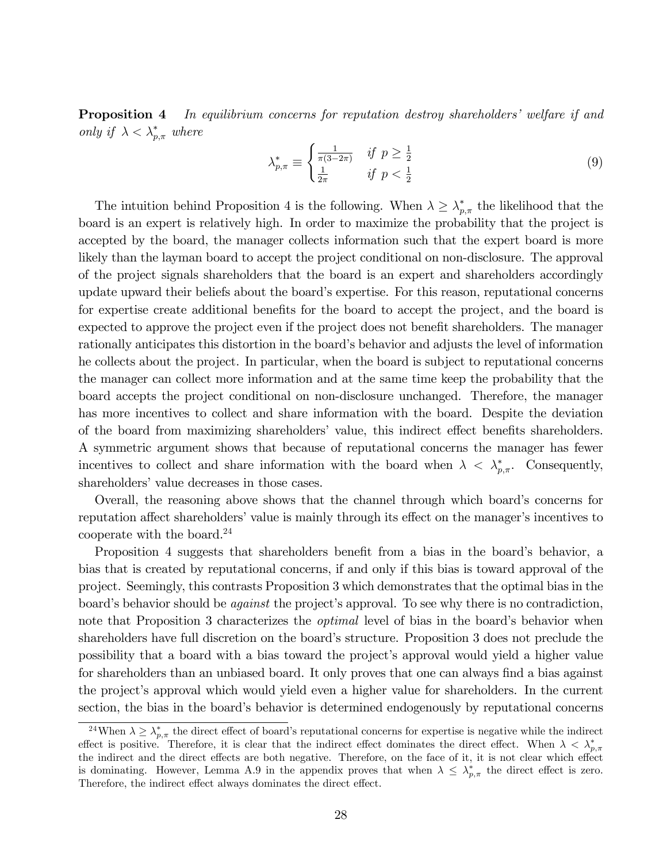**Proposition 4** In equilibrium concerns for reputation destroy shareholders' welfare if and only if  $\lambda < \lambda_{p,\pi}^*$  where

$$
\lambda_{p,\pi}^* \equiv \begin{cases} \frac{1}{\pi(3-2\pi)} & \text{if } p \ge \frac{1}{2} \\ \frac{1}{2\pi} & \text{if } p < \frac{1}{2} \end{cases}
$$
 (9)

The intuition behind Proposition 4 is the following. When  $\lambda \geq \lambda_{p,\pi}^{*}$  the likelihood that the board is an expert is relatively high. In order to maximize the probability that the project is accepted by the board, the manager collects information such that the expert board is more likely than the layman board to accept the project conditional on non-disclosure. The approval of the project signals shareholders that the board is an expert and shareholders accordingly update upward their beliefs about the boardís expertise. For this reason, reputational concerns for expertise create additional benefits for the board to accept the project, and the board is expected to approve the project even if the project does not benefit shareholders. The manager rationally anticipates this distortion in the board's behavior and adjusts the level of information he collects about the project. In particular, when the board is subject to reputational concerns the manager can collect more information and at the same time keep the probability that the board accepts the project conditional on non-disclosure unchanged. Therefore, the manager has more incentives to collect and share information with the board. Despite the deviation of the board from maximizing shareholders' value, this indirect effect benefits shareholders. A symmetric argument shows that because of reputational concerns the manager has fewer incentives to collect and share information with the board when  $\lambda < \lambda_{p,\pi}^*$ . Consequently, shareholders' value decreases in those cases.

Overall, the reasoning above shows that the channel through which board's concerns for reputation affect shareholders' value is mainly through its effect on the manager's incentives to cooperate with the board.<sup>24</sup>

Proposition 4 suggests that shareholders benefit from a bias in the board's behavior, a bias that is created by reputational concerns, if and only if this bias is toward approval of the project. Seemingly, this contrasts Proposition 3 which demonstrates that the optimal bias in the board's behavior should be *against* the project's approval. To see why there is no contradiction, note that Proposition 3 characterizes the *optimal* level of bias in the board's behavior when shareholders have full discretion on the board's structure. Proposition 3 does not preclude the possibility that a board with a bias toward the project's approval would yield a higher value for shareholders than an unbiased board. It only proves that one can always find a bias against the project's approval which would yield even a higher value for shareholders. In the current section, the bias in the board's behavior is determined endogenously by reputational concerns

<sup>&</sup>lt;sup>24</sup>When  $\lambda \geq \lambda_{p,\pi}^*$  the direct effect of board's reputational concerns for expertise is negative while the indirect effect is positive. Therefore, it is clear that the indirect effect dominates the direct effect. When  $\lambda < \lambda_{p,\pi}^*$ the indirect and the direct effects are both negative. Therefore, on the face of it, it is not clear which effect is dominating. However, Lemma A.9 in the appendix proves that when  $\lambda \leq \lambda_{p,\pi}^*$  the direct effect is zero. Therefore, the indirect effect always dominates the direct effect.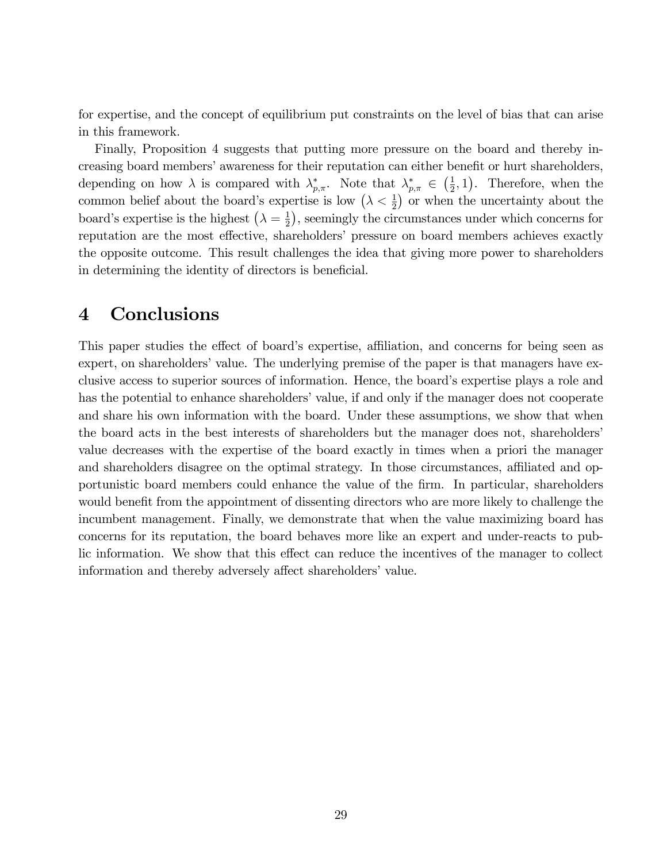for expertise, and the concept of equilibrium put constraints on the level of bias that can arise in this framework.

Finally, Proposition 4 suggests that putting more pressure on the board and thereby increasing board members' awareness for their reputation can either benefit or hurt shareholders, depending on how  $\lambda$  is compared with  $\lambda_{p,\pi}^*$ . Note that  $\lambda_{p,\pi}^* \in \left(\frac{1}{2}\right)$  $(\frac{1}{2}, 1)$ . Therefore, when the common belief about the board's expertise is low  $(\lambda \lt \frac{1}{2})$  or when the uncertainty about the board's expertise is the highest  $\left(\lambda = \frac{1}{2}\right)$  $(\frac{1}{2})$ , seemingly the circumstances under which concerns for reputation are the most effective, shareholders' pressure on board members achieves exactly the opposite outcome. This result challenges the idea that giving more power to shareholders in determining the identity of directors is beneficial.

# 4 Conclusions

This paper studies the effect of board's expertise, affiliation, and concerns for being seen as expert, on shareholders' value. The underlying premise of the paper is that managers have exclusive access to superior sources of information. Hence, the board's expertise plays a role and has the potential to enhance shareholders' value, if and only if the manager does not cooperate and share his own information with the board. Under these assumptions, we show that when the board acts in the best interests of shareholders but the manager does not, shareholdersí value decreases with the expertise of the board exactly in times when a priori the manager and shareholders disagree on the optimal strategy. In those circumstances, affiliated and opportunistic board members could enhance the value of the Örm. In particular, shareholders would benefit from the appointment of dissenting directors who are more likely to challenge the incumbent management. Finally, we demonstrate that when the value maximizing board has concerns for its reputation, the board behaves more like an expert and under-reacts to public information. We show that this effect can reduce the incentives of the manager to collect information and thereby adversely affect shareholders' value.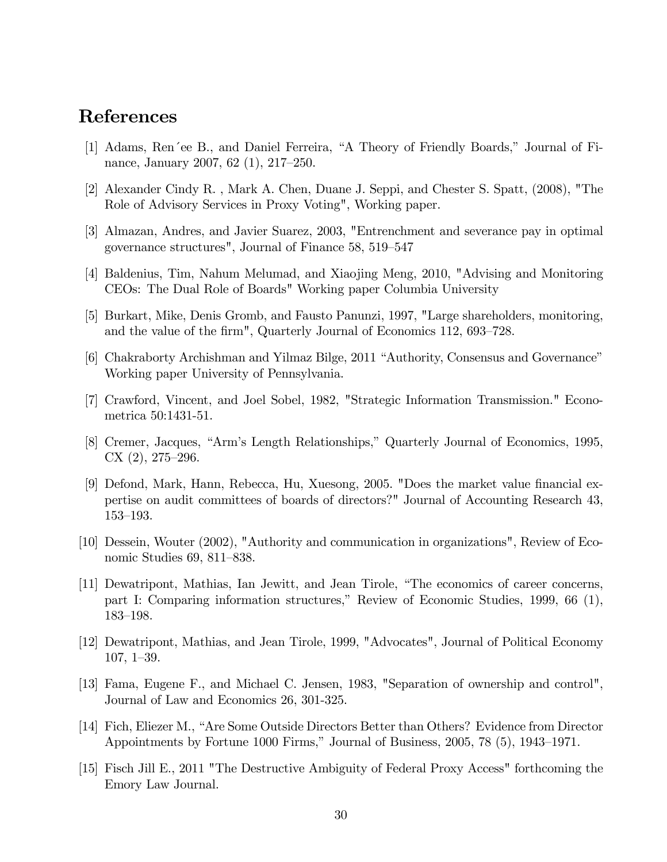# References

- [1] Adams, Ren´ee B., and Daniel Ferreira, "A Theory of Friendly Boards," Journal of Finance, January 2007, 62 $(1)$ , 217–250.
- [2] Alexander Cindy R. , Mark A. Chen, Duane J. Seppi, and Chester S. Spatt, (2008), "The Role of Advisory Services in Proxy Voting", Working paper.
- [3] Almazan, Andres, and Javier Suarez, 2003, "Entrenchment and severance pay in optimal governance structures", Journal of Finance 58, 519–547
- [4] Baldenius, Tim, Nahum Melumad, and Xiaojing Meng, 2010, "Advising and Monitoring CEOs: The Dual Role of Boards" Working paper Columbia University
- [5] Burkart, Mike, Denis Gromb, and Fausto Panunzi, 1997, "Large shareholders, monitoring, and the value of the firm", Quarterly Journal of Economics 112, 693–728.
- [6] Chakraborty Archishman and Yilmaz Bilge, 2011 "Authority, Consensus and Governance" Working paper University of Pennsylvania.
- [7] Crawford, Vincent, and Joel Sobel, 1982, "Strategic Information Transmission." Econometrica 50:1431-51.
- [8] Cremer, Jacques, "Arm's Length Relationships," Quarterly Journal of Economics, 1995,  $CX(2), 275-296.$
- [9] Defond, Mark, Hann, Rebecca, Hu, Xuesong, 2005. "Does the market value Önancial expertise on audit committees of boards of directors?" Journal of Accounting Research 43, 153–193.
- [10] Dessein, Wouter (2002), "Authority and communication in organizations", Review of Economic Studies 69, 811-838.
- [11] Dewatripont, Mathias, Ian Jewitt, and Jean Tirole, "The economics of career concerns, part I: Comparing information structures," Review of Economic Studies, 1999, 66 (1), 183-198.
- [12] Dewatripont, Mathias, and Jean Tirole, 1999, "Advocates", Journal of Political Economy  $107, 1-39.$
- [13] Fama, Eugene F., and Michael C. Jensen, 1983, "Separation of ownership and control", Journal of Law and Economics 26, 301-325.
- [14] Fich, Eliezer M., "Are Some Outside Directors Better than Others? Evidence from Director Appointments by Fortune 1000 Firms," Journal of Business, 2005, 78 (5), 1943–1971.
- [15] Fisch Jill E., 2011 "The Destructive Ambiguity of Federal Proxy Access" forthcoming the Emory Law Journal.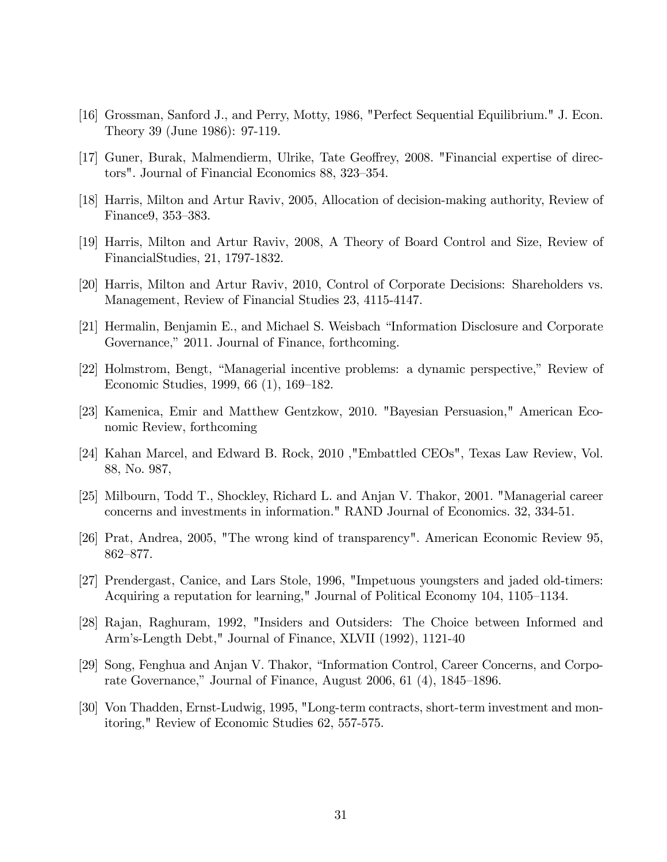- [16] Grossman, Sanford J., and Perry, Motty, 1986, "Perfect Sequential Equilibrium." J. Econ. Theory 39 (June 1986): 97-119.
- [17] Guner, Burak, Malmendierm, Ulrike, Tate Geoffrey, 2008. "Financial expertise of directors". Journal of Financial Economics 88, 323–354.
- [18] Harris, Milton and Artur Raviv, 2005, Allocation of decision-making authority, Review of Finance9, 353–383.
- [19] Harris, Milton and Artur Raviv, 2008, A Theory of Board Control and Size, Review of FinancialStudies, 21, 1797-1832.
- [20] Harris, Milton and Artur Raviv, 2010, Control of Corporate Decisions: Shareholders vs. Management, Review of Financial Studies 23, 4115-4147.
- [21] Hermalin, Benjamin E., and Michael S. Weisbach "Information Disclosure and Corporate Governance," 2011. Journal of Finance, forthcoming.
- [22] Holmstrom, Bengt, "Managerial incentive problems: a dynamic perspective," Review of Economic Studies, 1999, 66 (1), 169–182.
- [23] Kamenica, Emir and Matthew Gentzkow, 2010. "Bayesian Persuasion," American Economic Review, forthcoming
- [24] Kahan Marcel, and Edward B. Rock, 2010 ,"Embattled CEOs", Texas Law Review, Vol. 88, No. 987,
- [25] Milbourn, Todd T., Shockley, Richard L. and Anjan V. Thakor, 2001. "Managerial career concerns and investments in information." RAND Journal of Economics. 32, 334-51.
- [26] Prat, Andrea, 2005, "The wrong kind of transparency". American Economic Review 95, 862–877.
- [27] Prendergast, Canice, and Lars Stole, 1996, "Impetuous youngsters and jaded old-timers: Acquiring a reputation for learning," Journal of Political Economy 104, 1105–1134.
- [28] Rajan, Raghuram, 1992, "Insiders and Outsiders: The Choice between Informed and Armís-Length Debt," Journal of Finance, XLVII (1992), 1121-40
- [29] Song, Fenghua and Anjan V. Thakor, "Information Control, Career Concerns, and Corporate Governance," Journal of Finance, August 2006, 61  $(4)$ , 1845–1896.
- [30] Von Thadden, Ernst-Ludwig, 1995, "Long-term contracts, short-term investment and monitoring," Review of Economic Studies 62, 557-575.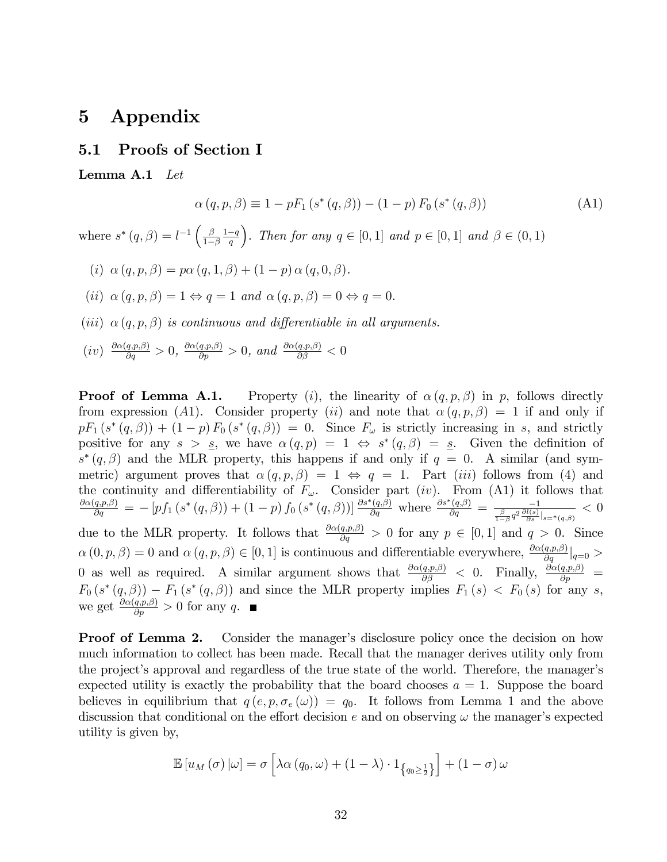# 5 Appendix

#### 5.1 Proofs of Section I

Lemma A.1 Let

$$
\alpha(q, p, \beta) \equiv 1 - pF_1(s^*(q, \beta)) - (1 - p) F_0(s^*(q, \beta))
$$
\n(A1)

where  $s^*(q, \beta) = l^{-1} \left( \frac{\beta}{1 - \beta} \right)$  $1-\beta$  $rac{1-q}{q}$ ). Then for any  $q \in [0,1]$  and  $p \in [0,1]$  and  $\beta \in (0,1)$ 

- (*i*)  $\alpha (q, p, \beta) = p \alpha (q, 1, \beta) + (1 p) \alpha (q, 0, \beta).$
- (ii)  $\alpha(q, p, \beta) = 1 \Leftrightarrow q = 1$  and  $\alpha(q, p, \beta) = 0 \Leftrightarrow q = 0$ .
- (iii)  $\alpha(q, p, \beta)$  is continuous and differentiable in all arguments.

$$
(iv) \ \frac{\partial \alpha(q, p, \beta)}{\partial q} > 0, \ \frac{\partial \alpha(q, p, \beta)}{\partial p} > 0, \ and \ \frac{\partial \alpha(q, p, \beta)}{\partial \beta} < 0
$$

**Proof of Lemma A.1.** Property (*i*), the linearity of  $\alpha(q, p, \beta)$  in p, follows directly from expression (A1). Consider property (ii) and note that  $\alpha(q, p, \beta) = 1$  if and only if  $pF_1(s^*(q,\beta)) + (1-p) F_0(s^*(q,\beta)) = 0$ . Since  $F_\omega$  is strictly increasing in s, and strictly positive for any  $s > s$ , we have  $\alpha(q, p) = 1 \Leftrightarrow s^*(q, \beta) = s$ . Given the definition of  $s^*(q,\beta)$  and the MLR property, this happens if and only if  $q=0$ . A similar (and symmetric) argument proves that  $\alpha(q, p, \beta) = 1 \Leftrightarrow q = 1$ . Part *(iii)* follows from (4) and the continuity and differentiability of  $F_{\omega}$ . Consider part (iv). From (A1) it follows that  $\frac{\partial \alpha(q,p,\beta)}{\partial q} = -\left[pf_1\left(s^*\left(q,\beta\right)\right) + \left(1-p\right)f_0\left(s^*\left(q,\beta\right)\right)\right] \frac{\partial s^*(q,\beta)}{\partial q}$  where  $\frac{\partial s^*(q,\beta)}{\partial q} = \frac{-1}{\frac{\beta}{1-\beta}q^2\frac{\partial l(s)}{\partial s}|_{s=\ast\left(q,\beta\right)}}$  $< 0$ due to the MLR property. It follows that  $\frac{\partial \alpha(q,p,\beta)}{\partial q} > 0$  for any  $p \in [0,1]$  and  $q > 0$ . Since  $\alpha(0, p, \beta) = 0$  and  $\alpha(q, p, \beta) \in [0, 1]$  is continuous and differentiable everywhere,  $\frac{\partial \alpha(q, p, \beta)}{\partial q}|_{q=0} >$ 0 as well as required. A similar argument shows that  $\frac{\partial \alpha(q,p,\beta)}{\partial \beta} < 0$ . Finally,  $\frac{\partial \alpha(q,p,\beta)}{\partial p} =$  $F_0(s^*(q,\beta)) - F_1(s^*(q,\beta))$  and since the MLR property implies  $F_1(s) < F_0(s)$  for any s, we get  $\frac{\partial \alpha(q,p,\beta)}{\partial p} > 0$  for any q.

**Proof of Lemma 2.** Consider the manager's disclosure policy once the decision on how much information to collect has been made. Recall that the manager derives utility only from the project's approval and regardless of the true state of the world. Therefore, the manager's expected utility is exactly the probability that the board chooses  $a = 1$ . Suppose the board believes in equilibrium that  $q(e, p, \sigma_e(\omega)) = q_0$ . It follows from Lemma 1 and the above discussion that conditional on the effort decision e and on observing  $\omega$  the manager's expected utility is given by,

$$
\mathbb{E}\left[u_M\left(\sigma\right)|\omega\right] = \sigma\left[\lambda\alpha\left(q_0,\omega\right) + \left(1-\lambda\right)\cdot 1_{\left\{q_0 \geq \frac{1}{2}\right\}}\right] + \left(1-\sigma\right)\omega
$$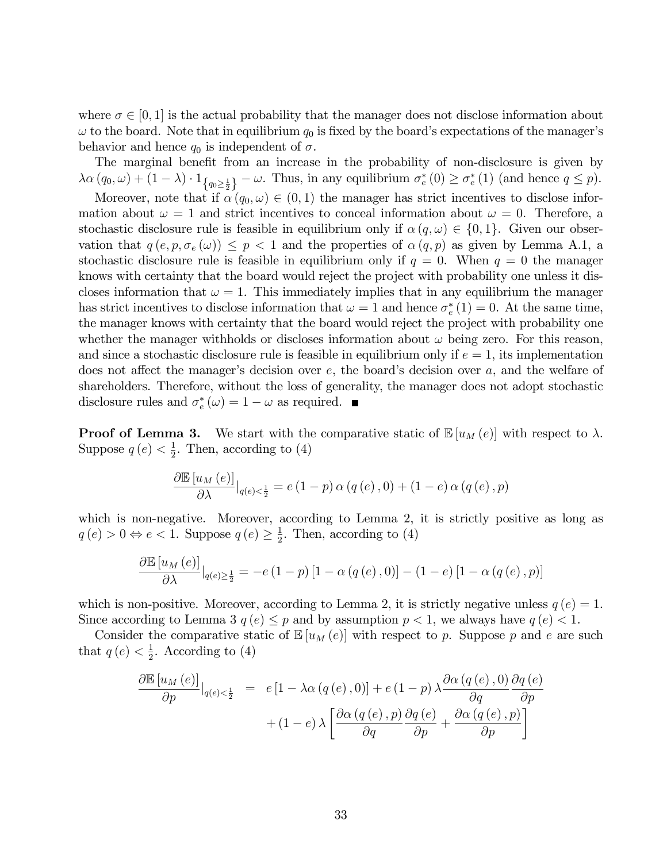where  $\sigma \in [0, 1]$  is the actual probability that the manager does not disclose information about  $\omega$  to the board. Note that in equilibrium  $q_0$  is fixed by the board's expectations of the manager's behavior and hence  $q_0$  is independent of  $\sigma$ .

The marginal benefit from an increase in the probability of non-disclosure is given by  $\lambda \alpha (q_0, \omega) + (1 - \lambda) \cdot 1_{\{q_0 \geq \frac{1}{2}\}} - \omega$ . Thus, in any equilibrium  $\sigma_e^*(0) \geq \sigma_e^*(1)$  (and hence  $q \leq p$ ). Moreover, note that if  $\alpha(q_0, \omega) \in (0, 1)$  the manager has strict incentives to disclose information about  $\omega = 1$  and strict incentives to conceal information about  $\omega = 0$ . Therefore, a stochastic disclosure rule is feasible in equilibrium only if  $\alpha(q,\omega) \in \{0,1\}$ . Given our observation that  $q(e, p, \sigma_e(\omega)) \leq p < 1$  and the properties of  $\alpha(q, p)$  as given by Lemma A.1, a stochastic disclosure rule is feasible in equilibrium only if  $q = 0$ . When  $q = 0$  the manager knows with certainty that the board would reject the project with probability one unless it discloses information that  $\omega = 1$ . This immediately implies that in any equilibrium the manager has strict incentives to disclose information that  $\omega = 1$  and hence  $\sigma_e^*(1) = 0$ . At the same time, the manager knows with certainty that the board would reject the project with probability one whether the manager withholds or discloses information about  $\omega$  being zero. For this reason,

and since a stochastic disclosure rule is feasible in equilibrium only if  $e = 1$ , its implementation does not affect the manager's decision over  $e$ , the board's decision over  $a$ , and the welfare of shareholders. Therefore, without the loss of generality, the manager does not adopt stochastic disclosure rules and  $\sigma_e^*(\omega) = 1 - \omega$  as required.

**Proof of Lemma 3.** We start with the comparative static of  $\mathbb{E}[u_M(e)]$  with respect to  $\lambda$ . Suppose  $q(e) < \frac{1}{2}$  $\frac{1}{2}$ . Then, according to (4)

$$
\frac{\partial \mathbb{E}\left[u_M\left(e\right)\right]}{\partial \lambda}\big|_{q(e)<\frac{1}{2}} = e\left(1-p\right)\alpha\left(q\left(e\right),0\right) + \left(1-e\right)\alpha\left(q\left(e\right),p\right)
$$

which is non-negative. Moreover, according to Lemma 2, it is strictly positive as long as  $q(e) > 0 \Leftrightarrow e < 1$ . Suppose  $q(e) \geq \frac{1}{2}$  $\frac{1}{2}$ . Then, according to (4)

$$
\frac{\partial \mathbb{E}\left[u_M\left(e\right)\right]}{\partial \lambda}\big|_{q(e)\geq \frac{1}{2}} = -e\left(1-p\right)\left[1-\alpha\left(q\left(e\right),0\right)\right] - \left(1-e\right)\left[1-\alpha\left(q\left(e\right),p\right)\right]
$$

which is non-positive. Moreover, according to Lemma 2, it is strictly negative unless  $q(e) = 1$ . Since according to Lemma 3  $q(e) \leq p$  and by assumption  $p < 1$ , we always have  $q(e) < 1$ .

Consider the comparative static of  $\mathbb{E}[u_M(e)]$  with respect to p. Suppose p and e are such that  $q(e) < \frac{1}{2}$  $\frac{1}{2}$ . According to (4)

$$
\frac{\partial \mathbb{E}[u_M(e)]}{\partial p}|_{q(e)<\frac{1}{2}} = e[1 - \lambda \alpha (q(e), 0)] + e(1 - p) \lambda \frac{\partial \alpha (q(e), 0)}{\partial q} \frac{\partial q(e)}{\partial p} + (1 - e) \lambda \left[ \frac{\partial \alpha (q(e), p)}{\partial q} \frac{\partial q(e)}{\partial p} + \frac{\partial \alpha (q(e), p)}{\partial p} \right]
$$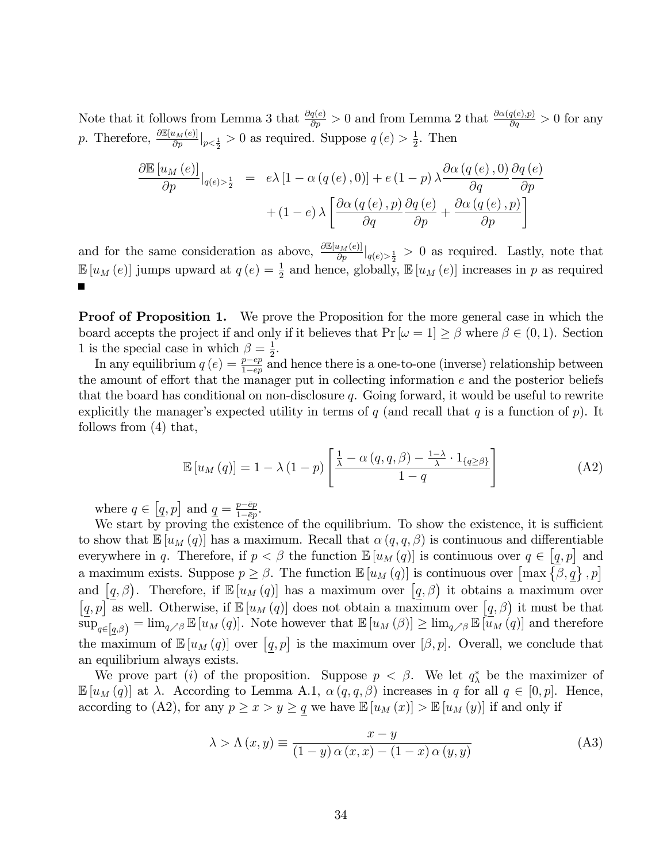Note that it follows from Lemma 3 that  $\frac{\partial q(e)}{\partial p} > 0$  and from Lemma 2 that  $\frac{\partial \alpha(q(e), p)}{\partial q} > 0$  for any p. Therefore,  $\frac{\partial \mathbb{E}[u_M(e)]}{\partial p}|_{p<\frac{1}{2}}>0$  as required. Suppose  $q(e)>\frac{1}{2}$  $\frac{1}{2}$ . Then

$$
\frac{\partial \mathbb{E}\left[u_M\left(e\right)\right]}{\partial p}\Big|_{q\left(e\right)>\frac{1}{2}} = e\lambda\left[1 - \alpha\left(q\left(e\right), 0\right)\right] + e\left(1 - p\right)\lambda \frac{\partial \alpha\left(q\left(e\right), 0\right)}{\partial q} \frac{\partial q\left(e\right)}{\partial p} + (1 - e)\lambda \left[\frac{\partial \alpha\left(q\left(e\right), p\right)}{\partial q} \frac{\partial q\left(e\right)}{\partial p} + \frac{\partial \alpha\left(q\left(e\right), p\right)}{\partial p}\right]
$$

and for the same consideration as above,  $\frac{\partial \mathbb{E}[u_M(e)]}{\partial p}|_{q(e)>\frac{1}{2}}>0$  as required. Lastly, note that  $\mathbb{E}[u_M(e)]$  jumps upward at  $q(e) = \frac{1}{2}$  and hence, globally,  $\mathbb{E}[u_M(e)]$  increases in p as required

**Proof of Proposition 1.** We prove the Proposition for the more general case in which the board accepts the project if and only if it believes that  $Pr[\omega = 1] \ge \beta$  where  $\beta \in (0, 1)$ . Section 1 is the special case in which  $\beta = \frac{1}{2}$ .

In any equilibrium  $q(e) = \frac{p-ep}{1-ep}$  and hence there is a one-to-one (inverse) relationship between the amount of effort that the manager put in collecting information  $e$  and the posterior beliefs that the board has conditional on non-disclosure  $q$ . Going forward, it would be useful to rewrite explicitly the manager's expected utility in terms of  $q$  (and recall that  $q$  is a function of  $p$ ). It follows from (4) that,

$$
\mathbb{E}\left[u_M\left(q\right)\right] = 1 - \lambda \left(1 - p\right) \left[\frac{\frac{1}{\lambda} - \alpha\left(q, q, \beta\right) - \frac{1 - \lambda}{\lambda} \cdot 1_{\{q \geq \beta\}}}{1 - q}\right]
$$
\n(A2)

where  $q \in [q, p]$  and  $q = \frac{p - \bar{e}p}{1 - \bar{e}p}$  $rac{p-ep}{1-\bar{e}p}$ .

We start by proving the existence of the equilibrium. To show the existence, it is sufficient to show that  $\mathbb{E}[u_M(q)]$  has a maximum. Recall that  $\alpha(q,q,\beta)$  is continuous and differentiable everywhere in q. Therefore, if  $p < \beta$  the function  $\mathbb{E}[u_M(q)]$  is continuous over  $q \in [q, p]$  and a maximum exists. Suppose  $p \geq \beta$ . The function  $\mathbb{E}[u_M(q)]$  is continuous over  $\left[\max\left\{\beta, \underline{q}\right\}, p\right]$ and  $[q, \beta]$ . Therefore, if  $\mathbb{E}[u_M(q)]$  has a maximum over  $[q, \beta]$  it obtains a maximum over  $[q, p]$  as well. Otherwise, if  $\mathbb{E}[u_M(q)]$  does not obtain a maximum over  $[q, \beta]$  it must be that  $\sup_{q\in[q,\beta)} = \lim_{q\nearrow\beta} \mathbb{E}\left[u_M\left(q\right)\right]$ . Note however that  $\mathbb{E}\left[u_M\left(\beta\right)\right] \geq \lim_{q\nearrow\beta} \mathbb{E}\left[u_M\left(q\right)\right]$  and therefore the maximum of  $\mathbb{E}[u_M(q)]$  over  $[q, p]$  is the maximum over  $[\beta, p]$ . Overall, we conclude that an equilibrium always exists.

We prove part (i) of the proposition. Suppose  $p < \beta$ . We let  $q_{\lambda}^*$  be the maximizer of  $\mathbb{E}[u_M(q)]$  at  $\lambda$ . According to Lemma A.1,  $\alpha(q,q,\beta)$  increases in q for all  $q \in [0,p]$ . Hence, according to (A2), for any  $p \ge x > y \ge q$  we have  $\mathbb{E}[u_M(x)] > \mathbb{E}[u_M(y)]$  if and only if

$$
\lambda > \Lambda(x, y) \equiv \frac{x - y}{(1 - y) \alpha(x, x) - (1 - x) \alpha(y, y)}
$$
(A3)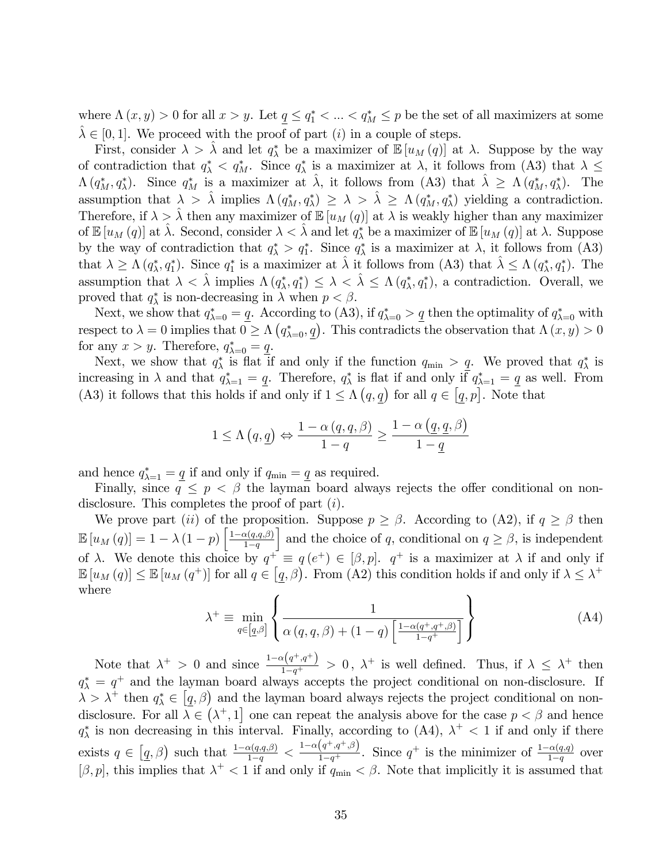where  $\Lambda(x, y) > 0$  for all  $x > y$ . Let  $\underline{q} \leq q_1^* < \ldots < q_M^* \leq p$  be the set of all maximizers at some  $\hat{\lambda} \in [0, 1].$  We proceed with the proof of part (i) in a couple of steps.

First, consider  $\lambda > \hat{\lambda}$  and let  $q_{\lambda}^*$  be a maximizer of  $\mathbb{E}[u_M(q)]$  at  $\lambda$ . Suppose by the way of contradiction that  $q^*_{\lambda} < q^*_{M}$ . Since  $q^*_{\lambda}$  is a maximizer at  $\lambda$ , it follows from (A3) that  $\lambda \leq$  $\Lambda(q_M^*, q_\lambda^*)$ . Since  $q_M^*$  is a maximizer at  $\hat{\lambda}$ , it follows from (A3) that  $\hat{\lambda} \geq \Lambda(q_M^*, q_\lambda^*)$ . The assumption that  $\lambda > \hat{\lambda}$  implies  $\Lambda(q_M^*, q_\lambda^*) \geq \lambda > \hat{\lambda} \geq \Lambda(q_M^*, q_\lambda^*)$  yielding a contradiction. Therefore, if  $\lambda > \hat{\lambda}$  then any maximizer of  $\mathbb{E}[u_M(q)]$  at  $\lambda$  is weakly higher than any maximizer of  $\mathbb{E}\left[u_M\left(q\right)\right]$  at  $\hat{\lambda}$ . Second, consider  $\lambda < \hat{\lambda}$  and let  $q_{\lambda}^*$  be a maximizer of  $\mathbb{E}\left[u_M\left(q\right)\right]$  at  $\lambda$ . Suppose by the way of contradiction that  $q_{\lambda}^* > q_1^*$ . Since  $q_{\lambda}^*$  is a maximizer at  $\lambda$ , it follows from (A3) that  $\lambda \geq \Lambda(q_\lambda^*, q_1^*)$ . Since  $q_1^*$  is a maximizer at  $\hat{\lambda}$  it follows from (A3) that  $\hat{\lambda} \leq \Lambda(q_\lambda^*, q_1^*)$ . The assumption that  $\lambda < \hat{\lambda}$  implies  $\Lambda(q_\lambda^*, q_1^*) \leq \lambda < \hat{\lambda} \leq \Lambda(q_\lambda^*, q_1^*)$ , a contradiction. Overall, we proved that  $q^*_{\lambda}$  is non-decreasing in  $\lambda$  when  $p < \beta$ .

Next, we show that  $q_{\lambda=0}^* = \underline{q}$ . According to (A3), if  $q_{\lambda=0}^* > \underline{q}$  then the optimality of  $q_{\lambda=0}^*$  with respect to  $\lambda = 0$  implies that  $0 \ge \Lambda (q_{\lambda=0}^*, q)$ . This contradicts the observation that  $\Lambda (x, y) > 0$ for any  $x > y$ . Therefore,  $q_{\lambda=0}^* = \underline{q}$ .

Next, we show that  $q^*_{\lambda}$  is flat if and only if the function  $q_{\min} > \underline{q}$ . We proved that  $q^*_{\lambda}$  is increasing in  $\lambda$  and that  $q_{\lambda=1}^* = \underline{q}$ . Therefore,  $q_{\lambda}^*$  is flat if and only if  $q_{\lambda=1}^* = \underline{q}$  as well. From (A3) it follows that this holds if and only if  $1 \leq \Lambda (q, \underline{q})$  for all  $q \in [\underline{q}, p]$ . Note that

$$
1 \le \Lambda(q, \underline{q}) \Leftrightarrow \frac{1 - \alpha(q, q, \beta)}{1 - q} \ge \frac{1 - \alpha(\underline{q}, \underline{q}, \beta)}{1 - \underline{q}}
$$

and hence  $q_{\lambda=1}^* = \underline{q}$  if and only if  $q_{\min} = \underline{q}$  as required.

Finally, since  $q \leq p \leq \beta$  the layman board always rejects the offer conditional on nondisclosure. This completes the proof of part *(i)*.

We prove part (ii) of the proposition. Suppose  $p \geq \beta$ . According to (A2), if  $q \geq \beta$  then  $\mathbb{E}\left[u_M\left(q\right)\right]=1-\lambda\left(1-p\right)\bigg[\frac{1-\alpha\left(q,q,\beta\right)}{1-q}$  $1-q$ and the choice of q, conditional on  $q \geq \beta$ , is independent of  $\lambda$ . We denote this choice by  $q^{\dagger} \equiv q(e^{\dagger}) \in [\beta, p]$ .  $q^{\dagger}$  is a maximizer at  $\lambda$  if and only if  $\mathbb{E}[u_M(q)] \leq \mathbb{E}[u_M(q^+)]$  for all  $q \in [q, \beta)$ . From (A2) this condition holds if and only if  $\lambda \leq \lambda^+$ where 7  $\mathbf{A}$ 

$$
\lambda^{+} \equiv \min_{q \in [q,\beta]} \left\{ \frac{1}{\alpha(q,q,\beta) + (1-q) \left[ \frac{1 - \alpha(q^{+}, q^{+}, \beta)}{1 - q^{+}} \right]} \right\}
$$
(A4)

Note that  $\lambda^+ > 0$  and since  $\frac{1-\alpha(q^+,q^+)}{1-q^+} > 0$ ,  $\lambda^+$  is well defined. Thus, if  $\lambda \leq \lambda^+$  then  $q_{\lambda}^* = q^+$  and the layman board always accepts the project conditional on non-disclosure. If  $\lambda > \lambda^+$  then  $q^*_{\lambda} \in [q, \beta)$  and the layman board always rejects the project conditional on nondisclosure. For all  $\lambda \in (\lambda^+, 1]$  one can repeat the analysis above for the case  $p < \beta$  and hence  $q_{\lambda}^*$  is non decreasing in this interval. Finally, according to (A4),  $\lambda^+$  < 1 if and only if there exists  $q \in \left[\underline{q},\beta\right)$  such that  $\frac{1-\alpha(q,q,\beta)}{1-q} < \frac{1-\alpha(q^+,q^+,\beta)}{1-q^+}$ . Since  $q^+$  is the minimizer of  $\frac{1-\alpha(q,q)}{1-q}$  over  $[\beta, p]$ , this implies that  $\lambda^+ < 1$  if and only if  $q_{\min} < \beta$ . Note that implicitly it is assumed that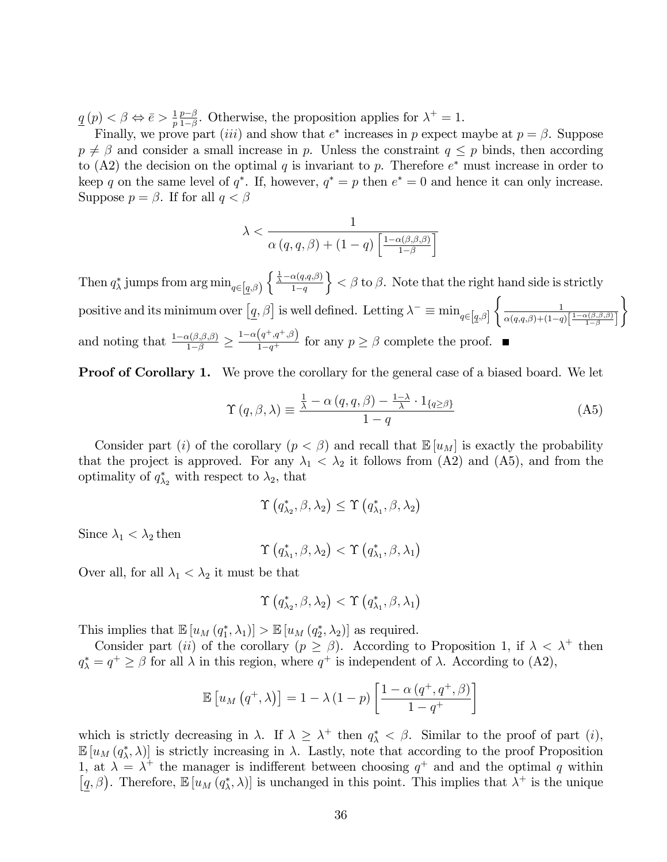$\underline{q}(p) < \beta \Leftrightarrow \overline{e} > \frac{1}{p}$  $\frac{1}{p} \frac{p-\beta}{1-\beta}$  $\frac{p-\beta}{1-\beta}$ . Otherwise, the proposition applies for  $\lambda^+=1$ .

Finally, we prove part *(iii)* and show that  $e^*$  increases in p expect maybe at  $p = \beta$ . Suppose  $p \neq \beta$  and consider a small increase in p. Unless the constraint  $q \leq p$  binds, then according to (A2) the decision on the optimal q is invariant to p. Therefore  $e^*$  must increase in order to keep q on the same level of  $q^*$ . If, however,  $q^* = p$  then  $e^* = 0$  and hence it can only increase. Suppose  $p = \beta$ . If for all  $q < \beta$ 

$$
\lambda < \frac{1}{\alpha\left(q, q, \beta\right) + (1 - q) \left[\frac{1 - \alpha\left(\beta, \beta, \beta\right)}{1 - \beta}\right]}
$$

Then  $q^*_{\lambda}$  jumps from  $\arg\min_{q\in[q,\beta)}\left\{\frac{\frac{1}{\lambda}-\alpha(q,q,\beta)}{1-q}\right\}$  $1-q$  $\{\xi \in \beta \text{ to } \beta\}.$  Note that the right hand side is strictly positive and its minimum over  $\left[\underline{q},\beta\right]$  is well defined. Letting  $\lambda^{-}\equiv \min_{q\in\left[\underline{q},\beta\right]}$  $\int$   $\frac{1}{1}$  $\alpha(q,q,\beta)$ + $(1-q)\left[\frac{1-\alpha(\beta,\beta,\beta)}{1-\beta}\right]$  $\mathcal{L}$ and noting that  $\frac{1-\alpha(\beta,\beta,\beta)}{1-\beta} \geq$  $\frac{1-\alpha(q^+,q^+,\beta)}{1-q^+}$  for any  $p \geq \beta$  complete the proof.

**Proof of Corollary 1.** We prove the corollary for the general case of a biased board. We let

$$
\Upsilon(q,\beta,\lambda) \equiv \frac{\frac{1}{\lambda} - \alpha(q,q,\beta) - \frac{1-\lambda}{\lambda} \cdot 1_{\{q \ge \beta\}}}{1-q}
$$
(A5)

Consider part (i) of the corollary  $(p < \beta)$  and recall that  $\mathbb{E}[u_M]$  is exactly the probability that the project is approved. For any  $\lambda_1 < \lambda_2$  it follows from (A2) and (A5), and from the optimality of  $q_{\lambda_2}^*$  with respect to  $\lambda_2$ , that

$$
\Upsilon\left(q_{\lambda_{2}}^{*},\beta,\lambda_{2}\right)\leq\Upsilon\left(q_{\lambda_{1}}^{*},\beta,\lambda_{2}\right)
$$

Since  $\lambda_1 < \lambda_2$  then

$$
\Upsilon\left(q_{\lambda_{1}}^{*},\beta,\lambda_{2}\right)<\Upsilon\left(q_{\lambda_{1}}^{*},\beta,\lambda_{1}\right)
$$

Over all, for all  $\lambda_1 < \lambda_2$  it must be that

$$
\Upsilon\left(q_{\lambda_{2}}^{*},\beta,\lambda_{2}\right)<\Upsilon\left(q_{\lambda_{1}}^{*},\beta,\lambda_{1}\right)
$$

This implies that  $\mathbb{E}[u_M(q_1^*, \lambda_1)] > \mathbb{E}[u_M(q_2^*, \lambda_2)]$  as required.

Consider part (*ii*) of the corollary ( $p \ge \beta$ ). According to Proposition 1, if  $\lambda < \lambda^+$  then  $q_{\lambda}^* = q^+ \geq \beta$  for all  $\lambda$  in this region, where  $q^+$  is independent of  $\lambda$ . According to (A2),

$$
\mathbb{E}\left[u_M\left(q^+,\lambda\right)\right] = 1 - \lambda \left(1-p\right) \left[\frac{1-\alpha\left(q^+,q^+,\beta\right)}{1-q^+}\right]
$$

which is strictly decreasing in  $\lambda$ . If  $\lambda \geq \lambda^+$  then  $q^*_{\lambda} < \beta$ . Similar to the proof of part (*i*),  $\mathbb{E}[u_M(q^*_\lambda,\lambda)]$  is strictly increasing in  $\lambda$ . Lastly, note that according to the proof Proposition 1, at  $\lambda = \lambda^+$  the manager is indifferent between choosing  $q^+$  and and the optimal q within  $[q, \beta)$ . Therefore,  $\mathbb{E}[u_M(q_\lambda^*, \lambda)]$  is unchanged in this point. This implies that  $\lambda^+$  is the unique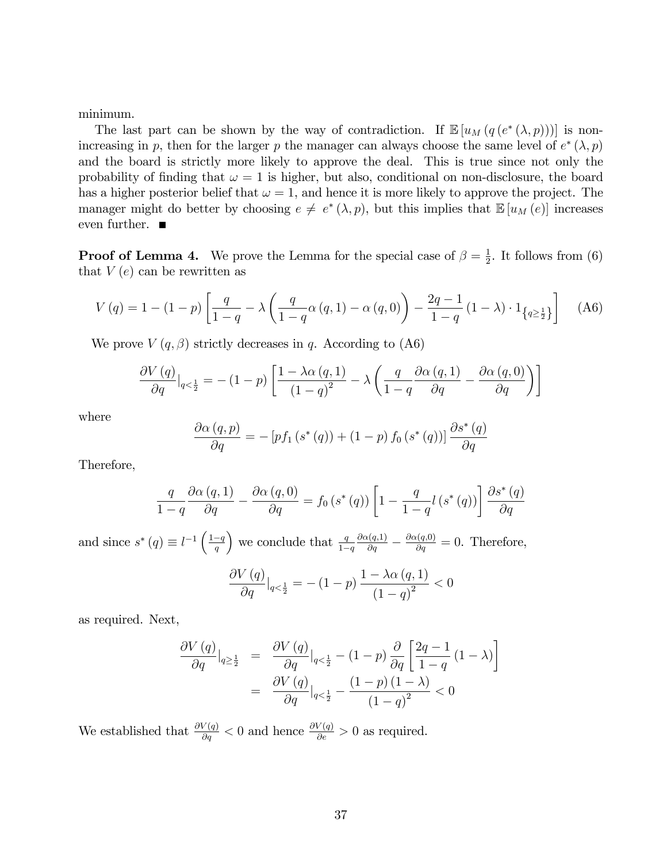minimum.

The last part can be shown by the way of contradiction. If  $\mathbb{E}[u_M(q(e^*(\lambda, p)))]$  is nonincreasing in p, then for the larger p the manager can always choose the same level of  $e^*(\lambda, p)$ and the board is strictly more likely to approve the deal. This is true since not only the probability of finding that  $\omega = 1$  is higher, but also, conditional on non-disclosure, the board has a higher posterior belief that  $\omega = 1$ , and hence it is more likely to approve the project. The manager might do better by choosing  $e \neq e^*(\lambda, p)$ , but this implies that  $\mathbb{E}[u_M(e)]$  increases even further.  $\blacksquare$ 

**Proof of Lemma 4.** We prove the Lemma for the special case of  $\beta = \frac{1}{2}$  $\frac{1}{2}$ . It follows from (6) that  $V(e)$  can be rewritten as

$$
V(q) = 1 - (1 - p) \left[ \frac{q}{1 - q} - \lambda \left( \frac{q}{1 - q} \alpha(q, 1) - \alpha(q, 0) \right) - \frac{2q - 1}{1 - q} (1 - \lambda) \cdot 1_{\{q \ge \frac{1}{2}\}} \right] \tag{A6}
$$

We prove  $V(q,\beta)$  strictly decreases in q. According to (A6)

$$
\frac{\partial V(q)}{\partial q}\Big|_{q<\frac{1}{2}} = -(1-p)\left[\frac{1-\lambda\alpha(q,1)}{(1-q)^2} - \lambda\left(\frac{q}{1-q}\frac{\partial\alpha(q,1)}{\partial q} - \frac{\partial\alpha(q,0)}{\partial q}\right)\right]
$$

where

$$
\frac{\partial \alpha (q, p)}{\partial q} = -\left[ pf_1 \left(s^*(q)\right) + (1-p) \ f_0 \left(s^*(q)\right) \right] \frac{\partial s^*(q)}{\partial q}
$$

Therefore,

$$
\frac{q}{1-q} \frac{\partial \alpha (q,1)}{\partial q} - \frac{\partial \alpha (q,0)}{\partial q} = f_0(s^*(q)) \left[ 1 - \frac{q}{1-q} l(s^*(q)) \right] \frac{\partial s^*(q)}{\partial q}
$$

and since  $s^*(q) \equiv l^{-1} \left( \frac{1-q}{q} \right)$ ) we conclude that  $\frac{q}{1-q}$  $\frac{\partial \alpha(q,1)}{\partial q} - \frac{\partial \alpha(q,0)}{\partial q} = 0$ . Therefore,

$$
\frac{\partial V(q)}{\partial q}\big|_{q<\frac{1}{2}} = -(1-p)\,\frac{1-\lambda\alpha\,(q,1)}{(1-q)^2} < 0
$$

as required. Next,

$$
\frac{\partial V(q)}{\partial q}\Big|_{q\geq \frac{1}{2}} = \frac{\partial V(q)}{\partial q}\Big|_{q<\frac{1}{2}} - (1-p)\frac{\partial}{\partial q} \left[\frac{2q-1}{1-q}(1-\lambda)\right]
$$

$$
= \frac{\partial V(q)}{\partial q}\Big|_{q<\frac{1}{2}} - \frac{(1-p)(1-\lambda)}{(1-q)^2} < 0
$$

We established that  $\frac{\partial V(q)}{\partial q} < 0$  and hence  $\frac{\partial V(q)}{\partial e} > 0$  as required.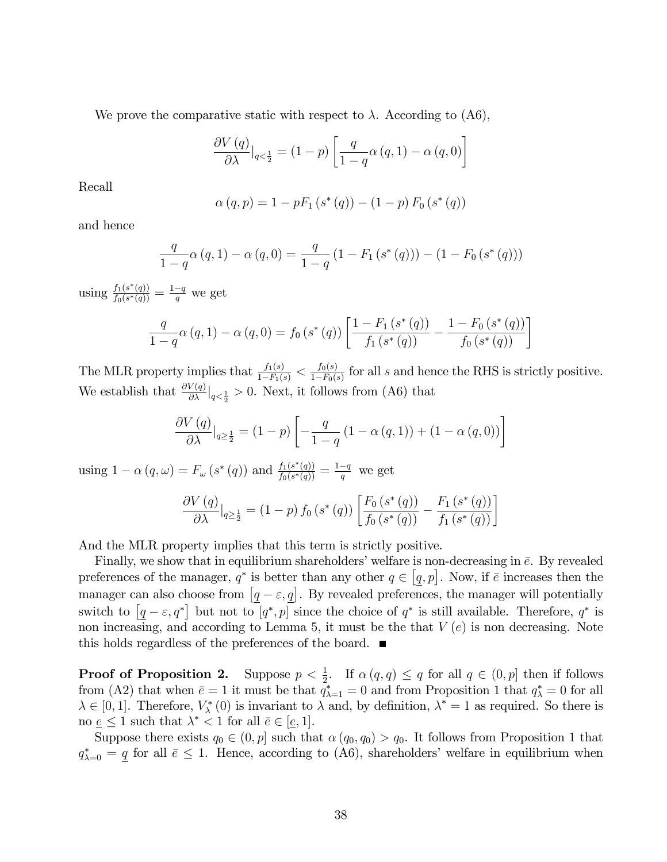We prove the comparative static with respect to  $\lambda$ . According to (A6),

$$
\frac{\partial V(q)}{\partial \lambda}\big|_{q < \frac{1}{2}} = (1-p) \left[ \frac{q}{1-q} \alpha(q, 1) - \alpha(q, 0) \right]
$$

Recall

$$
\alpha(q, p) = 1 - pF_1(s^*(q)) - (1 - p) F_0(s^*(q))
$$

and hence

$$
\frac{q}{1-q}\alpha(q,1) - \alpha(q,0) = \frac{q}{1-q}(1 - F_1(s^*(q))) - (1 - F_0(s^*(q)))
$$

using  $\frac{f_1(s^*(q))}{f_0(s^*(q))}$  $\frac{f_1(s^*(q))}{f_0(s^*(q))} = \frac{1-q}{q}$  we get

$$
\frac{q}{1-q}\alpha(q,1) - \alpha(q,0) = f_0(s^*(q)) \left[ \frac{1 - F_1(s^*(q))}{f_1(s^*(q))} - \frac{1 - F_0(s^*(q))}{f_0(s^*(q))} \right]
$$

The MLR property implies that  $\frac{f_1(s)}{1-F_1(s)} < \frac{f_0(s)}{1-F_0(s)}$  $\frac{J_0(s)}{1-F_0(s)}$  for all s and hence the RHS is strictly positive. We establish that  $\frac{\partial V(q)}{\partial \lambda}\big|_{q<\frac{1}{2}}>0$ . Next, it follows from (A6) that

$$
\frac{\partial V(q)}{\partial \lambda}\big|_{q \ge \frac{1}{2}} = (1-p) \left[ -\frac{q}{1-q} \left( 1 - \alpha(q,1) \right) + (1 - \alpha(q,0)) \right]
$$

using  $1 - \alpha(q, \omega) = F_{\omega}(s^*(q))$  and  $\frac{f_1(s^*(q))}{f_0(s^*(q))}$  $\frac{f_1(s^*(q))}{f_0(s^*(q))} = \frac{1-q}{q}$  we get

$$
\frac{\partial V(q)}{\partial \lambda}\big|_{q \ge \frac{1}{2}} = (1-p) f_0(s^*(q)) \left[ \frac{F_0(s^*(q))}{f_0(s^*(q))} - \frac{F_1(s^*(q))}{f_1(s^*(q))} \right]
$$

And the MLR property implies that this term is strictly positive.

Finally, we show that in equilibrium shareholders' welfare is non-decreasing in  $\bar{e}$ . By revealed preferences of the manager,  $q^*$  is better than any other  $q \in [q, p]$ . Now, if  $\bar{e}$  increases then the manager can also choose from  $[q - \varepsilon, \underline{q}]$ . By revealed preferences, the manager will potentially switch to  $[q - \varepsilon, q^*]$  but not to  $[q^*, p]$  since the choice of  $q^*$  is still available. Therefore,  $q^*$  is non increasing, and according to Lemma 5, it must be the that  $V(e)$  is non decreasing. Note this holds regardless of the preferences of the board.

**Proof of Proposition 2.** Suppose  $p < \frac{1}{2}$ . If  $\alpha(q,q) \leq q$  for all  $q \in (0,p]$  then if follows from (A2) that when  $\bar{e} = 1$  it must be that  $q_{\lambda=1}^* = 0$  and from Proposition 1 that  $q_{\lambda}^* = 0$  for all  $\lambda \in [0, 1]$ . Therefore,  $V^*_{\lambda}(0)$  is invariant to  $\lambda$  and, by definition,  $\lambda^* = 1$  as required. So there is no  $\underline{e} \leq 1$  such that  $\lambda^* < 1$  for all  $\overline{e} \in [\underline{e}, 1]$ .

Suppose there exists  $q_0 \in (0, p]$  such that  $\alpha (q_0, q_0) > q_0$ . It follows from Proposition 1 that  $q_{\lambda=0}^* = \underline{q}$  for all  $\bar{e} \leq 1$ . Hence, according to (A6), shareholders' welfare in equilibrium when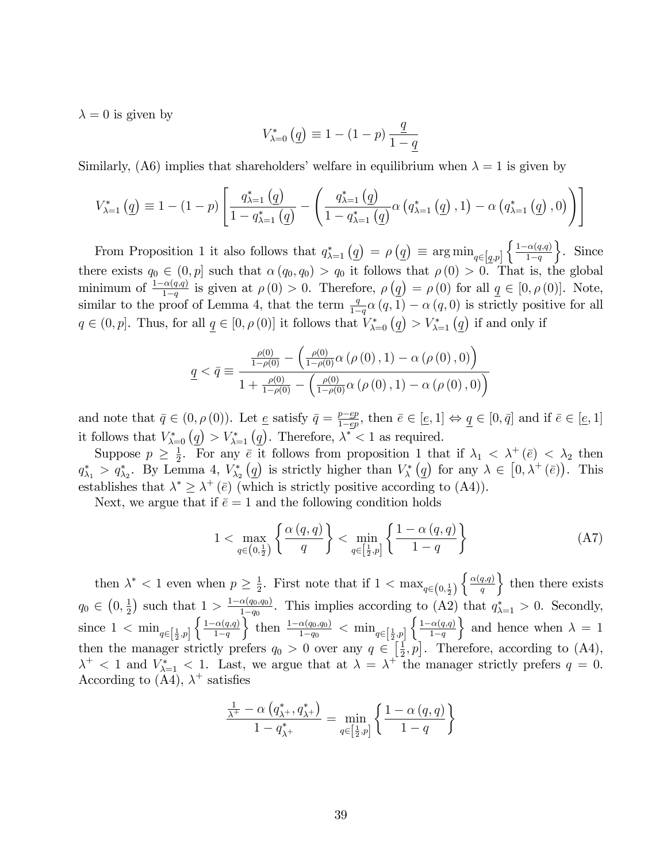$\lambda = 0$  is given by

$$
V_{\lambda=0}^{*} (q) \equiv 1 - (1 - p) \frac{q}{1 - q}
$$

Similarly, (A6) implies that shareholders' welfare in equilibrium when  $\lambda = 1$  is given by

$$
V_{\lambda=1}^{*} (q) \equiv 1 - (1 - p) \left[ \frac{q_{\lambda=1}^{*} (q)}{1 - q_{\lambda=1}^{*} (q)} - \left( \frac{q_{\lambda=1}^{*} (q)}{1 - q_{\lambda=1}^{*} (q)} \alpha (q_{\lambda=1}^{*} (q), 1) - \alpha (q_{\lambda=1}^{*} (q), 0) \right) \right]
$$

From Proposition 1 it also follows that  $q_{\lambda=1}^*\left(q\right) = \rho\left(q\right) \equiv \arg\min_{q\in\left[q,p\right]}\left\{\frac{1-\alpha(q,q)}{1-q}\right\}$  $1-q$  $\Big\}$ . Since there exists  $q_0 \in (0, p]$  such that  $\alpha (q_0, q_0) > q_0$  it follows that  $\rho (0) > 0$ . That is, the global minimum of  $\frac{1-\alpha(q,q)}{1-q}$  is given at  $\rho(0) > 0$ . Therefore,  $\rho(q) = \rho(0)$  for all  $q \in [0, \rho(0)]$ . Note, similar to the proof of Lemma 4, that the term  $\frac{q}{1-q}\alpha(q,1) - \alpha(q,0)$  is strictly positive for all  $q \in (0, p].$  Thus, for all  $\underline{q} \in [0, \rho(0)]$  it follows that  $V_{\lambda=0}^{*} (\underline{q}) > V_{\lambda=1}^{*} (\underline{q})$  if and only if

$$
\underline{q} < \bar{q} \equiv \frac{\frac{\rho(0)}{1 - \rho(0)} - \left( \frac{\rho(0)}{1 - \rho(0)} \alpha \left( \rho(0), 1 \right) - \alpha \left( \rho(0), 0 \right) \right)}{1 + \frac{\rho(0)}{1 - \rho(0)} - \left( \frac{\rho(0)}{1 - \rho(0)} \alpha \left( \rho(0), 1 \right) - \alpha \left( \rho(0), 0 \right) \right)}
$$

and note that  $\bar{q} \in (0, \rho(0))$ . Let  $\underline{e}$  satisfy  $\bar{q} = \frac{p - ep}{1 - ep}$  $\frac{p - ep}{1 - ep}$ , then  $\bar{e} \in [e, 1] \Leftrightarrow \underline{q} \in [0, \bar{q}]$  and if  $\bar{e} \in [e, 1]$ it follows that  $V_{\lambda=0}^{\ast} (q) > V_{\lambda=1}^{\ast} (q)$ . Therefore,  $\lambda^{\ast} < 1$  as required.

Suppose  $p \geq \frac{1}{2}$  $\frac{1}{2}$ . For any  $\bar{e}$  it follows from proposition 1 that if  $\lambda_1 < \lambda^+$  ( $\bar{e}$ )  $< \lambda_2$  then  $q^*_{\lambda_1} > q^*_{\lambda_2}$ . By Lemma 4,  $V^*_{\lambda_2}(q)$  is strictly higher than  $V^*_{\lambda}(q)$  for any  $\lambda \in [0, \lambda^+(\bar{e})$ . This establishes that  $\lambda^* \geq \lambda^+(\bar{e})$  (which is strictly positive according to (A4)).

Next, we argue that if  $\bar{e} = 1$  and the following condition holds

$$
1 < \max_{q \in \left(0, \frac{1}{2}\right)} \left\{ \frac{\alpha\left(q, q\right)}{q} \right\} < \min_{q \in \left[\frac{1}{2}, p\right]} \left\{ \frac{1 - \alpha\left(q, q\right)}{1 - q} \right\} \tag{A7}
$$

then  $\lambda^*$  < 1 even when  $p \geq \frac{1}{2}$  $\frac{1}{2}$ . First note that if  $1 < \max_{q \in (0, \frac{1}{2})}$  $\int \alpha(q,q)$ q  $\}$  then there exists  $q_0 \in (0, \frac{1}{2})$  $(\frac{1}{2})$  such that  $1 > \frac{1-\alpha(q_0,q_0)}{1-q_0}$  $\frac{\alpha(q_0,q_0)}{1-q_0}$ . This implies according to (A2) that  $q_{\lambda=1}^* > 0$ . Secondly, since  $1 < \min_{q \in \left[\frac{1}{2}, p\right]}$  $\int \frac{1-\alpha(q,q)}{q}$  $1-q$  $\left\{\n \begin{array}{l}\n \text{then } \frac{1-\alpha(q_0,q_0)}{1-q_0} < \min_{q \in \left[\frac{1}{2},p\right]} \n \end{array}\n\right\}$  $\int \frac{1-\alpha(q,q)}{q}$  $1-q$  $\binom{p}{r}$   $\left\{\frac{1-\alpha(q,q)}{1-q}\right\}$  and hence when  $\lambda = 1$ then the manager strictly prefers  $q_0 > 0$  over any  $q \in \left[\frac{1}{2}\right]$  $\left[\frac{1}{2}, p\right]$ . Therefore, according to (A4),  $\lambda^+$  < 1 and  $V_{\lambda=1}^*$  < 1. Last, we argue that at  $\lambda = \lambda^+$  the manager strictly prefers  $q = 0$ . According to (A4),  $\lambda^+$  satisfies

$$
\frac{\frac{1}{\lambda^{+}}-\alpha\left(q_{\lambda^{+}}^{*},q_{\lambda^{+}}^{*}\right)}{1-q_{\lambda^{+}}^{*}}=\min_{q\in\left[\frac{1}{2},p\right]}\left\{ \frac{1-\alpha\left(q,q\right)}{1-q}\right\}
$$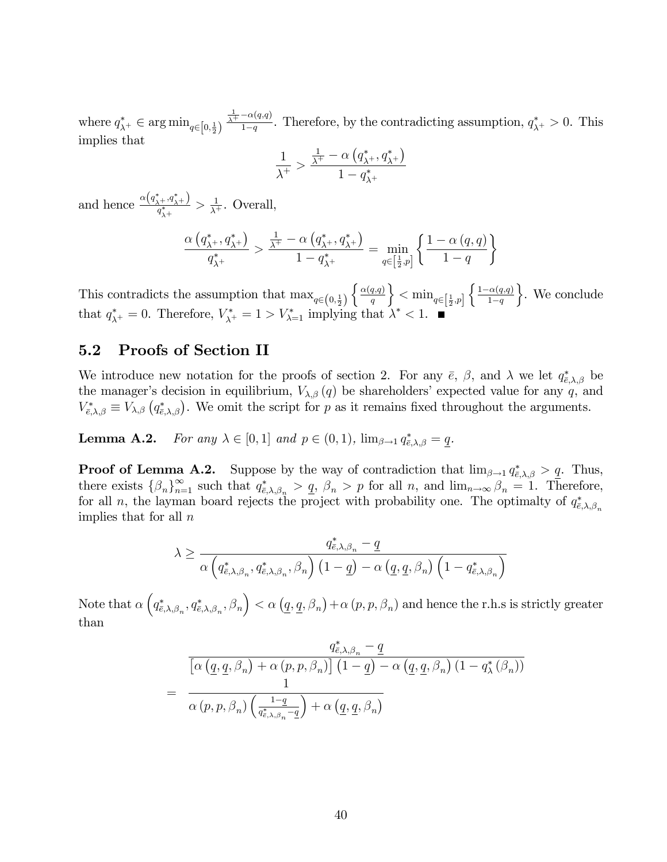where  $q^*_{\lambda^+} \in \argmin_{q \in [0, \frac{1}{2})}$  $\frac{1}{\lambda^+}$  -  $\alpha(q,q)$  $\frac{\alpha(q,q)}{1-q}$ . Therefore, by the contradicting assumption,  $q_{\lambda^+}^* > 0$ . This implies that

$$
\frac{1}{\lambda^+} > \frac{\frac{1}{\lambda^+} - \alpha \left( q_{\lambda^+}^*, q_{\lambda^+}^* \right)}{1 - q_{\lambda^+}^*}
$$

and hence  $\frac{\alpha(q^*_{\lambda+},q^*_{\lambda+})}{q^*}$  $\frac{1}{q^*_{\lambda^+}} > \frac{1}{\lambda^+}$  $\frac{1}{\lambda^+}$ . Overall,

$$
\frac{\alpha\left(q_{\lambda^{+}}^{*}, q_{\lambda^{+}}^{*}\right)}{q_{\lambda^{+}}^{*}} > \frac{\frac{1}{\lambda^{+}} - \alpha\left(q_{\lambda^{+}}^{*}, q_{\lambda^{+}}^{*}\right)}{1 - q_{\lambda^{+}}^{*}} = \min_{q \in \left[\frac{1}{2}, p\right]} \left\{ \frac{1 - \alpha\left(q, q\right)}{1 - q}\right\}
$$

This contradicts the assumption that  $\max_{q \in (0, \frac{1}{2})}$  $\int \alpha(q,q)$ q  $\Big\}<\min_{q\in\left[\frac{1}{2},p\right]}$  $\int \frac{1-\alpha(q,q)}{q}$  $1-q$  $\}$ . We conclude that  $q_{\lambda^+}^* = 0$ . Therefore,  $V_{\lambda^+}^* = 1 > V_{\lambda=1}^*$  implying that  $\lambda^* < 1$ .

### 5.2 Proofs of Section II

We introduce new notation for the proofs of section 2. For any  $\bar{e}$ ,  $\beta$ , and  $\lambda$  we let  $q_{\bar{e},\lambda,\beta}^*$  be the manager's decision in equilibrium,  $V_{\lambda,\beta}(q)$  be shareholders' expected value for any q, and  $V_{\bar{\epsilon},\lambda,\beta}^* \equiv V_{\lambda,\beta} (q_{\bar{\epsilon},\lambda,\beta}^*)$ . We omit the script for p as it remains fixed throughout the arguments.

**Lemma A.2.** For any  $\lambda \in [0, 1]$  and  $p \in (0, 1)$ ,  $\lim_{\beta \to 1} q_{\bar{e}, \lambda, \beta}^* = \underline{q}$ .

**Proof of Lemma A.2.** Suppose by the way of contradiction that  $\lim_{\beta \to 1} q_{\bar{\epsilon},\lambda,\beta}^* > \underline{q}$ . Thus, there exists  $\{\beta_n\}_{n=1}^{\infty}$  such that  $q_{\bar{e},\lambda,\beta_n}^* > q$ ,  $\beta_n > p$  for all n, and  $\lim_{n\to\infty} \beta_n = 1$ . Therefore, for all n, the layman board rejects the project with probability one. The optimalty of  $q_{\bar{e},\lambda,\beta_n}^*$ implies that for all  $n$ 

$$
\lambda \ge \frac{q^*_{\bar{e},\lambda,\beta_n} - \underline{q}}{\alpha \left(q^*_{\bar{e},\lambda,\beta_n}, q^*_{\bar{e},\lambda,\beta_n}, \beta_n\right) \left(1 - \underline{q}\right) - \alpha \left(\underline{q}, \underline{q}, \beta_n\right) \left(1 - q^*_{\bar{e},\lambda,\beta_n}\right)}
$$

Note that  $\alpha\left(q^*_{\bar{e},\lambda,\beta_n},q^*_{\bar{e},\lambda,\beta_n},\beta_n\right) < \alpha\left(\underline{q},\underline{q},\beta_n\right) + \alpha\left(p,p,\beta_n\right)$  and hence the r.h.s is strictly greater than

$$
\frac{q_{\bar{e},\lambda,\beta_n}^* - \underline{q}}{\left[\alpha\left(\underline{q},\underline{q},\beta_n\right) + \alpha\left(p,p,\beta_n\right)\right]\left(1-\underline{q}\right) - \alpha\left(\underline{q},\underline{q},\beta_n\right)\left(1-q_\lambda^*(\beta_n)\right)}
$$
\n
$$
= \frac{1}{\alpha\left(p,p,\beta_n\right)\left(\frac{1-\underline{q}}{q_{\bar{e},\lambda,\beta_n}^*-\underline{q}}\right) + \alpha\left(\underline{q},\underline{q},\beta_n\right)}
$$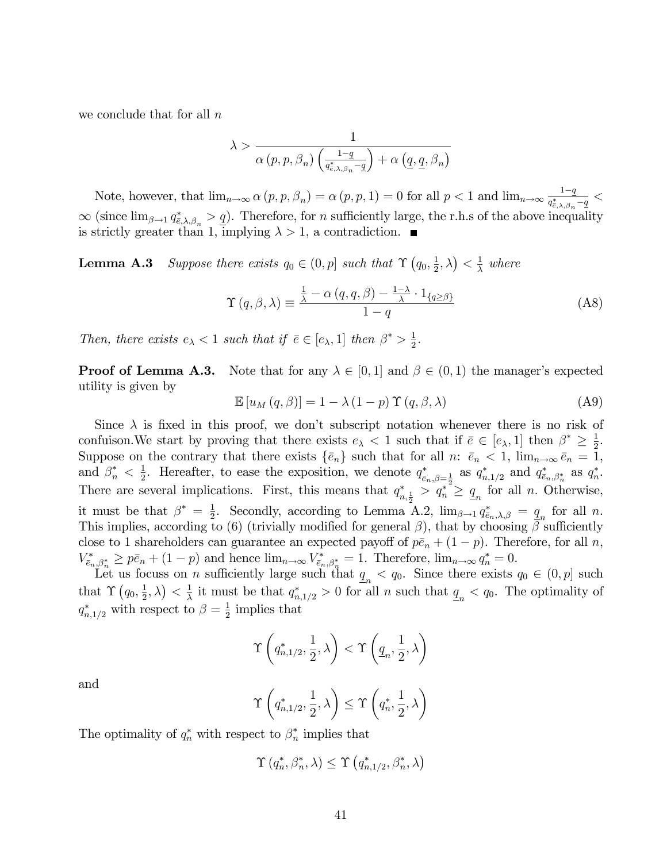we conclude that for all  $n$ 

$$
\lambda > \frac{1}{\alpha(p, p, \beta_n) \left( \frac{1-q}{q_{\bar{e}, \lambda, \beta_n}^* - q} \right) + \alpha \left( \underline{q}, \underline{q}, \beta_n \right)}
$$

Note, however, that  $\lim_{n\to\infty} \alpha(p, p, \beta_n) = \alpha(p, p, 1) = 0$  for all  $p < 1$  and  $\lim_{n\to\infty} \frac{1-q}{q_{\beta,\lambda,\beta}^*}$  $\frac{1-q}{q^*_{\bar{e},\lambda,\beta_n}-q} <$  $\infty$  (since  $\lim_{\beta \to 1} q_{\bar{e},\lambda,\beta_n} > \underline{q}$ ). Therefore, for n sufficiently large, the r.h.s of the above inequality is strictly greater than 1, implying  $\lambda > 1$ , a contradiction.

**Lemma A.3** Suppose there exists  $q_0 \in (0, p]$  such that  $\Upsilon$   $\left(q_0, \frac{1}{2}\right)$  $\frac{1}{2}, \lambda \big) < \frac{1}{\lambda}$  $\frac{1}{\lambda}$  where

$$
\Upsilon(q,\beta,\lambda) \equiv \frac{\frac{1}{\lambda} - \alpha(q,q,\beta) - \frac{1-\lambda}{\lambda} \cdot 1_{\{q \ge \beta\}}}{1-q}
$$
 (A8)

Then, there exists  $e_{\lambda} < 1$  such that if  $\bar{e} \in [e_{\lambda}, 1]$  then  $\beta^* > \frac{1}{2}$  $\frac{1}{2}$ .

**Proof of Lemma A.3.** Note that for any  $\lambda \in [0,1]$  and  $\beta \in (0,1)$  the manager's expected utility is given by

$$
\mathbb{E}\left[u_M\left(q,\beta\right)\right] = 1 - \lambda \left(1 - p\right) \Upsilon\left(q,\beta,\lambda\right) \tag{A9}
$$

Since  $\lambda$  is fixed in this proof, we don't subscript notation whenever there is no risk of confuison. We start by proving that there exists  $e_{\lambda} < 1$  such that if  $\bar{e} \in [e_{\lambda}, 1]$  then  $\beta^* \geq \frac{1}{2}$  $\frac{1}{2}$ . Suppose on the contrary that there exists  $\{\bar{e}_n\}$  such that for all n:  $\bar{e}_n < 1$ ,  $\lim_{n\to\infty} \bar{e}_n = 1$ , and  $\beta_n^* < \frac{1}{2}$ <sup>1</sup>/<sub>2</sub>. Hereafter, to ease the exposition, we denote  $q_{\bar{e}_n,\beta=\frac{1}{2}}^*$  as  $q_{n,1/2}^*$  and  $q_{\bar{e}_n,\beta_n^*}^*$  as  $q_n^*$ . There are several implications. First, this means that  $q_{n,\frac{1}{2}}^* > q_n^* \ge q_n$  for all n. Otherwise, it must be that  $\beta^* = \frac{1}{2}$ . Secondly, according to Lemma  $\frac{1}{2}$ . Secondly, according to Lemma A.2,  $\lim_{\beta \to 1} q_{\bar{e}_n,\lambda,\beta}^* = q_n$  for all n. This implies, according to (6) (trivially modified for general  $\beta$ ), that by choosing  $\beta$  sufficiently close to 1 shareholders can guarantee an expected payoff of  $p\bar{e}_n + (1 - p)$ . Therefore, for all n,  $V_{\bar{e}_n,\beta_n^*}^* \geq p\bar{e}_n + (1-p)$  and hence  $\lim_{n\to\infty} V_{\bar{e}_n,\beta_n^*}^* = 1$ . Therefore,  $\lim_{n\to\infty} q_n^* = 0$ .

Let us focuss on *n* sufficiently large such that  $q_n < q_0$ . Since there exists  $q_0 \in (0, p]$  such that  $\Upsilon(q_0, \frac{1}{2})$  $\frac{1}{2}, \lambda \big) < \frac{1}{\lambda}$  $\frac{1}{\lambda}$  it must be that  $q_{n,1/2}^* > 0$  for all n such that  $q_n < q_0$ . The optimality of  $q_{n,1/2}^*$  with respect to  $\beta = \frac{1}{2}$  $\frac{1}{2}$  implies that

$$
\Upsilon\left(q_{n,1/2}^*,\frac{1}{2},\lambda\right)<\Upsilon\left(\underline{q}_n,\frac{1}{2},\lambda\right)
$$

and

$$
\Upsilon\left(q_{n,1/2}^*,\frac{1}{2},\lambda\right) \leq \Upsilon\left(q_n^*,\frac{1}{2},\lambda\right)
$$

The optimality of  $q_n^*$  with respect to  $\beta_n^*$  implies that

$$
\Upsilon\left(q_n^*,\beta_n^*,\lambda\right) \leq \Upsilon\left(q_{n,1/2}^*,\beta_n^*,\lambda\right)
$$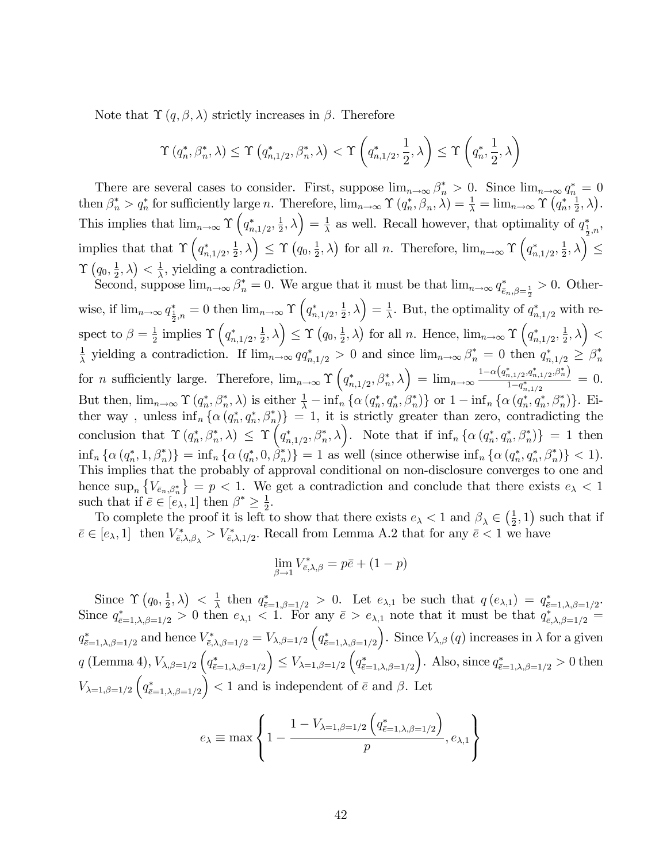Note that  $\Upsilon(q, \beta, \lambda)$  strictly increases in  $\beta$ . Therefore

$$
\Upsilon\left(q_n^*,\beta_n^*,\lambda\right) \leq \Upsilon\left(q_{n,1/2}^*,\beta_n^*,\lambda\right) < \Upsilon\left(q_{n,1/2}^*,\frac{1}{2},\lambda\right) \leq \Upsilon\left(q_n^*,\frac{1}{2},\lambda\right)
$$

There are several cases to consider. First, suppose  $\lim_{n\to\infty} \beta_n^* > 0$ . Since  $\lim_{n\to\infty} q_n^* = 0$ then  $\beta_n^* > q_n^*$  for sufficiently large n. Therefore,  $\lim_{n\to\infty} \Upsilon(q_n^*, \beta_n, \lambda) = \frac{1}{\lambda} = \lim_{n\to\infty} \Upsilon(q_n^*, \frac{1}{2})$  $\frac{1}{2}, \lambda$ ). This implies that  $\lim_{n\to\infty} \Upsilon\left(q_{n,1/2}^*,\frac{1}{2}\right)$  $\left(\frac{1}{2},\lambda\right)=\frac{1}{\lambda}$  $\frac{1}{\lambda}$  as well. Recall however, that optimality of  $q_{\frac{1}{2},n}^*$ , implies that that  $\Upsilon\left(q_{n,1/2}^*,\frac{1}{2}\right)$  $\left( \frac{1}{2},\lambda\right) \leq \Upsilon\left( q_{0},\frac{1}{2}\right)$  $(\frac{1}{2}, \lambda)$  for all *n*. Therefore,  $\lim_{n\to\infty} \Upsilon\left(q_{n,1/2}^*, \frac{1}{2}\right)$  $\left(\frac{1}{2},\lambda\right)^2\leq$  $\Upsilon\left( q_{0},\frac{1}{2}\right)$  $\frac{1}{2}, \lambda \big) < \frac{1}{\lambda}$  $\frac{1}{\lambda}$ , yielding a contradiction.

Second, suppose  $\lim_{n\to\infty} \beta_n^* = 0$ . We argue that it must be that  $\lim_{n\to\infty} q_{\bar{e}_n,\beta=\frac{1}{2}}^* > 0$ . Otherwise, if  $\lim_{n\to\infty} q^*_{\frac{1}{2},n} = 0$  then  $\lim_{n\to\infty} \Upsilon\left(q^*_{n,1/2},\frac{1}{2}\right)$  $\left(\frac{1}{2},\lambda\right)=\frac{1}{\lambda}$  $\frac{1}{\lambda}$ . But, the optimality of  $q_{n,1/2}^*$  with respect to  $\beta = \frac{1}{2}$  $\frac{1}{2}$  implies  $\Upsilon\left(q_{n,1/2}^*,\frac{1}{2}\right)$  $\left( \frac{1}{2},\lambda\right) \leq \Upsilon \left( q_{0},\frac{1}{2}\right)$  $(\frac{1}{2}, \lambda)$  for all *n*. Hence,  $\lim_{n\to\infty} \Upsilon\left(q_{n,1/2}^*, \frac{1}{2}\right)$  $\left(\frac{1}{2},\lambda\right)<$ 1  $\frac{1}{\lambda}$  yielding a contradiction. If  $\lim_{n\to\infty} qq_{n,1/2}^* > 0$  and since  $\lim_{n\to\infty} \beta_n^* = 0$  then  $q_{n,1/2}^* \geq \beta_n^*$ for *n* sufficiently large. Therefore,  $\lim_{n\to\infty} \Upsilon\left(q_{n,1/2}^*, \beta_n^*, \lambda\right) = \lim_{n\to\infty} \frac{1-\alpha\left(q_{n,1/2}^*, q_{n,1/2}^*, \beta_n^*\right)}{1-q_{n,1/2}^*}$  $\frac{\frac{n,1/2\cdot 4n,1/2\cdot \nu^2 n^2}{1-q^*_{n,1/2}}}{1-q^*_{n,1/2}}=0.$ But then,  $\lim_{n\to\infty} \Upsilon(q_n^*, \beta_n^*, \lambda)$  is either  $\frac{1}{\lambda} - \inf_n \{\alpha(q_n^*, q_n^*, \beta_n^*)\}$  or  $1 - \inf_n \{\alpha(q_n^*, q_n^*, \beta_n^*)\}$ . Either way, unless  $\inf_n \{\alpha(q_n^*, q_n^*, \beta_n^*)\} = 1$ , it is strictly greater than zero, contradicting the conclusion that  $\Upsilon(q_n^*, \beta_n^*, \lambda) \leq \Upsilon(q_{n,1/2}^*, \beta_n^*, \lambda)$ . Note that if  $\inf_n {\alpha(q_n^*, q_n^*, \beta_n^*)} = 1$  then  $\inf_n {\alpha (q_n^*, 1, \beta_n^*) } = \inf_n {\alpha (q_n^*, 0, \beta_n^*) } = 1$  as well (since otherwise  $\inf_n {\alpha (q_n^*, q_n^*, \beta_n^*) } < 1$ ). This implies that the probably of approval conditional on non-disclosure converges to one and hence  $\sup_n \left\{ V_{\bar{e}_n,\beta_n^*} \right\} = p < 1$ . We get a contradiction and conclude that there exists  $e_\lambda < 1$ such that if  $\overline{e} \in [e_{\lambda}, 1]$  then  $\beta^* \geq \frac{1}{2}$  $\frac{1}{2}$ .

To complete the proof it is left to show that there exists  $e_{\lambda} < 1$  and  $\beta_{\lambda} \in \left(\frac{1}{2}\right)$  $(\frac{1}{2}, 1)$  such that if  $\bar{e} \in [e_{\lambda}, 1]$  then  $V_{\bar{e},\lambda,\beta_{\lambda}}^* > V_{\bar{e},\lambda,1/2}^*$ . Recall from Lemma A.2 that for any  $\bar{e} < 1$  we have

$$
\lim_{\beta \to 1} V_{\bar{e},\lambda,\beta}^* = p\bar{e} + (1-p)
$$

Since  $\Upsilon\left(q_0, \frac{1}{2}\right)$  $\left(\frac{1}{2}, \lambda\right) < \frac{1}{\lambda}$  $\frac{1}{\lambda}$  then  $q^*_{\bar{e}=1,\beta=1/2} > 0$ . Let  $e_{\lambda,1}$  be such that  $q(e_{\lambda,1}) = q^*_{\bar{e}=1,\lambda,\beta=1/2}$ . Since  $q_{\bar{e}=1,\lambda,\beta=1/2}^* > 0$  then  $e_{\lambda,1} < 1$ . For any  $\bar{e} > e_{\lambda,1}$  note that it must be that  $q_{\bar{e},\lambda,\beta=1/2}^* =$  $q_{\bar{\epsilon}=1,\lambda,\beta=1/2}^*$  and hence  $V_{\bar{\epsilon},\lambda,\beta=1/2}^* = V_{\lambda,\beta=1/2} \left( q_{\bar{\epsilon}=1,\lambda,\beta=1/2}^* \right)$ ). Since  $V_{\lambda,\beta}(q)$  increases in  $\lambda$  for a given  $q$  (Lemma 4),  $V_{\lambda,\beta=1/2}$   $\Big(q^*_{\tilde{e}=1,\lambda,\beta=1/2}\Big)$  $\Big) \leq V_{\lambda=1,\beta=1/2} \left( q^*_{\bar{\epsilon}=1,\lambda,\beta=1/2} \right)$ ). Also, since  $q_{\bar{e}=1,\lambda,\beta=1/2}^* > 0$  then  $V_{\lambda=1,\beta=1/2} \left( q_{\bar{e}=1,\lambda,\beta=1/2}^* \right)$  $($   $)$  < 1 and is independent of  $\bar{e}$  and  $\beta$ . Let

$$
e_{\lambda} \equiv \max \left\{ 1 - \frac{1 - V_{\lambda=1,\beta=1/2} \left( q_{\bar{e}=1,\lambda,\beta=1/2}^* \right)}{p}, e_{\lambda,1} \right\}
$$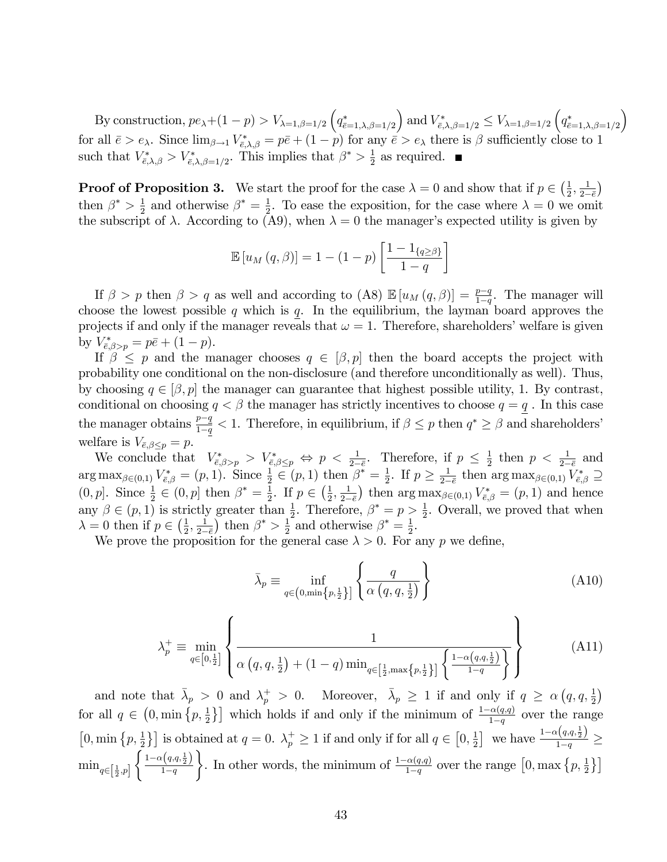By construction,  $pe_{\lambda}+(1-p) > V_{\lambda=1,\beta=1/2} \left(q_{\bar{e}=1,\lambda,\beta=1/2}^*\right)$ ) and  $V_{\bar{e},\lambda,\beta=1/2}^* \leq V_{\lambda=1,\beta=1/2} \left( q_{\bar{e}=1,\lambda,\beta=1/2}^* \right)$  $\overline{ }$ for all  $\bar{e} > e_{\lambda}$ . Since  $\lim_{\beta \to 1} V^*_{\bar{e},\lambda,\beta} = p\bar{e} + (1-p)$  for any  $\bar{e} > e_{\lambda}$  there is  $\beta$  sufficiently close to 1 such that  $V_{\bar{\epsilon},\lambda,\beta}^* > V_{\bar{\epsilon},\lambda,\beta=1/2}^*$ . This implies that  $\beta^* > \frac{1}{2}$  $\frac{1}{2}$  as required.

**Proof of Proposition 3.** We start the proof for the case  $\lambda = 0$  and show that if  $p \in \left(\frac{1}{2}\right)$  $\frac{1}{2}, \frac{1}{2-}$  $\frac{2-\bar{e}}{2}$  $\lambda$ then  $\beta^*$  >  $\frac{1}{2}$  $\frac{1}{2}$  and otherwise  $\beta^* = \frac{1}{2}$  $\frac{1}{2}$ . To ease the exposition, for the case where  $\lambda = 0$  we omit the subscript of  $\lambda$ . According to (A9), when  $\lambda = 0$  the manager's expected utility is given by

$$
\mathbb{E}\left[u_M\left(q,\beta\right)\right] = 1 - (1-p)\left[\frac{1 - 1_{\{q \geq \beta\}}}{1 - q}\right]
$$

If  $\beta > p$  then  $\beta > q$  as well and according to  $(A8) \mathbb{E}[u_M(q, \beta)] = \frac{p-q}{1-q}$ . The manager will choose the lowest possible q which is q. In the equilibrium, the layman board approves the projects if and only if the manager reveals that  $\omega = 1$ . Therefore, shareholders' welfare is given by  $V_{\bar{e},\beta>p}^* = p\bar{e} + (1-p).$ 

If  $\beta \leq p$  and the manager chooses  $q \in [\beta, p]$  then the board accepts the project with probability one conditional on the non-disclosure (and therefore unconditionally as well). Thus, by choosing  $q \in [\beta, p]$  the manager can guarantee that highest possible utility, 1. By contrast, conditional on choosing  $q < \beta$  the manager has strictly incentives to choose  $q = q$ . In this case the manager obtains  $\frac{p-q}{1-q} < 1$ . Therefore, in equilibrium, if  $\beta \leq p$  then  $q^* \geq \beta$  and shareholders' welfare is  $V_{\bar{e},\beta \leq p} = p$ .

We conclude that  $V_{\bar{e},\beta>\underline{p}}^* > V_{\bar{e},\beta\leq p}^* \Leftrightarrow p < \frac{1}{2-\varepsilon}$ . Therefore, if  $p \leq \frac{1}{2}$  $rac{1}{2}$  then  $p < \frac{1}{2-\bar{e}}$  and  $\arg \max_{\beta \in (0,1)} V^*_{\bar{\epsilon},\beta} = (p,1).$  Since  $\frac{1}{2} \in (p,1)$  then  $\beta^* = \frac{1}{2}$  $\frac{1}{2}$ . If  $p \geq \frac{1}{2-2}$  $\frac{1}{2-\bar{e}}$  then  $\arg \max_{\beta \in (0,1)} V^*_{\bar{e},\beta} \supseteq$  $(0, p]$ . Since  $\frac{1}{2} \in (0, p]$  then  $\beta^* = \frac{1}{2}$  $\frac{1}{2}$ . If  $p \in \left(\frac{1}{2}\right)$  $\frac{1}{2}, \frac{1}{2-}$  $2-\bar{e}$ ) then  $\arg \max_{\beta \in (0,1)} V^*_{\bar{\epsilon},\beta} = (p,1)$  and hence any  $\beta \in (p, 1)$  is strictly greater than  $\frac{1}{2}$ . Therefore,  $\beta^* = p > \frac{1}{2}$ . Overall, we proved that when  $\lambda = 0$  then if  $p \in \left(\frac{1}{2}\right)$  $\frac{1}{2}, \frac{1}{2-}$  $2-\bar{e}$ ) then  $\beta^* > \frac{1}{2}$  $\frac{1}{2}$  and otherwise  $\beta^* = \frac{1}{2}$  $\frac{1}{2}$ .

We prove the proposition for the general case  $\lambda > 0$ . For any p we define,

$$
\bar{\lambda}_p \equiv \inf_{q \in (0, \min\{p, \frac{1}{2}\}]}\left\{\frac{q}{\alpha\left(q, q, \frac{1}{2}\right)}\right\} \tag{A10}
$$

$$
\lambda_p^+ \equiv \min_{q \in [0, \frac{1}{2}]} \left\{ \frac{1}{\alpha \left( q, q, \frac{1}{2} \right) + (1 - q) \min_{q \in \left[ \frac{1}{2}, \max\{p, \frac{1}{2}\} \right]} \left\{ \frac{1 - \alpha \left( q, q, \frac{1}{2} \right)}{1 - q} \right\}} \right\}
$$
(A11)

and note that  $\bar{\lambda}_p > 0$  and  $\lambda_p^+ > 0$ . Moreover,  $\bar{\lambda}_p \ge 1$  if and only if  $q \ge \alpha(q, q, \frac{1}{2})$ for all  $q \in (0, \min\{p, \frac{1}{2}\}]$  which holds if and only if the minimum of  $\frac{1-\alpha(q,q)}{1-q}$  over the range  $[0, \min\{p, \frac{1}{2}\}]$  is obtained at  $q = 0$ .  $\lambda_p^+ \ge 1$  if and only if for all  $q \in [0, \frac{1}{2}]$  $\frac{1}{2}$  we have  $\frac{1-\alpha(q,q,\frac{1}{2})}{1-q}$  $\frac{1}{1-q} \geq$  $\min_{q \in \left[\frac{1}{2}, p\right]}$  $\int 1-\alpha\left(q,q,\frac{1}{2}\right)$  $1-q$ . In other words, the minimum of  $\frac{1-\alpha(q,q)}{1-q}$  over the range  $[0, \max\left\{p, \frac{1}{2}\right\}]$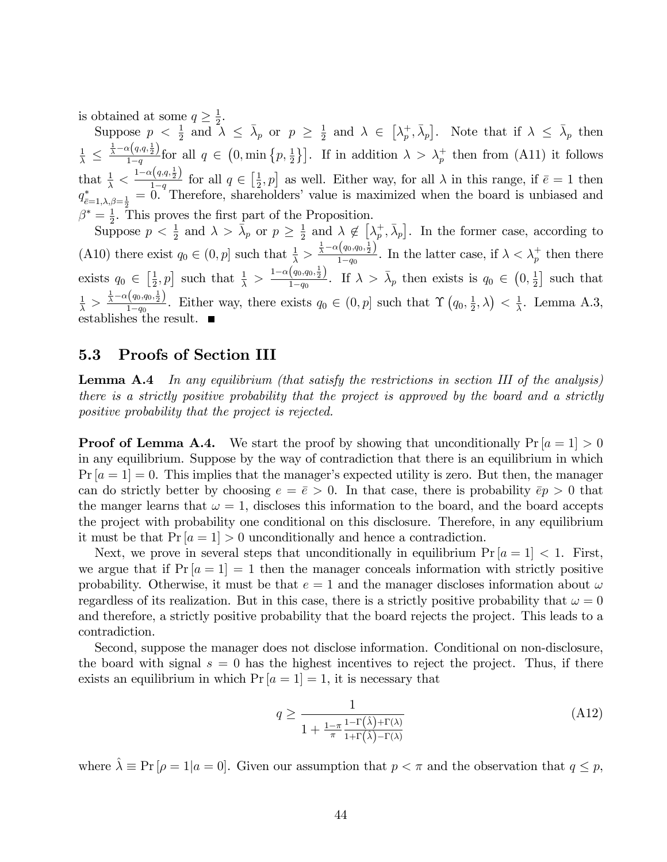is obtained at some  $q \geq \frac{1}{2}$  $\frac{1}{2}$ .

Suppose  $p < \frac{1}{2}$  and  $\lambda \leq \overline{\lambda}_p$  or  $p \geq \frac{1}{2}$  $\frac{1}{2}$  and  $\lambda \in [\lambda_p^+]$  $\left[\bar{\lambda}_p, \bar{\lambda}_p\right]$ . Note that if  $\lambda \leq \bar{\lambda}_p$  then  $\frac{1}{\lambda} \leq$  $\frac{1}{\lambda} - \alpha\left(q, q, \frac{1}{2}\right)$  $\frac{\lambda(\{q,q,\frac{1}{2}\})}{1-q}$  for all  $q \in (0,\min\{p,\frac{1}{2}\}]$ . If in addition  $\lambda > \lambda_p^+$  then from (A11) it follows that  $\frac{1}{\lambda} < \frac{1-\alpha(q,q,\frac{1}{2})}{1-q}$  $\frac{q(q,q,\frac{1}{2})}{1-q}$  for all  $q \in \left[\frac{1}{2}\right]$  $(\frac{1}{2}, p]$  as well. Either way, for all  $\lambda$  in this range, if  $\bar{e} = 1$  then  $q_{\bar{e}=1,\lambda,\beta=\frac{1}{2}}^* = 0$ . Therefore, shareholders' value is maximized when the board is unbiased and  $\beta^* = \frac{1}{2}$ .  $\frac{1}{2}$ . This proves the first part of the Proposition.

Suppose  $p < \frac{1}{2}$  and  $\lambda > \bar{\lambda}_p$  or  $p \geq \frac{1}{2}$  $\frac{1}{2}$  and  $\lambda \notin [\lambda_p^+]$  $\left[\frac{1}{p}, \bar{\lambda}_p\right]$ . In the former case, according to (A10) there exist  $q_0 \in (0, p]$  such that  $\frac{1}{\lambda} > \frac{\frac{1}{\lambda} - \alpha(q_0, q_0, \frac{1}{2})}{1 - q_0}$  $\frac{\lambda(\varphi_0, q_0, \frac{1}{2})}{1-q_0}$ . In the latter case, if  $\lambda < \lambda_p^+$  then there exists  $q_0 \in \left[\frac{1}{2}\right]$  $[\frac{1}{2}, p]$  such that  $\frac{1}{\lambda} > \frac{1-\alpha(q_0, q_0, \frac{1}{2})}{1-q_0}$  $\frac{(q_0, q_0, \frac{1}{2})}{1-q_0}$ . If  $\lambda > \bar{\lambda}_p$  then exists is  $q_0 \in (0, \frac{1}{2})$  $\frac{1}{2}$  such that  $\frac{1}{\lambda} > \frac{\frac{1}{\lambda} - \alpha\left(q_0, q_0, \frac{1}{2}\right)}{1 - q_0}$  $\frac{q_{0},q_{0},\frac{1}{2}}{1-q_{0}}$ . Either way, there exists  $q_{0} \in (0,p]$  such that  $\Upsilon(q_{0},\frac{1}{2})$  $\frac{1}{2}, \lambda \big) < \frac{1}{\lambda}$  $\frac{1}{\lambda}$ . Lemma A.3, establishes the result.

### 5.3 Proofs of Section III

**Lemma A.4** In any equilibrium (that satisfy the restrictions in section III of the analysis) there is a strictly positive probability that the project is approved by the board and a strictly positive probability that the project is rejected.

**Proof of Lemma A.4.** We start the proof by showing that unconditionally  $Pr[a = 1] > 0$ in any equilibrium. Suppose by the way of contradiction that there is an equilibrium in which  $Pr |a = 1| = 0$ . This implies that the manager's expected utility is zero. But then, the manager can do strictly better by choosing  $e = \overline{e} > 0$ . In that case, there is probability  $\overline{e}p > 0$  that the manger learns that  $\omega = 1$ , discloses this information to the board, and the board accepts the project with probability one conditional on this disclosure. Therefore, in any equilibrium it must be that  $Pr[a = 1] > 0$  unconditionally and hence a contradiction.

Next, we prove in several steps that unconditionally in equilibrium  $Pr[a = 1] < 1$ . First, we argue that if  $Pr[a = 1] = 1$  then the manager conceals information with strictly positive probability. Otherwise, it must be that  $e = 1$  and the manager discloses information about  $\omega$ regardless of its realization. But in this case, there is a strictly positive probability that  $\omega = 0$ and therefore, a strictly positive probability that the board rejects the project. This leads to a contradiction.

Second, suppose the manager does not disclose information. Conditional on non-disclosure, the board with signal  $s = 0$  has the highest incentives to reject the project. Thus, if there exists an equilibrium in which  $Pr[a = 1] = 1$ , it is necessary that

$$
q \ge \frac{1}{1 + \frac{1 - \pi}{\pi} \frac{1 - \Gamma(\hat{\lambda}) + \Gamma(\lambda)}{1 + \Gamma(\hat{\lambda}) - \Gamma(\lambda)}}
$$
(A12)

where  $\hat{\lambda} \equiv \Pr [ \rho = 1 | a = 0].$  Given our assumption that  $p < \pi$  and the observation that  $q \leq p$ ,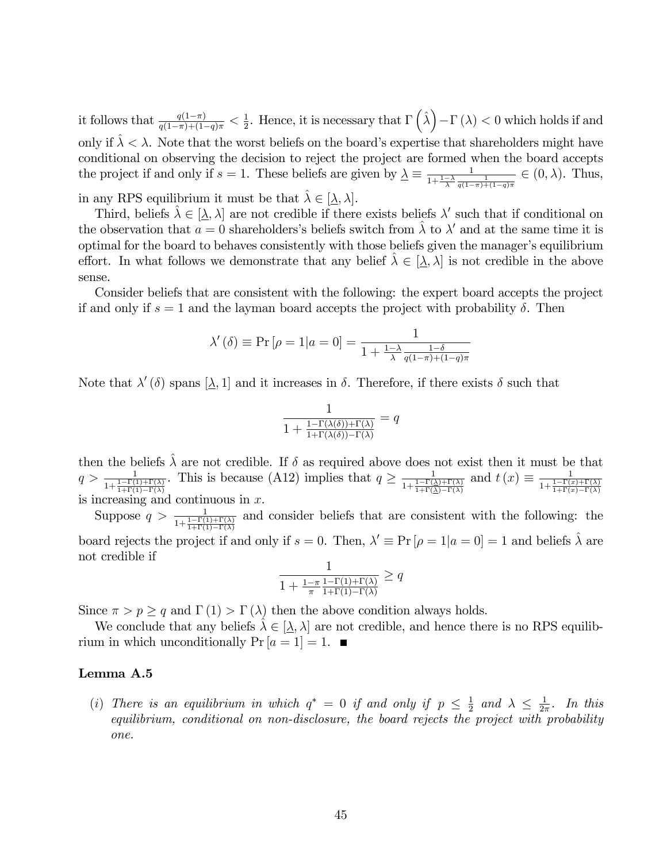it follows that  $\frac{q(1-\pi)}{q(1-\pi)+(1-q)\pi} < \frac{1}{2}$  $\frac{1}{2}$ . Hence, it is necessary that  $\Gamma\left(\hat{\lambda}\right) - \Gamma\left(\lambda\right) < 0$  which holds if and only if  $\hat{\lambda} < \lambda$ . Note that the worst beliefs on the board's expertise that shareholders might have conditional on observing the decision to reject the project are formed when the board accepts the project if and only if  $s = 1$ . These beliefs are given by  $\Delta \equiv \frac{1}{1 + \frac{1 - \lambda}{\lambda} \frac{d}{d}}$  $\frac{1}{1+\frac{1-\lambda}{\lambda}\frac{1}{q(1-\pi)+(1-q)\pi}} \in (0,\lambda)$ . Thus,

in any RPS equilibrium it must be that  $\lambda \in [\underline{\lambda}, \lambda]$ .

Third, beliefs  $\hat{\lambda} \in [\underline{\lambda}, \lambda]$  are not credible if there exists beliefs  $\lambda'$  such that if conditional on the observation that  $a = 0$  shareholders's beliefs switch from  $\hat{\lambda}$  to  $\lambda'$  and at the same time it is optimal for the board to behaves consistently with those beliefs given the manager's equilibrium effort. In what follows we demonstrate that any belief  $\lambda \in [\lambda, \lambda]$  is not credible in the above sense.

Consider beliefs that are consistent with the following: the expert board accepts the project if and only if  $s = 1$  and the layman board accepts the project with probability  $\delta$ . Then

$$
\lambda'(\delta) \equiv \Pr\left[\rho = 1 | a = 0\right] = \frac{1}{1 + \frac{1 - \lambda}{\lambda} \frac{1 - \delta}{q(1 - \pi) + (1 - q)\pi}}
$$

Note that  $\lambda'(\delta)$  spans  $[\lambda, 1]$  and it increases in  $\delta$ . Therefore, if there exists  $\delta$  such that

$$
\frac{1}{1 + \frac{1 - \Gamma(\lambda(\delta)) + \Gamma(\lambda)}{1 + \Gamma(\lambda(\delta)) - \Gamma(\lambda)}} = q
$$

then the beliefs  $\lambda$  are not credible. If  $\delta$  as required above does not exist then it must be that  $q > \frac{1}{1+\frac{1-\Gamma(1)+\Gamma(\lambda)}{1+\Gamma(1)-\Gamma(\lambda)}}$ . This is because (A12) implies that  $q \ge \frac{1}{1+\frac{1-\Gamma(2)}{1+\Gamma(2)}}$  $\frac{1}{1+\frac{1-\Gamma(\lambda)+\Gamma(\lambda)}{1+\Gamma(\lambda)-\Gamma(\lambda)}}$  and  $t(x) \equiv \frac{1}{1+\frac{1-\Gamma(x)}{1+\Gamma(x)}}$  $1+\frac{1-\Gamma(x)+\Gamma(\lambda)}{1+\Gamma(x)-\Gamma(\lambda)}$ is increasing and continuous in  $x$ .

Suppose  $q > \frac{1}{1 + \frac{1 - \Gamma(1) + \Gamma(\lambda)}{1 + \Gamma(1) - \Gamma(\lambda)}}$ and consider beliefs that are consistent with the following: the board rejects the project if and only if  $s = 0$ . Then,  $\lambda' \equiv \Pr[\rho = 1 | a = 0] = 1$  and beliefs  $\hat{\lambda}$  are not credible if

$$
\frac{1}{1 + \frac{1 - \pi}{\pi} \frac{1 - \Gamma(1) + \Gamma(\lambda)}{1 + \Gamma(1) - \Gamma(\lambda)}} \ge q
$$

Since  $\pi > p \geq q$  and  $\Gamma(1) > \Gamma(\lambda)$  then the above condition always holds.

We conclude that any beliefs  $\lambda \in [\lambda, \lambda]$  are not credible, and hence there is no RPS equilibrium in which unconditionally  $Pr[a = 1] = 1.$ 

#### Lemma A.5

(i) There is an equilibrium in which  $q^* = 0$  if and only if  $p \leq \frac{1}{2}$  $rac{1}{2}$  and  $\lambda \leq \frac{1}{2\pi}$  $rac{1}{2\pi}$ . In this equilibrium, conditional on non-disclosure, the board rejects the project with probability one.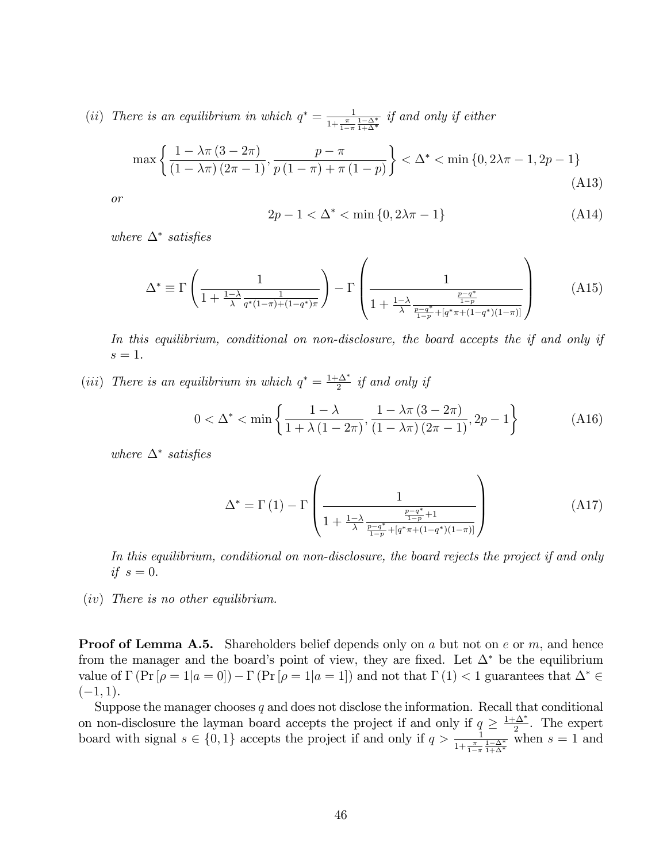(ii) There is an equilibrium in which  $q^* = \frac{1}{1+\pi}$  $\frac{1}{1+\frac{\pi}{1-\pi}\frac{1-\Delta^*}{1+\Delta^*}}$  if and only if either

$$
\max\left\{\frac{1-\lambda\pi\left(3-2\pi\right)}{\left(1-\lambda\pi\right)\left(2\pi-1\right)},\frac{p-\pi}{p\left(1-\pi\right)+\pi\left(1-p\right)}\right\}<\Delta^*<\min\left\{0,2\lambda\pi-1,2p-1\right\}\tag{A13}
$$

or

$$
2p - 1 < \Delta^* < \min\{0, 2\lambda\pi - 1\} \tag{A14}
$$

where  $\Delta^*$  satisfies

$$
\Delta^* \equiv \Gamma \left( \frac{1}{1 + \frac{1 - \lambda}{\lambda} \frac{1}{q^*(1 - \pi) + (1 - q^*)\pi}} \right) - \Gamma \left( \frac{1}{1 + \frac{1 - \lambda}{\lambda} \frac{\frac{p - q^*}{1 - p}}{\frac{p - q^*}{1 - p} + [q^* \pi + (1 - q^*)(1 - \pi)]}} \right)
$$
(A15)

In this equilibrium, conditional on non-disclosure, the board accepts the if and only if  $s=1$ .

(iii) There is an equilibrium in which  $q^* = \frac{1+\Delta^*}{2}$  $\frac{1}{2}$  if and only if

$$
0 < \Delta^* < \min\left\{\frac{1-\lambda}{1+\lambda\left(1-2\pi\right)}, \frac{1-\lambda\pi\left(3-2\pi\right)}{\left(1-\lambda\pi\right)\left(2\pi-1\right)}, 2p-1\right\} \tag{A16}
$$

where  $\Delta^*$  satisfies

$$
\Delta^* = \Gamma(1) - \Gamma\left(\frac{1}{1 + \frac{1-\lambda}{\lambda} \frac{\frac{p-q^*}{1-p} + 1}{\frac{p-q^*}{1-p} + [q^*\pi + (1-q^*)(1-\pi)]}}\right)
$$
(A17)

In this equilibrium, conditional on non-disclosure, the board rejects the project if and only if  $s=0$ .

(iv) There is no other equilibrium.

**Proof of Lemma A.5.** Shareholders belief depends only on a but not on e or m, and hence from the manager and the board's point of view, they are fixed. Let  $\Delta^*$  be the equilibrium value of  $\Gamma(\Pr[\rho = 1 | a = 0]) - \Gamma(\Pr[\rho = 1 | a = 1])$  and not that  $\Gamma(1) < 1$  guarantees that  $\Delta^* \in$  $(-1, 1).$ 

Suppose the manager chooses  $q$  and does not disclose the information. Recall that conditional on non-disclosure the layman board accepts the project if and only if  $q \geq \frac{1+\Delta^*}{2}$  $\frac{2}{2}$ . The expert board with signal  $s \in \{0, 1\}$  accepts the project if and only if  $q > \frac{1}{1 + \frac{\pi}{1 - \pi} \frac{1 - \Delta^*}{1 + \Delta^*}}$  when  $s = 1$  and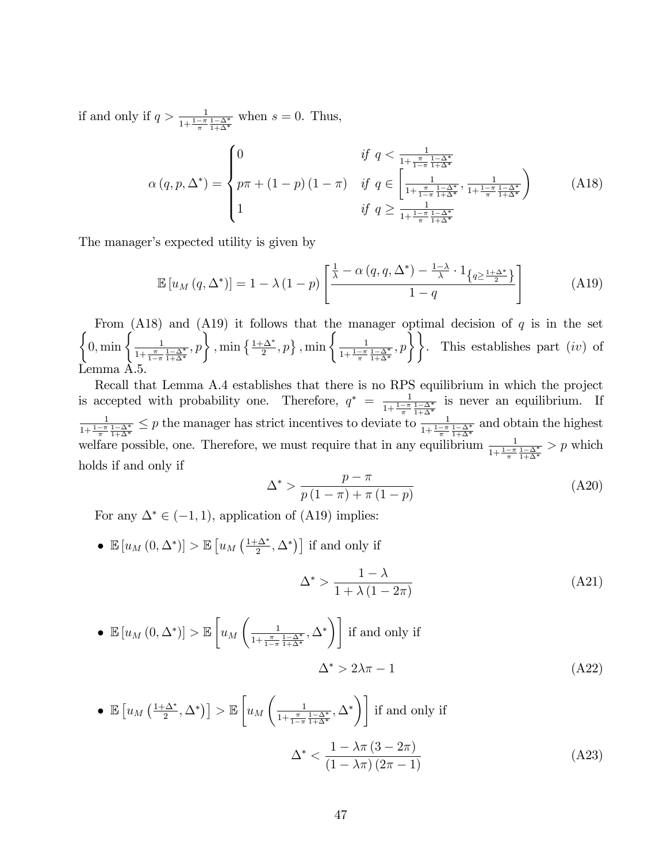if and only if  $q > \frac{1}{1 + \frac{1 - \alpha^*}{\pi} \frac{1 - \Delta^*}{1 + \Delta^*}}$  when  $s = 0$ . Thus,

$$
\alpha(q, p, \Delta^*) = \begin{cases} 0 & \text{if } q < \frac{1}{1 + \frac{\pi}{1 - \pi} \frac{1 - \Delta^*}{1 + \Delta^*}} \\ p\pi + (1 - p)(1 - \pi) & \text{if } q \in \left[\frac{1}{1 + \frac{\pi}{1 - \pi} \frac{1 - \Delta^*}{1 + \Delta^*}}, \frac{1}{1 + \frac{1 - \pi}{\pi} \frac{1 - \Delta^*}{1 + \Delta^*}}\right) \\ 1 & \text{if } q \ge \frac{1}{1 + \frac{1 - \pi}{\pi} \frac{1 - \Delta^*}{1 + \Delta^*}} \end{cases}
$$
(A18)

The manager's expected utility is given by

$$
\mathbb{E}\left[u_M\left(q,\Delta^*\right)\right] = 1 - \lambda\left(1-p\right)\left[\frac{\frac{1}{\lambda} - \alpha\left(q,q,\Delta^*\right) - \frac{1-\lambda}{\lambda} \cdot 1_{\left\{q \geq \frac{1+\Delta^*}{2}\right\}}}{1-q}\right] \tag{A19}
$$

 $\left\{0,\min\left\{\frac{1}{1+\pi}\right\}\right\}$ From  $(A18)$  and  $(A19)$  it follows that the manager optimal decision of q is in the set  $\frac{1}{1+\frac{\pi}{1-\pi}\frac{1-\Delta^*}{1+\Delta^*}},p\bigg\}$ ,  $\min\left\{\frac{1+\Delta^*}{2},p\right\}$ ,  $\min\left\{\frac{1}{1+\frac{1-\pi}{\pi}}\right\}$  $\frac{1}{1+\frac{1-\pi}{\pi}\frac{1-\Delta^*}{1+\Delta^*}}, p\right\}$ . This establishes part *(iv)* of Lemma A.5.

Recall that Lemma A.4 establishes that there is no RPS equilibrium in which the project is accepted with probability one. Therefore,  $q^* = \frac{1}{1+1-\pi}$  $\frac{1}{1+\frac{1-\pi}{\pi}}\frac{1-\Delta^*}{1+\Delta^*}$  is never an equilibrium. If 1  $\frac{1}{1+\frac{1-\pi}{\pi}\frac{1-\Delta^*}{1+\Delta^*}} \leq p$  the manager has strict incentives to deviate to  $\frac{1}{1+\frac{1-\pi}{\pi}\frac{1-\Delta^*}{1+\Delta^*}}$  and obtain the highest welfare possible, one. Therefore, we must require that in any equilibrium  $\frac{1}{1+\frac{1-\pi}{\pi}}\frac{1-\Delta^*}{1+\Delta^*} > p$  which holds if and only if

$$
\Delta^* > \frac{p - \pi}{p(1 - \pi) + \pi(1 - p)}
$$
\n(A20)

For any  $\Delta^* \in (-1, 1)$ , application of (A19) implies:

•  $\mathbb{E}\left[u_M\left(0,\Delta^*\right)\right] > \mathbb{E}\left[u_M\left(\frac{1+\Delta^*}{2}\right)\right]$  $\left[\frac{\Delta^*}{2}, \Delta^*\right]$  if and only if

$$
\Delta^* > \frac{1 - \lambda}{1 + \lambda \left(1 - 2\pi\right)}\tag{A21}
$$

• 
$$
\mathbb{E}[u_M(0,\Delta^*)] > \mathbb{E}\left[u_M\left(\frac{1}{1+\frac{\pi}{1-\pi}\frac{1-\Delta^*}{1+\Delta^*}},\Delta^*\right)\right]
$$
 if and only if  

$$
\Delta^* > 2\lambda\pi - 1
$$
 (A22)

• 
$$
\mathbb{E}\left[u_M\left(\frac{1+\Delta^*}{2},\Delta^*\right)\right] > \mathbb{E}\left[u_M\left(\frac{1}{1+\frac{\pi}{1-\pi}\frac{1-\Delta^*}{1+\Delta^*}},\Delta^*\right)\right]
$$
 if and only if  

$$
\Delta^* < \frac{1-\lambda\pi\left(3-2\pi\right)}{\left(1-\lambda\pi\right)\left(2\pi-1\right)}
$$
(A23)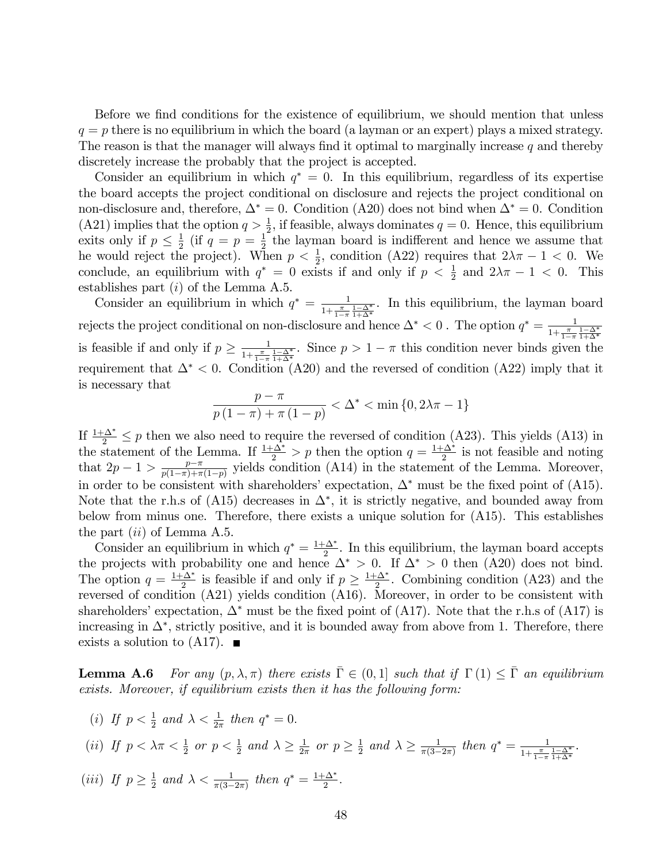Before we find conditions for the existence of equilibrium, we should mention that unless  $q = p$  there is no equilibrium in which the board (a layman or an expert) plays a mixed strategy. The reason is that the manager will always find it optimal to marginally increase  $q$  and thereby discretely increase the probably that the project is accepted.

Consider an equilibrium in which  $q^* = 0$ . In this equilibrium, regardless of its expertise the board accepts the project conditional on disclosure and rejects the project conditional on non-disclosure and, therefore,  $\Delta^* = 0$ . Condition (A20) does not bind when  $\Delta^* = 0$ . Condition (A21) implies that the option  $q > \frac{1}{2}$ , if feasible, always dominates  $q = 0$ . Hence, this equilibrium exits only if  $p \leq \frac{1}{2}$  $\frac{1}{2}$  (if  $q = p = \frac{1}{2}$  $\frac{1}{2}$  the layman board is indifferent and hence we assume that he would reject the project). When  $p < \frac{1}{2}$ , condition (A22) requires that  $2\lambda\pi - 1 < 0$ . We conclude, an equilibrium with  $q^* = 0$  exists if and only if  $p < \frac{1}{2}$  and  $2\lambda\pi - 1 < 0$ . This establishes part  $(i)$  of the Lemma A.5.

Consider an equilibrium in which  $q^* = \frac{1}{1+\pi}$  $\frac{1}{1+\frac{\pi}{1-\pi}\frac{1-\Delta^*}{1+\Delta^*}}$ . In this equilibrium, the layman board rejects the project conditional on non-disclosure and hence  $\Delta^* < 0$ . The option  $q^* = \frac{1}{1+\pi}$  $1+\frac{\pi}{1-\pi} \frac{1-\Delta^*}{1+\Delta^*}$ is feasible if and only if  $p \geq \frac{1}{1+\frac{\pi}{1-\epsilon}}$  $\frac{1}{1+\frac{\pi}{1-\pi}\frac{1-\Delta^*}{1+\Delta^*}}$ . Since  $p > 1-\pi$  this condition never binds given the requirement that  $\Delta^*$  < 0. Condition (A20) and the reversed of condition (A22) imply that it is necessary that

$$
\frac{p - \pi}{p(1 - \pi) + \pi(1 - p)} < \Delta^* < \min\{0, 2\lambda\pi - 1\}
$$

If  $\frac{1+\Delta^*}{2} \leq p$  then we also need to require the reversed of condition (A23). This yields (A13) in the statement of the Lemma. If  $\frac{1+\Delta^*}{2} > p$  then the option  $q = \frac{1+\Delta^*}{2}$  $\frac{2\Delta^*}{2}$  is not feasible and noting that  $2p-1 > \frac{p-\pi}{p(1-\pi)+\pi}$  $\frac{p-\pi}{p(1-\pi)+\pi(1-p)}$  yields condition (A14) in the statement of the Lemma. Moreover, in order to be consistent with shareholders' expectation,  $\Delta^*$  must be the fixed point of (A15). Note that the r.h.s of (A15) decreases in  $\Delta^*$ , it is strictly negative, and bounded away from below from minus one. Therefore, there exists a unique solution for (A15). This establishes the part  $(ii)$  of Lemma A.5.

Consider an equilibrium in which  $q^* = \frac{1+\Delta^*}{2}$  $\frac{\Delta^*}{2}$ . In this equilibrium, the layman board accepts the projects with probability one and hence  $\Delta^* > 0$ . If  $\Delta^* > 0$  then  $(A20)$  does not bind. The option  $q = \frac{1+\Delta^*}{2}$  $\frac{2}{2}$  is feasible if and only if  $p \geq \frac{1+\Delta^*}{2}$  $\frac{2\Delta^*}{2}$ . Combining condition (A23) and the reversed of condition (A21) yields condition (A16). Moreover, in order to be consistent with shareholders' expectation,  $\Delta^*$  must be the fixed point of (A17). Note that the r.h.s of (A17) is increasing in  $\Delta^*$ , strictly positive, and it is bounded away from above from 1. Therefore, there exists a solution to  $(A17)$ .

**Lemma A.6** For any  $(p, \lambda, \pi)$  there exists  $\overline{\Gamma} \in (0, 1]$  such that if  $\Gamma(1) \leq \overline{\Gamma}$  an equilibrium exists. Moreover, if equilibrium exists then it has the following form:

(i) If  $p < \frac{1}{2}$  and  $\lambda < \frac{1}{2\pi}$  then  $q^* = 0$ .

(ii) If 
$$
p < \lambda \pi < \frac{1}{2}
$$
 or  $p < \frac{1}{2}$  and  $\lambda \ge \frac{1}{2\pi}$  or  $p \ge \frac{1}{2}$  and  $\lambda \ge \frac{1}{\pi(3-2\pi)}$  then  $q^* = \frac{1}{1 + \frac{\pi}{1 - \pi} \frac{1 - \Delta^*}{1 + \Delta^*}}$ .

(*iii*) If  $p \geq \frac{1}{2}$  $\frac{1}{2}$  and  $\lambda < \frac{1}{\pi(3-2\pi)}$  then  $q^* = \frac{1+\Delta^*}{2}$  $\frac{1}{2}$ .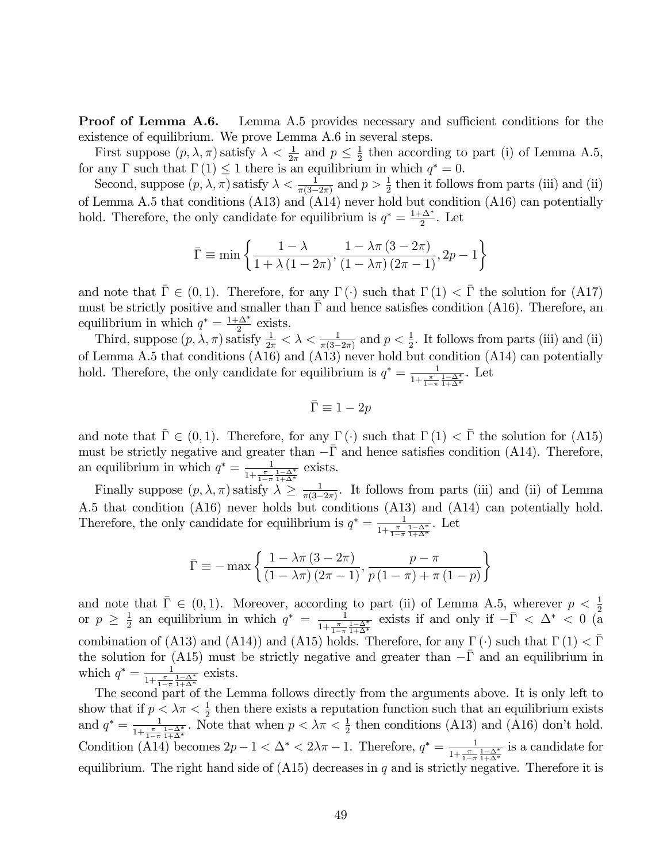**Proof of Lemma A.6.** Lemma A.5 provides necessary and sufficient conditions for the existence of equilibrium. We prove Lemma A.6 in several steps.

First suppose  $(p, \lambda, \pi)$  satisfy  $\lambda < \frac{1}{2\pi}$  and  $p \leq \frac{1}{2}$  $\frac{1}{2}$  then according to part (i) of Lemma A.5, for any  $\Gamma$  such that  $\Gamma(1) \leq 1$  there is an equilibrium in which  $q^* = 0$ .

Second, suppose  $(p, \lambda, \pi)$  satisfy  $\lambda < \frac{1}{\pi(3-2\pi)}$  and  $p > \frac{1}{2}$  then it follows from parts (iii) and (ii) of Lemma A.5 that conditions (A13) and (A14) never hold but condition (A16) can potentially hold. Therefore, the only candidate for equilibrium is  $q^* = \frac{1+\Delta^*}{2}$  $\frac{2}{2}$ . Let

$$
\bar{\Gamma} \equiv \min \left\{ \frac{1 - \lambda}{1 + \lambda (1 - 2\pi)}, \frac{1 - \lambda \pi (3 - 2\pi)}{(1 - \lambda \pi) (2\pi - 1)}, 2p - 1 \right\}
$$

and note that  $\bar{\Gamma} \in (0, 1)$ . Therefore, for any  $\Gamma(\cdot)$  such that  $\Gamma(1) < \bar{\Gamma}$  the solution for (A17) must be strictly positive and smaller than  $\overline{\Gamma}$  and hence satisfies condition (A16). Therefore, an equilibrium in which  $q^* = \frac{1+\Delta^*}{2}$  $\frac{\Delta^*}{2}$  exists.

Third, suppose  $(p, \lambda, \pi)$  satisfy  $\frac{1}{2\pi} < \lambda < \frac{1}{\pi(3-2\pi)}$  and  $p < \frac{1}{2}$ . It follows from parts (iii) and (ii) of Lemma A.5 that conditions (A16) and (A13) never hold but condition (A14) can potentially hold. Therefore, the only candidate for equilibrium is  $q^* = \frac{1}{1+\pi}$  $\frac{1}{1+\frac{\pi}{1-\pi}\frac{1-\Delta^*}{1+\Delta^*}}$ . Let

$$
\bar{\Gamma}\equiv 1-2p
$$

and note that  $\bar{\Gamma} \in (0, 1)$ . Therefore, for any  $\Gamma(\cdot)$  such that  $\Gamma(1) < \bar{\Gamma}$  the solution for (A15) must be strictly negative and greater than  $-\bar{\Gamma}$  and hence satisfies condition (A14). Therefore, an equilibrium in which  $q^* = \frac{1}{1+\pi}$  $\frac{1}{1+\frac{\pi}{1-\pi}} \frac{1-\Delta^*}{1+\Delta^*}$  exists.

Finally suppose  $(p, \lambda, \pi)$  satisfy  $\lambda \geq \frac{1}{\pi(3-\pi)}$  $\frac{1}{\pi(3-2\pi)}$ . It follows from parts (iii) and (ii) of Lemma A.5 that condition (A16) never holds but conditions (A13) and (A14) can potentially hold. Therefore, the only candidate for equilibrium is  $q^* = \frac{1}{1+\pi}$  $\frac{1}{1+\frac{\pi}{1-\pi}\frac{1-\Delta^*}{1+\Delta^*}}$ . Let

$$
\bar{\Gamma} \equiv -\max\left\{\frac{1-\lambda\pi\left(3-2\pi\right)}{\left(1-\lambda\pi\right)\left(2\pi-1\right)}, \frac{p-\pi}{p\left(1-\pi\right)+\pi\left(1-p\right)}\right\}
$$

and note that  $\bar{\Gamma} \in (0, 1)$ . Moreover, according to part (ii) of Lemma A.5, wherever  $p < \frac{1}{2}$  or  $p \geq \frac{1}{2}$  an equilibrium in which  $q^* = \frac{1}{1 + \frac{\pi}{2} \frac{1 - \Delta^*}{4}}$  exists if and only if  $-\bar{\Gamma} < \Delta^* < 0$  (a  $rac{1}{2}$  an equilibrium in which  $q^* = \frac{1}{1+\frac{\pi}{\sqrt{2}}}$  $\frac{1}{1+\frac{\pi}{1-\pi}\frac{1-\Delta^*}{1+\Delta^*}}$  exists if and only if  $-\bar{\Gamma} < \Delta^* < 0$  (a combination of (A13) and (A14)) and (A15) holds. Therefore, for any  $\Gamma(\cdot)$  such that  $\Gamma(1) < \overline{\Gamma}$ the solution for (A15) must be strictly negative and greater than  $-\bar{\Gamma}$  and an equilibrium in which  $q^* = \frac{1}{1+\pi}$  $\frac{1}{1+\frac{\pi}{1-\pi}\frac{1-\Delta^*}{1+\Delta^*}}$  exists.

The second part of the Lemma follows directly from the arguments above. It is only left to show that if  $p < \lambda \pi < \frac{1}{2}$  then there exists a reputation function such that an equilibrium exists and  $q^* = \frac{1}{1 + \pi}$  $\frac{1}{1+\frac{\pi}{1-\pi} \frac{1-\Delta^*}{1+\Delta^*}}$ . Note that when  $p < \lambda \pi < \frac{1}{2}$  then conditions (A13) and (A16) don't hold. Condition (A14) becomes  $2p-1 < \Delta^* < 2\lambda\pi - 1$ . Therefore,  $q^* = \frac{1}{1+\frac{\pi}{1-\epsilon}}$  $\frac{1}{1+\frac{\pi}{1-\pi}\frac{1-\Delta^*}{1+\Delta^*}}$  is a candidate for equilibrium. The right hand side of  $(A15)$  decreases in q and is strictly negative. Therefore it is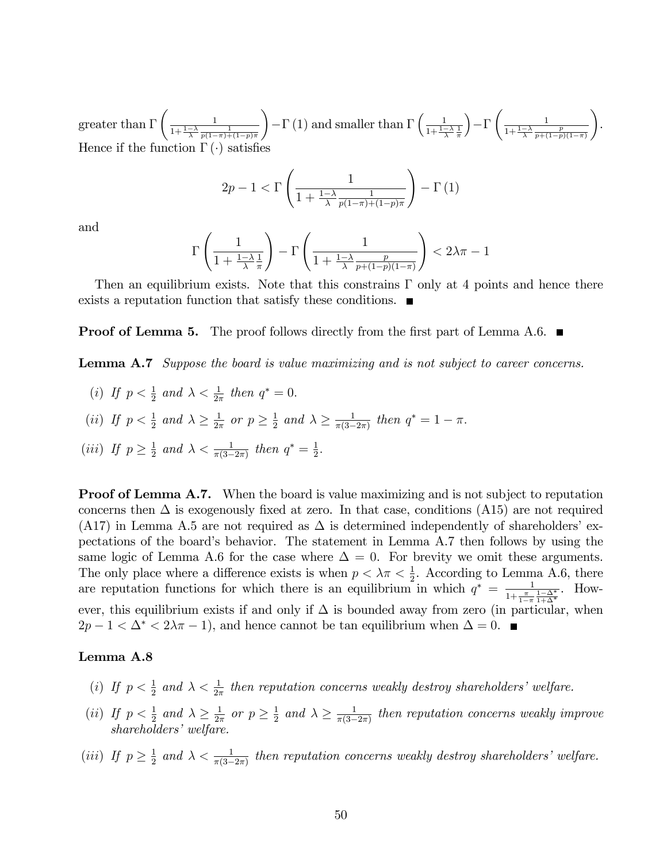greater than  $\Gamma$  $\begin{pmatrix} 1 \end{pmatrix}$  $\frac{1}{1+\frac{1-\lambda}{\lambda}}\frac{1}{p(1-\pi)+(1-p)\pi}$  $\setminus$  $-\Gamma(1)$  and smaller than  $\Gamma\left(\frac{1}{1+\frac{1}{2}}\right)$  $\frac{1-\lambda}{\lambda} \frac{1}{\pi}$  $\overline{) - \Gamma}$  $\begin{pmatrix} 1 \end{pmatrix}$  $\frac{1-\lambda}{1+\frac{1-\lambda}{p+(1-p)(1-\pi)}}$  $\setminus$ . Hence if the function  $\Gamma(\cdot)$  satisfies

$$
2p - 1 < \Gamma\left(\frac{1}{1 + \frac{1 - \lambda}{\lambda} \frac{1}{p(1 - \pi) + (1 - p)\pi}}\right) - \Gamma\left(1\right)
$$

and

$$
\Gamma\left(\frac{1}{1+\frac{1-\lambda}{\lambda}\frac{1}{\pi}}\right) - \Gamma\left(\frac{1}{1+\frac{1-\lambda}{\lambda}\frac{p}{p+(1-p)(1-\pi)}}\right) < 2\lambda\pi - 1
$$

Then an equilibrium exists. Note that this constrains  $\Gamma$  only at 4 points and hence there exists a reputation function that satisfy these conditions.

**Proof of Lemma 5.** The proof follows directly from the first part of Lemma A.6.  $\blacksquare$ 

**Lemma A.7** Suppose the board is value maximizing and is not subject to career concerns.

- (i) If  $p < \frac{1}{2}$  and  $\lambda < \frac{1}{2\pi}$  then  $q^* = 0$ .
- (*ii*) If  $p < \frac{1}{2}$  and  $\lambda \geq \frac{1}{2n}$  $rac{1}{2\pi}$  or  $p \geq \frac{1}{2}$  $\frac{1}{2}$  and  $\lambda \geq \frac{1}{\pi(3-\alpha)}$  $\frac{1}{\pi(3-2\pi)}$  then  $q^* = 1 - \pi$ .

(iii) If 
$$
p \ge \frac{1}{2}
$$
 and  $\lambda < \frac{1}{\pi(3-2\pi)}$  then  $q^* = \frac{1}{2}$ .

**Proof of Lemma A.7.** When the board is value maximizing and is not subject to reputation concerns then  $\Delta$  is exogenously fixed at zero. In that case, conditions (A15) are not required (A17) in Lemma A.5 are not required as  $\Delta$  is determined independently of shareholders' expectations of the board's behavior. The statement in Lemma A.7 then follows by using the same logic of Lemma A.6 for the case where  $\Delta = 0$ . For brevity we omit these arguments. The only place where a difference exists is when  $p < \lambda \pi < \frac{1}{2}$ . According to Lemma A.6, there are reputation functions for which there is an equilibrium in which  $q^* = \frac{1}{1+\pi^2}$  $\frac{1}{1+\frac{\pi}{1-\pi}\frac{1-\Delta^*}{1+\Delta^*}}$ . However, this equilibrium exists if and only if  $\Delta$  is bounded away from zero (in particular, when  $2p-1 < \Delta^* < 2\lambda\pi - 1$ , and hence cannot be tan equilibrium when  $\Delta = 0$ .

#### Lemma A.8

- (i) If  $p < \frac{1}{2}$  and  $\lambda < \frac{1}{2\pi}$  then reputation concerns weakly destroy shareholders' welfare.
- (*ii*) If  $p < \frac{1}{2}$  and  $\lambda \geq \frac{1}{2n}$  $rac{1}{2\pi}$  or  $p \geq \frac{1}{2}$  $\frac{1}{2}$  and  $\lambda \geq \frac{1}{\pi(3-\alpha)}$  $\frac{1}{\pi(3-2\pi)}$  then reputation concerns weakly improve  $shareholders'weltare.$
- (*iii*) If  $p \geq \frac{1}{2}$  $\frac{1}{2}$  and  $\lambda < \frac{1}{\pi(3-2\pi)}$  then reputation concerns weakly destroy shareholders' welfare.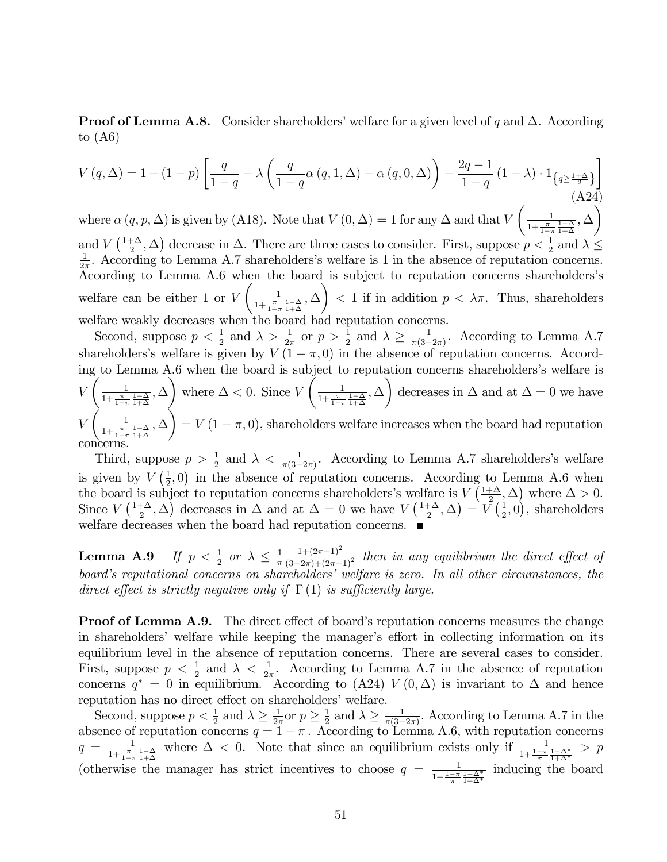**Proof of Lemma A.8.** Consider shareholders' welfare for a given level of q and  $\Delta$ . According to  $(A6)$ 

$$
V(q,\Delta) = 1 - (1-p) \left[ \frac{q}{1-q} - \lambda \left( \frac{q}{1-q} \alpha(q,1,\Delta) - \alpha(q,0,\Delta) \right) - \frac{2q-1}{1-q} (1-\lambda) \cdot 1_{\left\{ q \ge \frac{1+\Delta}{2} \right\}} \right]
$$
\n(A24)

where  $\alpha$   $(q, p, \Delta)$  is given by (A18). Note that  $V(0, \Delta) = 1$  for any  $\Delta$  and that V  $\begin{pmatrix} 1 \end{pmatrix}$  $\frac{1}{1+\frac{\pi}{1-\pi}\frac{1-\Delta}{1+\Delta}}, \Delta$ and  $V\left(\frac{1+\Delta}{2}\right)$ and  $V\left(\frac{1+\Delta}{2},\Delta\right)$  decrease in  $\Delta$ . There are three cases to consider. First, suppose  $p < \frac{1}{2}$  and  $\lambda \leq$  $\frac{1}{2\pi}$ . According to Lemma A.7 shareholders's welfare is 1 in the absence of reputation concerns. According to Lemma A.6 when the board is subject to reputation concerns shareholders's welfare can be either 1 or V  $\begin{pmatrix} 1 \end{pmatrix}$  $\frac{1}{1+\frac{\pi}{1-\pi}\frac{1-\Delta}{1+\Delta}}, \Delta$  $\lambda$  $< 1$  if in addition  $p < \lambda \pi$ . Thus, shareholders welfare weakly decreases when the board had reputation concerns.

Second, suppose  $p < \frac{1}{2}$  and  $\lambda > \frac{1}{2\pi}$  or  $p > \frac{1}{2}$  and  $\lambda \ge \frac{1}{\pi(3-\pi)}$  $\frac{1}{\pi(3-2\pi)}$ . According to Lemma A.7 shareholders's welfare is given by  $V(1 - \pi, 0)$  in the absence of reputation concerns. According to Lemma A.6 when the board is subject to reputation concerns shareholders's welfare is V  $\left(\begin{array}{cc} 1 \end{array}\right)$  $\frac{1}{1+\frac{\pi}{1-\pi}\frac{1-\Delta}{1+\Delta}}, \Delta$  $\lambda$ where  $\Delta < 0$ . Since V  $\bigcup_{n=1}^{\infty}$  $\frac{1}{1+\frac{\pi}{1-\pi}\frac{1-\Delta}{1+\Delta}}, \Delta$  $\lambda$ decreases in  $\Delta$  and at  $\Delta = 0$  we have V  $\left( \begin{array}{cc} 1 \end{array} \right)$  $\frac{1}{1+\frac{\pi}{1-\pi}\frac{1-\Delta}{1+\Delta}}, \Delta$ Í.  $= V (1 - \pi, 0)$ , shareholders welfare increases when the board had reputation concerns.

Third, suppose  $p > \frac{1}{2}$  and  $\lambda < \frac{1}{\pi(3-2\pi)}$ . According to Lemma A.7 shareholders's welfare is given by  $V\left(\frac{1}{2}\right)$  $(\frac{1}{2},0)$  in the absence of reputation concerns. According to Lemma A.6 when the board is subject to reputation concerns shareholders's welfare is  $V\left(\frac{1+\Delta}{2}\right)$  $(\frac{\pm \Delta}{2}, \Delta)$  where  $\Delta > 0$ . Since  $V\left(\frac{1+\Delta}{2}\right)$  $(\frac{1+\Delta}{2}, \Delta)$  decreases in  $\Delta$  and at  $\Delta = 0$  we have  $V(\frac{1+\Delta}{2})$  $\frac{+\Delta}{2},\Delta\big)=\stackrel{\cdot}{V}\big(\frac{1}{2}$  $(\frac{1}{2}, 0)$ , shareholders welfare decreases when the board had reputation concerns.

**Lemma A.9** If  $p < \frac{1}{2}$  or  $\lambda \leq \frac{1}{\pi}$  $\frac{1}{\pi} \frac{1+(2\pi-1)^2}{(3-2\pi)+(2\pi-1)^2}$  then in any equilibrium the direct effect of board's reputational concerns on shareholders' welfare is zero. In all other circumstances, the direct effect is strictly negative only if  $\Gamma(1)$  is sufficiently large.

**Proof of Lemma A.9.** The direct effect of board's reputation concerns measures the change in shareholders' welfare while keeping the manager's effort in collecting information on its equilibrium level in the absence of reputation concerns. There are several cases to consider. First, suppose  $p < \frac{1}{2}$  and  $\lambda < \frac{1}{2\pi}$ . According to Lemma A.7 in the absence of reputation concerns  $q^* = 0$  in equilibrium. According to (A24)  $V(0, \Delta)$  is invariant to  $\Delta$  and hence reputation has no direct effect on shareholders' welfare.

Second, suppose  $p < \frac{1}{2}$  and  $\lambda \geq \frac{1}{2i}$  $\frac{1}{2\pi}$ or  $p \geq \frac{1}{2}$  $\frac{1}{2}$  and  $\lambda \geq \frac{1}{\pi(3-\frac{1}{2})}$  $\frac{1}{\pi(3-2\pi)}$ . According to Lemma A.7 in the absence of reputation concerns  $q = 1 - \pi$ . According to Lemma A.6, with reputation concerns  $q = \frac{1}{1+\pi}$  $\frac{1}{1+\frac{\pi}{1-\pi}}\frac{1-\Delta}{1+\Delta}$  where  $\Delta < 0$ . Note that since an equilibrium exists only if  $\frac{1}{1+\frac{1-\pi}{\pi}}\frac{1-\Delta^*}{1+\Delta^*} > p$ (otherwise the manager has strict incentives to choose  $q = \frac{1}{1+1-\pi}$  $\frac{1}{1+\frac{1-\pi}{\pi}\frac{1-\Delta^*}{1+\Delta^*}}$  inducing the board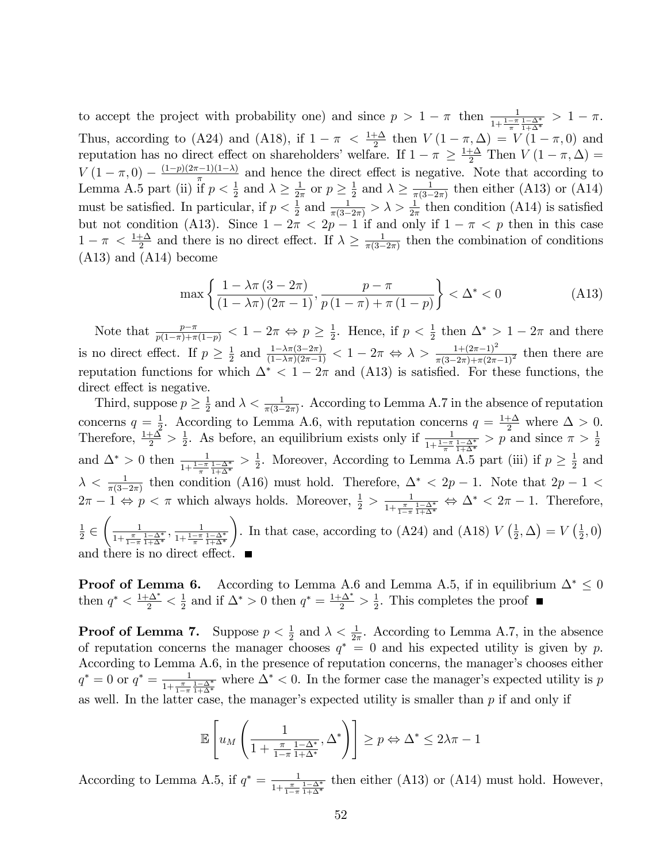to accept the project with probability one) and since  $p > 1 - \pi$  then  $\frac{1}{1 + \frac{1 - \pi}{\pi} \frac{1 - \Delta^*}{1 + \Delta^*}} > 1 - \pi$ . Thus, according to (A24) and (A18), if  $1 - \pi < \frac{1+\Delta}{2}$  then  $V(1 - \pi, \Delta) = V(1 - \pi, 0)$  and reputation has no direct effect on shareholders' welfare. If  $1 - \pi \ge \frac{1+\Delta}{2}$  Then  $V(1-\pi,\Delta) =$  $V(1-\pi,0)-\frac{(1-p)(2\pi-1)(1-\lambda)}{\pi}$  and hence the direct effect is negative. Note that according to Lemma A.5 part (ii) if  $p < \frac{1}{2}$  and  $\lambda \geq \frac{1}{2i}$  $\frac{1}{2\pi}$  or  $p \geq \frac{1}{2}$  $\frac{1}{2}$  and  $\lambda \geq \frac{1}{\pi(3-\alpha)}$  $\frac{1}{\pi(3-2\pi)}$  then either (A13) or (A14) must be satisfied. In particular, if  $p < \frac{1}{2}$  and  $\frac{1}{\pi(3-2\pi)} > \lambda > \frac{1}{2\pi}$  then condition (A14) is satisfied but not condition (A13). Since  $1 - 2\pi < 2p - 1$  if and only if  $1 - \pi < p$  then in this case  $1 - \pi < \frac{1 + \Delta}{2}$  and there is no direct effect. If  $\lambda \ge \frac{1}{\pi(3 - \epsilon)}$  $\frac{1}{\pi(3-2\pi)}$  then the combination of conditions (A13) and (A14) become

$$
\max\left\{\frac{1-\lambda\pi\,(3-2\pi)}{(1-\lambda\pi)\,(2\pi-1)},\frac{p-\pi}{p\,(1-\pi)+\pi\,(1-p)}\right\} < \Delta^* < 0\tag{A13}
$$

Note that  $\frac{p-\pi}{p(1-\pi)+\pi(1-p)} < 1-2\pi \Leftrightarrow p \geq \frac{1}{2}$  $\frac{1}{2}$ . Hence, if  $p < \frac{1}{2}$  then  $\Delta^* > 1 - 2\pi$  and there is no direct effect. If  $p \geq \frac{1}{2}$  $\frac{1}{2}$  and  $\frac{1-\lambda\pi(3-2\pi)}{(1-\lambda\pi)(2\pi-1)} < 1-2\pi \Leftrightarrow \lambda > \frac{1+(2\pi-1)^2}{\pi(3-2\pi)+\pi(2\pi-1)^2}$  then there are reputation functions for which  $\Delta^*$  < 1 – 2 $\pi$  and (A13) is satisfied. For these functions, the direct effect is negative.

Third, suppose  $p \geq \frac{1}{2}$  $\frac{1}{2}$  and  $\lambda < \frac{1}{\pi(3-2\pi)}$ . According to Lemma A.7 in the absence of reputation concerns  $q=\frac{1}{2}$ <sup>1</sup>/<sub>2</sub>. According to Lemma A.6, with reputation concerns  $q = \frac{1+\Delta}{2}$  where  $\Delta > 0$ . Therefore,  $\frac{1+\Delta}{2} > \frac{1}{2}$ <sup>1</sup>/<sub>2</sub>. As before, an equilibrium exists only if  $\frac{1}{1+\frac{1-\pi}{\pi}\frac{1-\Delta^*}{1+\Delta^*}} > p$  and since  $\pi > \frac{1}{2}$ and  $\Delta^* > 0$  then  $\frac{1}{1 + \frac{1 - \pi}{\pi} \frac{1 - \Delta^*}{1 + \Delta^*}} > \frac{1}{2}$  $\frac{1}{2}$ . Moreover, According to Lemma A.5 part (iii) if  $p \geq \frac{1}{2}$  $rac{1}{2}$  and  $\lambda < \frac{1}{\pi(3-2\pi)}$  then condition (A16) must hold. Therefore,  $\Delta^* < 2p - 1$ . Note that  $2p - 1 <$  $2\pi - 1 \Leftrightarrow p < \pi$  which always holds. Moreover,  $\frac{1}{2} > \frac{1}{1 + \frac{\pi}{1 - \pi}}$  $\frac{1}{1+\frac{\pi}{1-\pi}}\frac{1-\Delta^*}{1+\Delta^*} \Leftrightarrow \Delta^* < 2\pi - 1$ . Therefore,  $1-\pi$ 1  $\frac{1}{2}$   $\in$  $\begin{pmatrix} 1 \end{pmatrix}$  $\frac{1}{1+\frac{\pi}{1-\pi}\frac{1-\Delta^*}{1+\Delta^*}}, \frac{1}{1+\frac{1-\pi}{\pi}}$  $1 + \frac{1 - \pi}{\pi} \frac{1 - \Delta^*}{1 + \Delta^*}$  $\lambda$ . In that case, according to (A24) and (A18)  $V\left(\frac{1}{2}\right)$  $(\frac{1}{2}, \Delta) = V(\frac{1}{2})$  $(\frac{1}{2}, 0)$ and there is no direct effect.

**Proof of Lemma 6.** According to Lemma A.6 and Lemma A.5, if in equilibrium  $\Delta^* \leq 0$ then  $q^* < \frac{1+\Delta^*}{2} < \frac{1}{2}$  $\frac{1}{2}$  and if  $\Delta^* > 0$  then  $q^* = \frac{1+\Delta^*}{2} > \frac{1}{2}$  $\frac{1}{2}$ . This completes the proof

**Proof of Lemma 7.** Suppose  $p < \frac{1}{2}$  and  $\lambda < \frac{1}{2\pi}$ . According to Lemma A.7, in the absence of reputation concerns the manager chooses  $q^* = 0$  and his expected utility is given by p. According to Lemma A.6, in the presence of reputation concerns, the manager's chooses either  $q^* = 0$  or  $q^* = \frac{1}{1+\pi}$  $\frac{1}{1+\frac{\pi}{1-\pi}}\frac{1-\Delta^*}{1+\Delta^*}$  where  $\Delta^*$  < 0. In the former case the manager's expected utility is p as well. In the latter case, the manager's expected utility is smaller than p if and only if

$$
\mathbb{E}\left[u_M\left(\frac{1}{1+\frac{\pi}{1-\pi}\frac{1-\Delta^*}{1+\Delta^*}},\Delta^*\right)\right] \geq p \Leftrightarrow \Delta^* \leq 2\lambda\pi - 1
$$

According to Lemma A.5, if  $q^* = \frac{1}{1+\pi}$  $\frac{1}{1+\frac{\pi}{1-\pi}\frac{1-\Delta^*}{1+\Delta^*}}$  then either (A13) or (A14) must hold. However,